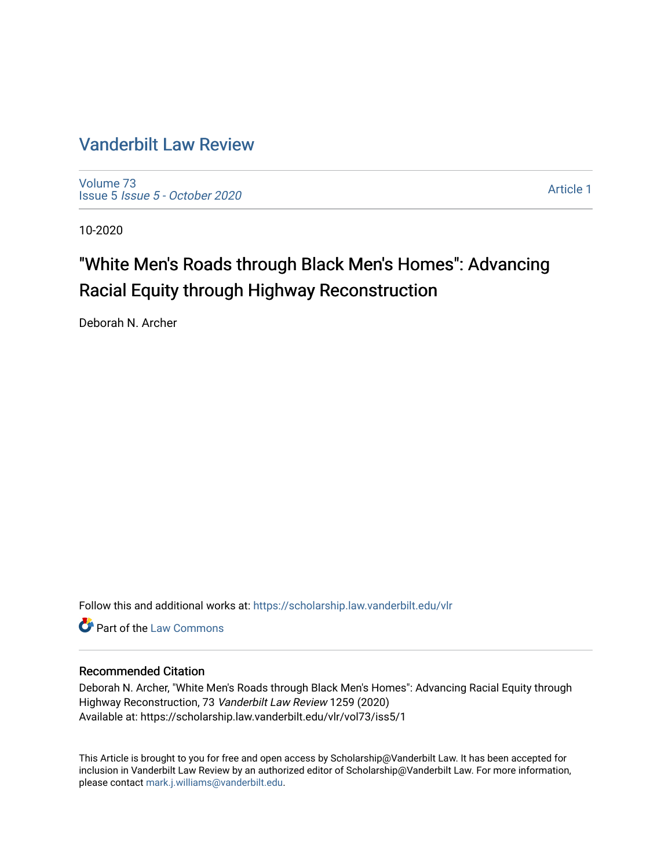# [Vanderbilt Law Review](https://scholarship.law.vanderbilt.edu/vlr)

[Volume 73](https://scholarship.law.vanderbilt.edu/vlr/vol73) Issue 5 [Issue 5 - October 2020](https://scholarship.law.vanderbilt.edu/vlr/vol73/iss5) 

[Article 1](https://scholarship.law.vanderbilt.edu/vlr/vol73/iss5/1) 

10-2020

# "White Men's Roads through Black Men's Homes": Advancing Racial Equity through Highway Reconstruction

Deborah N. Archer

Follow this and additional works at: [https://scholarship.law.vanderbilt.edu/vlr](https://scholarship.law.vanderbilt.edu/vlr?utm_source=scholarship.law.vanderbilt.edu%2Fvlr%2Fvol73%2Fiss5%2F1&utm_medium=PDF&utm_campaign=PDFCoverPages)

**C** Part of the [Law Commons](http://network.bepress.com/hgg/discipline/578?utm_source=scholarship.law.vanderbilt.edu%2Fvlr%2Fvol73%2Fiss5%2F1&utm_medium=PDF&utm_campaign=PDFCoverPages)

# Recommended Citation

Deborah N. Archer, "White Men's Roads through Black Men's Homes": Advancing Racial Equity through Highway Reconstruction, 73 Vanderbilt Law Review 1259 (2020) Available at: https://scholarship.law.vanderbilt.edu/vlr/vol73/iss5/1

This Article is brought to you for free and open access by Scholarship@Vanderbilt Law. It has been accepted for inclusion in Vanderbilt Law Review by an authorized editor of Scholarship@Vanderbilt Law. For more information, please contact [mark.j.williams@vanderbilt.edu.](mailto:mark.j.williams@vanderbilt.edu)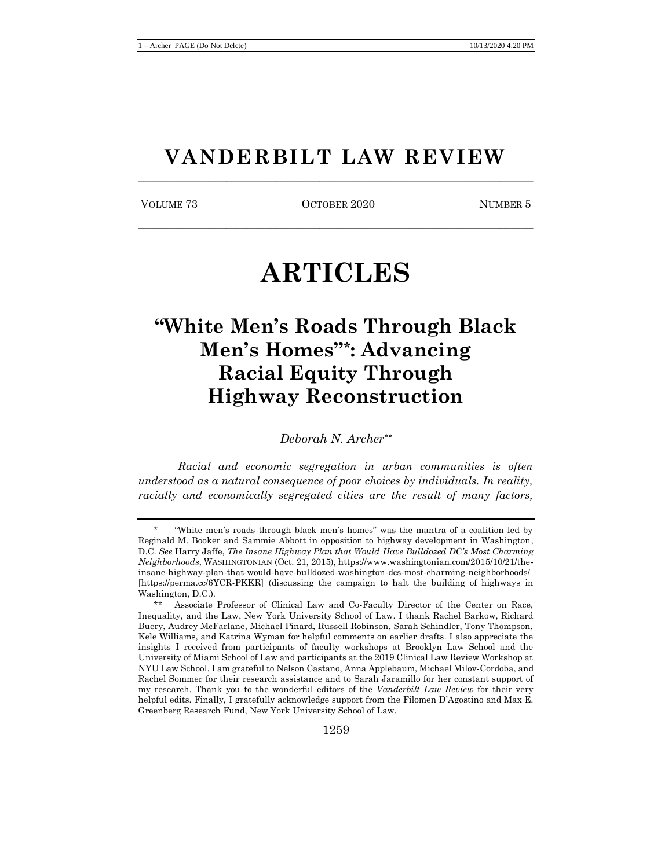# **VANDERBILT LAW REVIEW** \_\_\_\_\_\_\_\_\_\_\_\_\_\_\_\_\_\_\_\_\_\_\_\_\_\_\_\_\_\_\_\_\_\_\_\_\_\_\_\_\_\_\_\_\_\_\_\_\_\_\_\_\_\_\_\_\_\_\_\_\_\_\_\_\_\_\_\_\_\_\_\_

VOLUME 73 COTOBER 2020 NUMBER 5 \_\_\_\_\_\_\_\_\_\_\_\_\_\_\_\_\_\_\_\_\_\_\_\_\_\_\_\_\_\_\_\_\_\_\_\_\_\_\_\_\_\_\_\_\_\_\_\_\_\_\_\_\_\_\_\_\_\_\_\_\_\_\_\_\_\_\_\_\_\_\_\_

# **ARTICLES**

# **"White Men's Roads Through Black Men's Homes"\* : Advancing Racial Equity Through Highway Reconstruction**

*Deborah N. Archer\*\**

*Racial and economic segregation in urban communities is often understood as a natural consequence of poor choices by individuals. In reality, racially and economically segregated cities are the result of many factors,* 

<sup>\*</sup> "White men's roads through black men's homes" was the mantra of a coalition led by Reginald M. Booker and Sammie Abbott in opposition to highway development in Washington, D.C. *See* Harry Jaffe, *The Insane Highway Plan that Would Have Bulldozed DC's Most Charming Neighborhoods*, WASHINGTONIAN (Oct. 21, 2015), https://www.washingtonian.com/2015/10/21/theinsane-highway-plan-that-would-have-bulldozed-washington-dcs-most-charming-neighborhoods/ [https://perma.cc/6YCR-PKKR] (discussing the campaign to halt the building of highways in Washington, D.C.).

<sup>\*\*</sup> Associate Professor of Clinical Law and Co-Faculty Director of the Center on Race, Inequality, and the Law, New York University School of Law. I thank Rachel Barkow, Richard Buery, Audrey McFarlane, Michael Pinard, Russell Robinson, Sarah Schindler, Tony Thompson, Kele Williams, and Katrina Wyman for helpful comments on earlier drafts. I also appreciate the insights I received from participants of faculty workshops at Brooklyn Law School and the University of Miami School of Law and participants at the 2019 Clinical Law Review Workshop at NYU Law School. I am grateful to Nelson Castano, Anna Applebaum, Michael Milov-Cordoba, and Rachel Sommer for their research assistance and to Sarah Jaramillo for her constant support of my research. Thank you to the wonderful editors of the *Vanderbilt Law Review* for their very helpful edits. Finally, I gratefully acknowledge support from the Filomen D'Agostino and Max E. Greenberg Research Fund, New York University School of Law.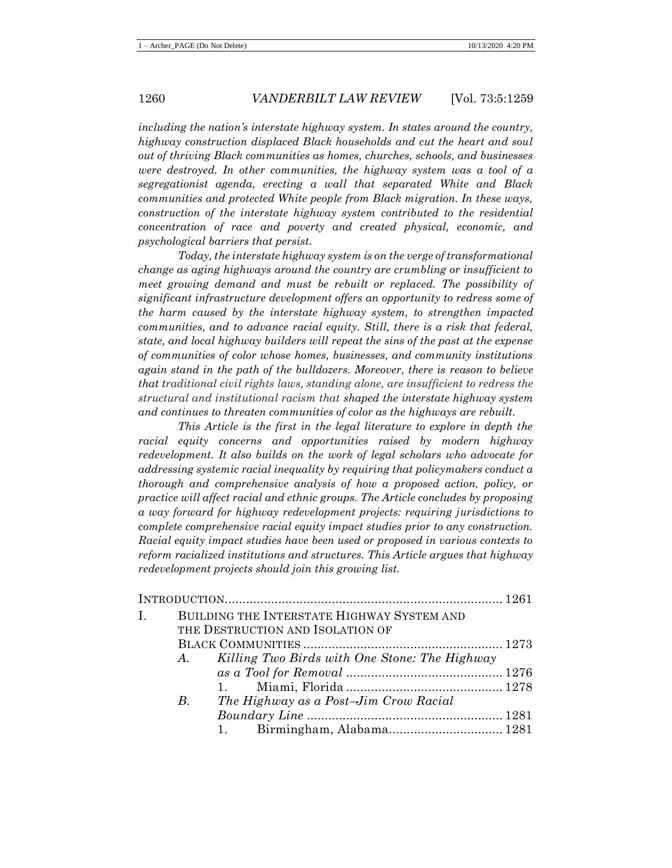*including the nation's interstate highway system. In states around the country, highway construction displaced Black households and cut the heart and soul out of thriving Black communities as homes, churches, schools, and businesses were destroyed. In other communities, the highway system was a tool of a segregationist agenda, erecting a wall that separated White and Black communities and protected White people from Black migration. In these ways, construction of the interstate highway system contributed to the residential concentration of race and poverty and created physical, economic, and psychological barriers that persist.*

*Today, the interstate highway system is on the verge of transformational change as aging highways around the country are crumbling or insufficient to meet growing demand and must be rebuilt or replaced. The possibility of significant infrastructure development offers an opportunity to redress some of the harm caused by the interstate highway system, to strengthen impacted communities, and to advance racial equity. Still, there is a risk that federal, state, and local highway builders will repeat the sins of the past at the expense of communities of color whose homes, businesses, and community institutions again stand in the path of the bulldozers. Moreover, there is reason to believe that traditional civil rights laws, standing alone, are insufficient to redress the structural and institutional racism that shaped the interstate highway system and continues to threaten communities of color as the highways are rebuilt.*

*This Article is the first in the legal literature to explore in depth the racial equity concerns and opportunities raised by modern highway redevelopment. It also builds on the work of legal scholars who advocate for addressing systemic racial inequality by requiring that policymakers conduct a thorough and comprehensive analysis of how a proposed action, policy, or practice will affect racial and ethnic groups. The Article concludes by proposing a way forward for highway redevelopment projects: requiring jurisdictions to complete comprehensive racial equity impact studies prior to any construction. Racial equity impact studies have been used or proposed in various contexts to reform racialized institutions and structures. This Article argues that highway redevelopment projects should join this growing list.*

| I. <sub>1</sub> | BUILDING THE INTERSTATE HIGHWAY SYSTEM AND |                                                  |  |
|-----------------|--------------------------------------------|--------------------------------------------------|--|
|                 |                                            | THE DESTRUCTION AND ISOLATION OF                 |  |
|                 |                                            |                                                  |  |
|                 |                                            | A. Killing Two Birds with One Stone: The Highway |  |
|                 |                                            |                                                  |  |
|                 |                                            |                                                  |  |
|                 | $B_{\cdot}$                                | The Highway as a Post-Jim Crow Racial            |  |
|                 |                                            |                                                  |  |
|                 |                                            |                                                  |  |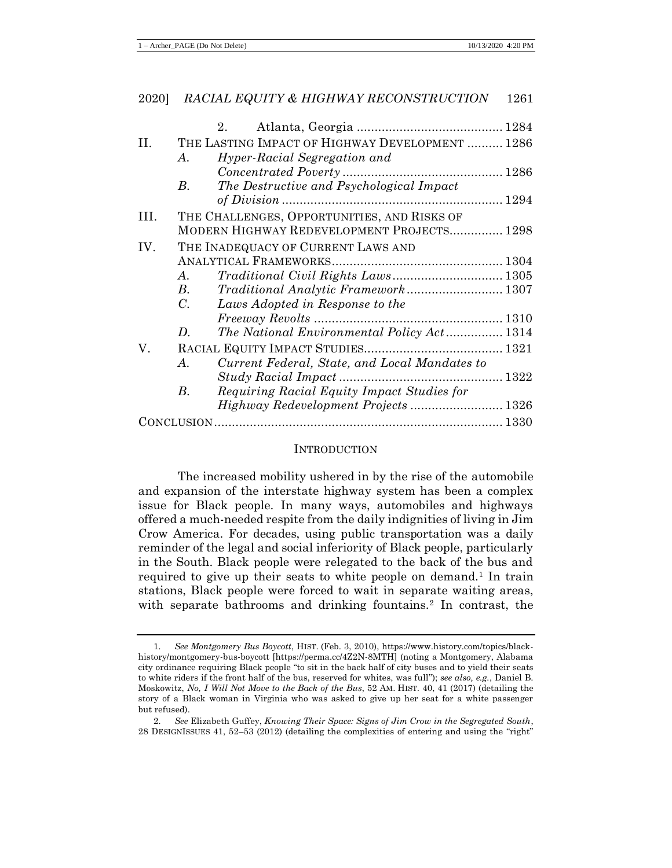# 2020] *RACIAL EQUITY & HIGHWAY RECONSTRUCTION* 1261 2. Atlanta, Georgia ......................................... 1284 II. THE LASTING IMPACT OF HIGHWAY DEVELOPMENT .......... 1286 *A. Hyper-Racial Segregation and Concentrated Poverty* ............................................. 1286 *B. The Destructive and Psychological Impact of Division* .............................................................. 1294 III. THE CHALLENGES, OPPORTUNITIES, AND RISKS OF MODERN HIGHWAY REDEVELOPMENT PROJECTS............... 1298 IV. THE INADEQUACY OF CURRENT LAWS AND ANALYTICAL FRAMEWORKS................................................ 1304 *A. Traditional Civil Rights Laws*............................... 1305 *B. Traditional Analytic Framework*........................... 1307 *C. Laws Adopted in Response to the Freeway Revolts* ..................................................... 1310 *D. The National Environmental Policy Act*................ 1314 V. RACIAL EQUITY IMPACT STUDIES....................................... 1321 *A. Current Federal, State, and Local Mandates to Study Racial Impact* .............................................. 1322 *B. Requiring Racial Equity Impact Studies for Highway Redevelopment Projects* .......................... 1326 CONCLUSION ................................................................................. 1330

#### **INTRODUCTION**

The increased mobility ushered in by the rise of the automobile and expansion of the interstate highway system has been a complex issue for Black people. In many ways, automobiles and highways offered a much-needed respite from the daily indignities of living in Jim Crow America. For decades, using public transportation was a daily reminder of the legal and social inferiority of Black people, particularly in the South. Black people were relegated to the back of the bus and required to give up their seats to white people on demand.<sup>1</sup> In train stations, Black people were forced to wait in separate waiting areas, with separate bathrooms and drinking fountains.<sup>2</sup> In contrast, the

<sup>1</sup>*. See Montgomery Bus Boycott*, HIST. (Feb. 3, 2010), https://www.history.com/topics/blackhistory/montgomery-bus-boycott [https://perma.cc/4Z2N-8MTH] (noting a Montgomery, Alabama city ordinance requiring Black people "to sit in the back half of city buses and to yield their seats to white riders if the front half of the bus, reserved for whites, was full"); *see also, e.g.*, Daniel B. Moskowitz, *No, I Will Not Move to the Back of the Bus*, 52 AM. HIST. 40, 41 (2017) (detailing the story of a Black woman in Virginia who was asked to give up her seat for a white passenger but refused).

<sup>2</sup>*. See* Elizabeth Guffey, *Knowing Their Space: Signs of Jim Crow in the Segregated South*, 28 DESIGNISSUES 41, 52–53 (2012) (detailing the complexities of entering and using the "right"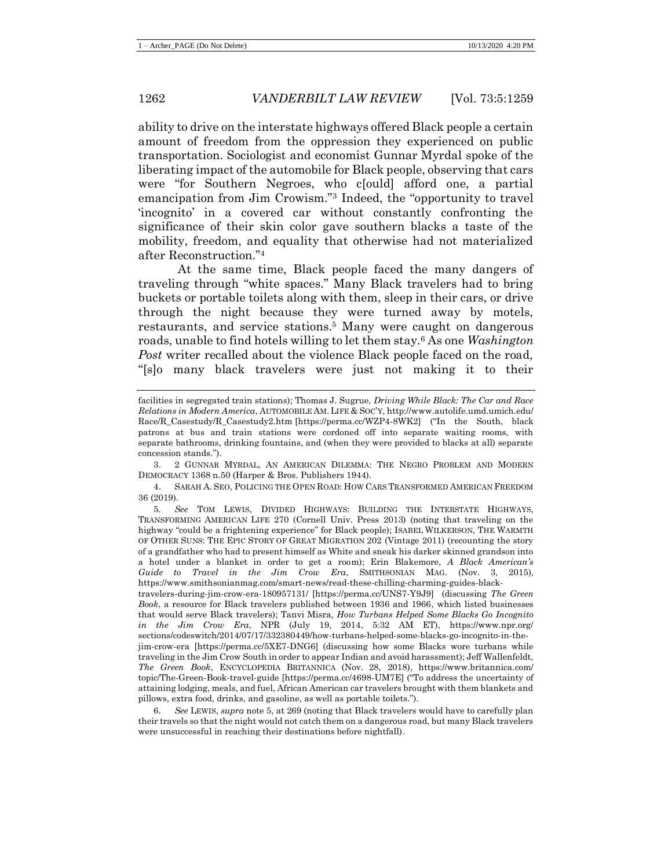ability to drive on the interstate highways offered Black people a certain amount of freedom from the oppression they experienced on public transportation. Sociologist and economist Gunnar Myrdal spoke of the liberating impact of the automobile for Black people, observing that cars were "for Southern Negroes, who c[ould] afford one, a partial emancipation from Jim Crowism."<sup>3</sup> Indeed, the "opportunity to travel 'incognito' in a covered car without constantly confronting the significance of their skin color gave southern blacks a taste of the mobility, freedom, and equality that otherwise had not materialized after Reconstruction."<sup>4</sup>

<span id="page-4-1"></span><span id="page-4-0"></span>At the same time, Black people faced the many dangers of traveling through "white spaces." Many Black travelers had to bring buckets or portable toilets along with them, sleep in their cars, or drive through the night because they were turned away by motels, restaurants, and service stations.<sup>5</sup> Many were caught on dangerous roads, unable to find hotels willing to let them stay.<sup>6</sup> As one *Washington Post* writer recalled about the violence Black people faced on the road, "[s]o many black travelers were just not making it to their

3. 2 GUNNAR MYRDAL, AN AMERICAN DILEMMA: THE NEGRO PROBLEM AND MODERN DEMOCRACY 1368 n.50 (Harper & Bros. Publishers 1944).

4. SARAH A. SEO, POLICING THE OPEN ROAD: HOW CARS TRANSFORMED AMERICAN FREEDOM 36 (2019).

5*. See* TOM LEWIS, DIVIDED HIGHWAYS: BUILDING THE INTERSTATE HIGHWAYS, TRANSFORMING AMERICAN LIFE 270 (Cornell Univ. Press 2013) (noting that traveling on the highway "could be a frightening experience" for Black people); ISABEL WILKERSON, THE WARMTH OF OTHER SUNS: THE EPIC STORY OF GREAT MIGRATION 202 (Vintage 2011) (recounting the story of a grandfather who had to present himself as White and sneak his darker skinned grandson into a hotel under a blanket in order to get a room); Erin Blakemore, *A Black American's Guide to Travel in the Jim Crow Era*, SMITHSONIAN MAG. (Nov. 3, 2015), https://www.smithsonianmag.com/smart-news/read-these-chilling-charming-guides-black-

travelers-during-jim-crow-era-180957131/ [https://perma.cc/UNS7-Y9J9] (discussing *The Green Book*, a resource for Black travelers published between 1936 and 1966, which listed businesses that would serve Black travelers); Tanvi Misra, *How Turbans Helped Some Blacks Go Incognito in the Jim Crow Era*, NPR (July 19, 2014, 5:32 AM ET), https://www.npr.org/ sections/codeswitch/2014/07/17/332380449/how-turbans-helped-some-blacks-go-incognito-in-thejim-crow-era [https://perma.cc/5XE7-DNG6] (discussing how some Blacks wore turbans while traveling in the Jim Crow South in order to appear Indian and avoid harassment); Jeff Wallenfeldt, *The Green Book*, ENCYCLOPEDIA BRITANNICA (Nov. 28, 2018), https://www.britannica.com/ topic/The-Green-Book-travel-guide [https://perma.cc/4698-UM7E] ("To address the uncertainty of attaining lodging, meals, and fuel, African American car travelers brought with them blankets and pillows, extra food, drinks, and gasoline, as well as portable toilets.").

6*. See* LEWIS, *supra* not[e 5,](#page-4-0) at 269 (noting that Black travelers would have to carefully plan their travels so that the night would not catch them on a dangerous road, but many Black travelers were unsuccessful in reaching their destinations before nightfall).

facilities in segregated train stations); Thomas J. Sugrue, *Driving While Black: The Car and Race Relations in Modern America*, AUTOMOBILE AM.LIFE & SOC'Y, http://www.autolife.umd.umich.edu/ Race/R\_Casestudy/R\_Casestudy2.htm [https://perma.cc/WZP4-8WK2] ("In the South, black patrons at bus and train stations were cordoned off into separate waiting rooms, with separate bathrooms, drinking fountains, and (when they were provided to blacks at all) separate concession stands.").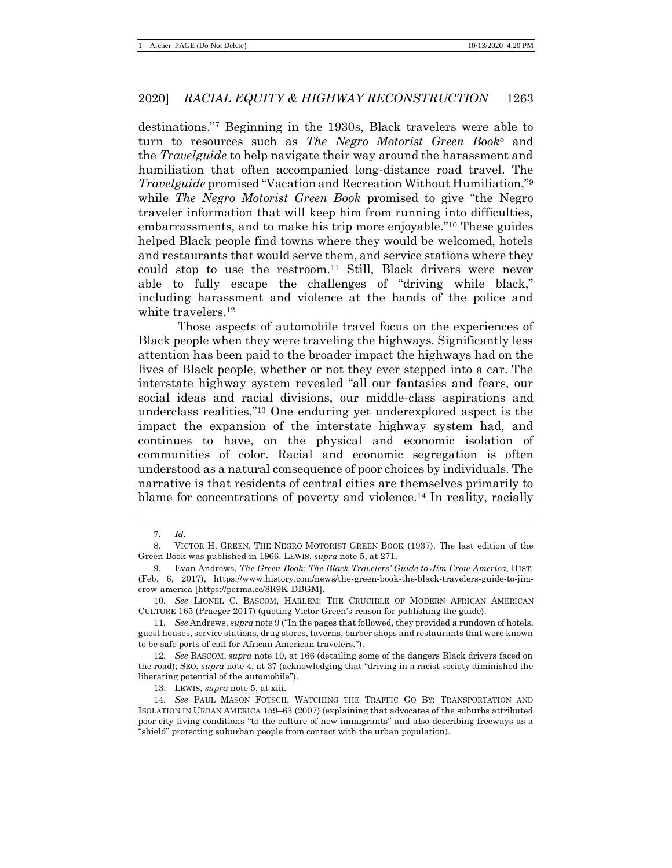<span id="page-5-1"></span><span id="page-5-0"></span>destinations."<sup>7</sup> Beginning in the 1930s, Black travelers were able to turn to resources such as *The Negro Motorist Green Book*<sup>8</sup> and the *Travelguide* to help navigate their way around the harassment and humiliation that often accompanied long-distance road travel. The *Travelguide* promised "Vacation and Recreation Without Humiliation,"<sup>9</sup> while *The Negro Motorist Green Book* promised to give "the Negro traveler information that will keep him from running into difficulties, embarrassments, and to make his trip more enjoyable."<sup>10</sup> These guides helped Black people find towns where they would be welcomed, hotels and restaurants that would serve them, and service stations where they could stop to use the restroom.<sup>11</sup> Still, Black drivers were never able to fully escape the challenges of "driving while black," including harassment and violence at the hands of the police and white travelers.<sup>12</sup>

Those aspects of automobile travel focus on the experiences of Black people when they were traveling the highways. Significantly less attention has been paid to the broader impact the highways had on the lives of Black people, whether or not they ever stepped into a car. The interstate highway system revealed "all our fantasies and fears, our social ideas and racial divisions, our middle-class aspirations and underclass realities."<sup>13</sup> One enduring yet underexplored aspect is the impact the expansion of the interstate highway system had, and continues to have, on the physical and economic isolation of communities of color. Racial and economic segregation is often understood as a natural consequence of poor choices by individuals. The narrative is that residents of central cities are themselves primarily to blame for concentrations of poverty and violence.<sup>14</sup> In reality, racially

<span id="page-5-2"></span><sup>7.</sup> *Id.*

<sup>8.</sup> VICTOR H. GREEN, THE NEGRO MOTORIST GREEN BOOK (1937). The last edition of the Green Book was published in 1966. LEWIS, *supra* note 5, at 271.

<sup>9.</sup> Evan Andrews, *The Green Book: The Black Travelers' Guide to Jim Crow America*, HIST. (Feb. 6, 2017), https://www.history.com/news/the-green-book-the-black-travelers-guide-to-jimcrow-america [https://perma.cc/8R9K-DBGM].

<sup>10</sup>*. See* LIONEL C. BASCOM, HARLEM: THE CRUCIBLE OF MODERN AFRICAN AMERICAN CULTURE 165 (Praeger 2017) (quoting Victor Green's reason for publishing the guide).

<sup>11</sup>*. See* Andrews, *supra* not[e 9](#page-5-0) ("In the pages that followed, they provided a rundown of hotels, guest houses, service stations, drug stores, taverns, barber shops and restaurants that were known to be safe ports of call for African American travelers.").

<sup>12</sup>*. See* BASCOM, *supra* note [10,](#page-5-1) at 166 (detailing some of the dangers Black drivers faced on the road); SEO, *supra* not[e 4,](#page-4-1) at 37 (acknowledging that "driving in a racist society diminished the liberating potential of the automobile").

<sup>13.</sup> LEWIS, *supra* not[e 5,](#page-4-0) at xiii.

<sup>14</sup>*. See* PAUL MASON FOTSCH, WATCHING THE TRAFFIC GO BY: TRANSPORTATION AND ISOLATION IN URBAN AMERICA 159–63 (2007) (explaining that advocates of the suburbs attributed poor city living conditions "to the culture of new immigrants" and also describing freeways as a "shield" protecting suburban people from contact with the urban population).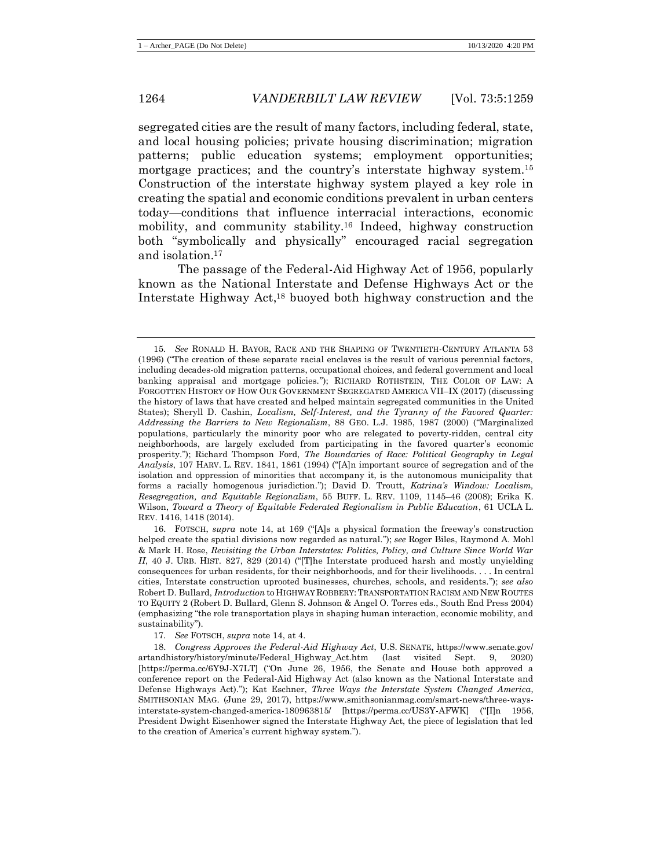<span id="page-6-1"></span>segregated cities are the result of many factors, including federal, state, and local housing policies; private housing discrimination; migration patterns; public education systems; employment opportunities; mortgage practices; and the country's interstate highway system.<sup>15</sup> Construction of the interstate highway system played a key role in creating the spatial and economic conditions prevalent in urban centers today—conditions that influence interracial interactions, economic mobility, and community stability.<sup>16</sup> Indeed, highway construction both "symbolically and physically" encouraged racial segregation and isolation.<sup>17</sup>

<span id="page-6-0"></span>The passage of the Federal-Aid Highway Act of 1956, popularly known as the National Interstate and Defense Highways Act or the Interstate Highway Act, <sup>18</sup> buoyed both highway construction and the

<sup>15</sup>*. See* RONALD H. BAYOR, RACE AND THE SHAPING OF TWENTIETH-CENTURY ATLANTA 53 (1996) ("The creation of these separate racial enclaves is the result of various perennial factors, including decades-old migration patterns, occupational choices, and federal government and local banking appraisal and mortgage policies."); RICHARD ROTHSTEIN, THE COLOR OF LAW: A FORGOTTEN HISTORY OF HOW OUR GOVERNMENT SEGREGATED AMERICA VII–IX (2017) (discussing the history of laws that have created and helped maintain segregated communities in the United States); Sheryll D. Cashin, *Localism, Self-Interest, and the Tyranny of the Favored Quarter: Addressing the Barriers to New Regionalism*, 88 GEO. L.J. 1985, 1987 (2000) ("Marginalized populations, particularly the minority poor who are relegated to poverty-ridden, central city neighborhoods, are largely excluded from participating in the favored quarter's economic prosperity."); Richard Thompson Ford, *The Boundaries of Race: Political Geography in Legal Analysis*, 107 HARV. L. REV. 1841, 1861 (1994) ("[A]n important source of segregation and of the isolation and oppression of minorities that accompany it, is the autonomous municipality that forms a racially homogenous jurisdiction."); David D. Troutt, *Katrina's Window: Localism, Resegregation, and Equitable Regionalism*, 55 BUFF. L. REV. 1109, 1145–46 (2008); Erika K. Wilson, *Toward a Theory of Equitable Federated Regionalism in Public Education*, 61 UCLA L. REV. 1416, 1418 (2014).

<sup>16.</sup> FOTSCH, *supra* note [14,](#page-5-2) at 169 ("[A]s a physical formation the freeway's construction helped create the spatial divisions now regarded as natural."); *see* Roger Biles, Raymond A. Mohl & Mark H. Rose, *Revisiting the Urban Interstates: Politics, Policy, and Culture Since World War II*, 40 J. URB. HIST. 827, 829 (2014) ("[T]he Interstate produced harsh and mostly unyielding consequences for urban residents, for their neighborhoods, and for their livelihoods. . . . In central cities, Interstate construction uprooted businesses, churches, schools, and residents."); *see also*  Robert D. Bullard, *Introduction* to HIGHWAY ROBBERY:TRANSPORTATION RACISM AND NEW ROUTES TO EQUITY 2 (Robert D. Bullard, Glenn S. Johnson & Angel O. Torres eds., South End Press 2004) (emphasizing "the role transportation plays in shaping human interaction, economic mobility, and sustainability").

<sup>17</sup>*. See* FOTSCH, *supra* not[e 14,](#page-5-2) at 4.

<sup>18.</sup> *Congress Approves the Federal-Aid Highway Act*, U.S. SENATE, https://www.senate.gov/ artandhistory/history/minute/Federal\_Highway\_Act.htm (last visited Sept. 9, 2020) [https://perma.cc/6Y9J-X7LT] ("On June 26, 1956, the Senate and House both approved a conference report on the Federal-Aid Highway Act (also known as the National Interstate and Defense Highways Act)."); Kat Eschner, *Three Ways the Interstate System Changed America*, SMITHSONIAN MAG. (June 29, 2017), https://www.smithsonianmag.com/smart-news/three-waysinterstate-system-changed-america-180963815/ [https://perma.cc/US3Y-AFWK] ("[I]n 1956, President Dwight Eisenhower signed the Interstate Highway Act, the piece of legislation that led to the creation of America's current highway system.").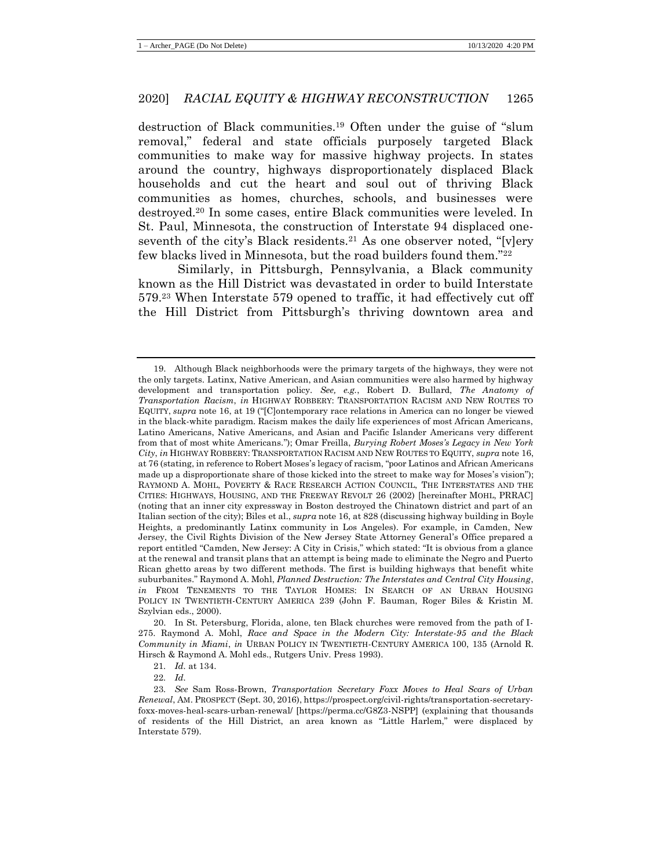<span id="page-7-2"></span>destruction of Black communities.<sup>19</sup> Often under the guise of "slum removal," federal and state officials purposely targeted Black communities to make way for massive highway projects. In states around the country, highways disproportionately displaced Black households and cut the heart and soul out of thriving Black communities as homes, churches, schools, and businesses were destroyed.<sup>20</sup> In some cases, entire Black communities were leveled. In St. Paul, Minnesota, the construction of Interstate 94 displaced oneseventh of the city's Black residents.<sup>21</sup> As one observer noted, "[v]ery few blacks lived in Minnesota, but the road builders found them."<sup>22</sup>

<span id="page-7-1"></span><span id="page-7-0"></span>Similarly, in Pittsburgh, Pennsylvania, a Black community known as the Hill District was devastated in order to build Interstate 579.<sup>23</sup> When Interstate 579 opened to traffic, it had effectively cut off the Hill District from Pittsburgh's thriving downtown area and

<sup>19.</sup> Although Black neighborhoods were the primary targets of the highways, they were not the only targets. Latinx, Native American, and Asian communities were also harmed by highway development and transportation policy. *See, e.g.*, Robert D. Bullard, *The Anatomy of Transportation Racism*, *in* HIGHWAY ROBBERY: TRANSPORTATION RACISM AND NEW ROUTES TO EQUITY, *supra* note [16,](#page-6-0) at 19 ("[C]ontemporary race relations in America can no longer be viewed in the black-white paradigm. Racism makes the daily life experiences of most African Americans, Latino Americans, Native Americans, and Asian and Pacific Islander Americans very different from that of most white Americans."); Omar Freilla, *Burying Robert Moses's Legacy in New York City*, *in* HIGHWAY ROBBERY: TRANSPORTATION RACISM AND NEW ROUTES TO EQUITY, *supra* not[e 16,](#page-6-0) at 76 (stating, in reference to Robert Moses's legacy of racism, "poor Latinos and African Americans made up a disproportionate share of those kicked into the street to make way for Moses's vision"); RAYMOND A. MOHL, POVERTY & RACE RESEARCH ACTION COUNCIL, THE INTERSTATES AND THE CITIES: HIGHWAYS, HOUSING, AND THE FREEWAY REVOLT 26 (2002) [hereinafter MOHL, PRRAC] (noting that an inner city expressway in Boston destroyed the Chinatown district and part of an Italian section of the city); Biles et al., *supra* not[e 16,](#page-6-0) at 828 (discussing highway building in Boyle Heights, a predominantly Latinx community in Los Angeles). For example, in Camden, New Jersey, the Civil Rights Division of the New Jersey State Attorney General's Office prepared a report entitled "Camden, New Jersey: A City in Crisis," which stated: "It is obvious from a glance at the renewal and transit plans that an attempt is being made to eliminate the Negro and Puerto Rican ghetto areas by two different methods. The first is building highways that benefit white suburbanites." Raymond A. Mohl, *Planned Destruction: The Interstates and Central City Housing*, *in* FROM TENEMENTS TO THE TAYLOR HOMES: IN SEARCH OF AN URBAN HOUSING POLICY IN TWENTIETH-CENTURY AMERICA 239 (John F. Bauman, Roger Biles & Kristin M. Szylvian eds., 2000).

<sup>20.</sup> In St. Petersburg, Florida, alone, ten Black churches were removed from the path of I-275. Raymond A. Mohl, *Race and Space in the Modern City: Interstate-95 and the Black Community in Miami*, *in* URBAN POLICY IN TWENTIETH-CENTURY AMERICA 100, 135 (Arnold R. Hirsch & Raymond A. Mohl eds., Rutgers Univ. Press 1993).

<sup>21</sup>*. Id.* at 134.

<sup>22</sup>*. Id.*

<sup>23</sup>*. See* Sam Ross-Brown, *Transportation Secretary Foxx Moves to Heal Scars of Urban Renewal*, AM. PROSPECT (Sept. 30, 2016), https://prospect.org/civil-rights/transportation-secretaryfoxx-moves-heal-scars-urban-renewal/ [https://perma.cc/G8Z3-NSPP] (explaining that thousands of residents of the Hill District, an area known as "Little Harlem," were displaced by Interstate 579).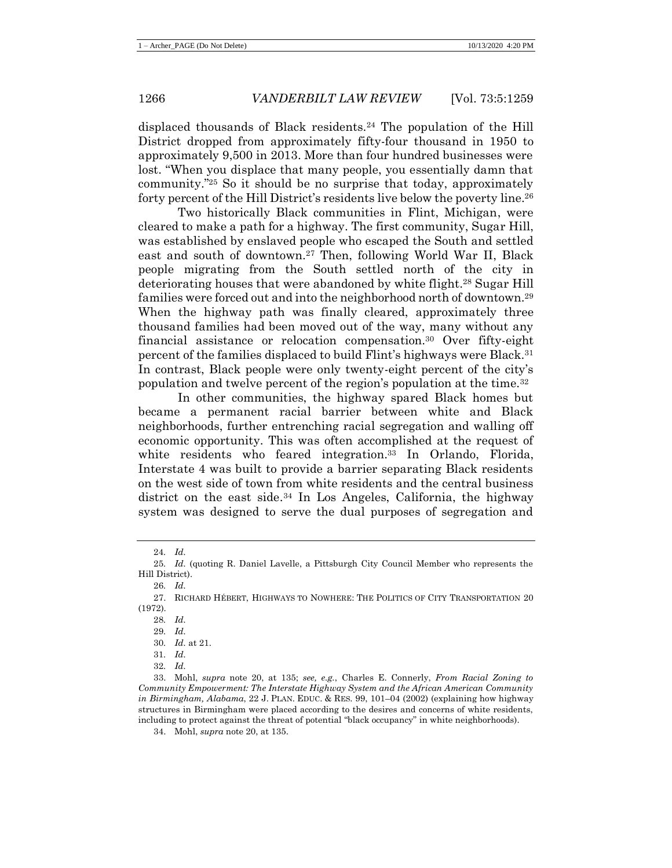displaced thousands of Black residents.<sup>24</sup> The population of the Hill District dropped from approximately fifty-four thousand in 1950 to approximately 9,500 in 2013. More than four hundred businesses were lost. "When you displace that many people, you essentially damn that community."<sup>25</sup> So it should be no surprise that today, approximately forty percent of the Hill District's residents live below the poverty line.<sup>26</sup>

<span id="page-8-0"></span>Two historically Black communities in Flint, Michigan, were cleared to make a path for a highway. The first community, Sugar Hill, was established by enslaved people who escaped the South and settled east and south of downtown.<sup>27</sup> Then, following World War II, Black people migrating from the South settled north of the city in deteriorating houses that were abandoned by white flight.<sup>28</sup> Sugar Hill families were forced out and into the neighborhood north of downtown.<sup>29</sup> When the highway path was finally cleared, approximately three thousand families had been moved out of the way, many without any financial assistance or relocation compensation.<sup>30</sup> Over fifty-eight percent of the families displaced to build Flint's highways were Black.<sup>31</sup> In contrast, Black people were only twenty-eight percent of the city's population and twelve percent of the region's population at the time.<sup>32</sup>

<span id="page-8-1"></span>In other communities, the highway spared Black homes but became a permanent racial barrier between white and Black neighborhoods, further entrenching racial segregation and walling off economic opportunity. This was often accomplished at the request of white residents who feared integration.<sup>33</sup> In Orlando, Florida, Interstate 4 was built to provide a barrier separating Black residents on the west side of town from white residents and the central business district on the east side. $34$  In Los Angeles, California, the highway system was designed to serve the dual purposes of segregation and

<sup>24</sup>*. Id.*

<sup>25</sup>*. Id.* (quoting R. Daniel Lavelle, a Pittsburgh City Council Member who represents the Hill District).

<sup>26</sup>*. Id.*

<sup>27.</sup> RICHARD HÉBERT, HIGHWAYS TO NOWHERE: THE POLITICS OF CITY TRANSPORTATION 20 (1972).

<sup>28</sup>*. Id.*

<sup>29</sup>*. Id.*

<sup>30</sup>*. Id.* at 21.

<sup>31</sup>*. Id.*

<sup>32</sup>*. Id.*

<sup>33.</sup> Mohl, *supra* note [20,](#page-7-0) at 135; *see, e.g.*, Charles E. Connerly, *From Racial Zoning to Community Empowerment: The Interstate Highway System and the African American Community in Birmingham, Alabama*, 22 J. PLAN. EDUC. & RES. 99, 101–04 (2002) (explaining how highway structures in Birmingham were placed according to the desires and concerns of white residents, including to protect against the threat of potential "black occupancy" in white neighborhoods).

<sup>34.</sup> Mohl, *supra* note [20,](#page-7-0) at 135.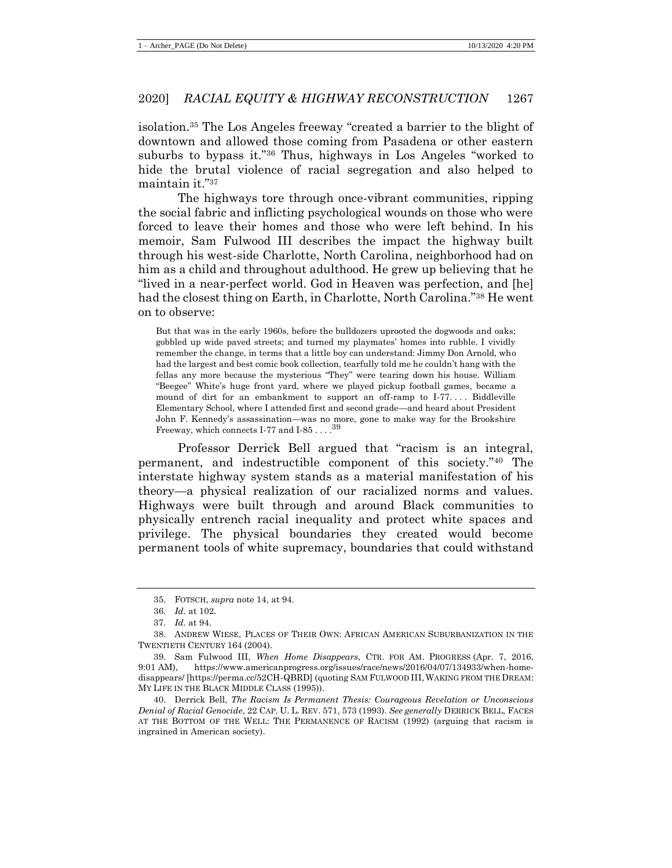isolation.<sup>35</sup> The Los Angeles freeway "created a barrier to the blight of downtown and allowed those coming from Pasadena or other eastern suburbs to bypass it."<sup>36</sup> Thus, highways in Los Angeles "worked to hide the brutal violence of racial segregation and also helped to maintain it."<sup>37</sup>

The highways tore through once-vibrant communities, ripping the social fabric and inflicting psychological wounds on those who were forced to leave their homes and those who were left behind. In his memoir, Sam Fulwood III describes the impact the highway built through his west-side Charlotte, North Carolina, neighborhood had on him as a child and throughout adulthood. He grew up believing that he "lived in a near-perfect world. God in Heaven was perfection, and [he] had the closest thing on Earth, in Charlotte, North Carolina."<sup>38</sup> He went on to observe:

But that was in the early 1960s, before the bulldozers uprooted the dogwoods and oaks; gobbled up wide paved streets; and turned my playmates' homes into rubble. I vividly remember the change, in terms that a little boy can understand: Jimmy Don Arnold, who had the largest and best comic book collection, tearfully told me he couldn't hang with the fellas any more because the mysterious "They" were tearing down his house. William "Beegee" White's huge front yard, where we played pickup football games, became a mound of dirt for an embankment to support an off-ramp to I-77. . . . Biddleville Elementary School, where I attended first and second grade—and heard about President John F. Kennedy's assassination—was no more, gone to make way for the Brookshire Freeway, which connects I-77 and I-85  $\dots$  .  $39$ 

<span id="page-9-0"></span>Professor Derrick Bell argued that "racism is an integral, permanent, and indestructible component of this society."<sup>40</sup> The interstate highway system stands as a material manifestation of his theory—a physical realization of our racialized norms and values. Highways were built through and around Black communities to physically entrench racial inequality and protect white spaces and privilege. The physical boundaries they created would become permanent tools of white supremacy, boundaries that could withstand

<sup>35.</sup> FOTSCH, *supra* note [14,](#page-5-2) at 94.

<sup>36</sup>*. Id.* at 102.

<sup>37</sup>*. Id.* at 94.

<sup>38.</sup> ANDREW WIESE, PLACES OF THEIR OWN: AFRICAN AMERICAN SUBURBANIZATION IN THE TWENTIETH CENTURY 164 (2004).

<sup>39.</sup> Sam Fulwood III, *When Home Disappears*, CTR. FOR AM. PROGRESS (Apr. 7, 2016, 9:01 AM), https://www.americanprogress.org/issues/race/news/2016/04/07/134933/when-homedisappears/ [https://perma.cc/52CH-QBRD] (quoting SAM FULWOOD III,WAKING FROM THE DREAM: MY LIFE IN THE BLACK MIDDLE CLASS (1995)).

<sup>40.</sup> Derrick Bell, *The Racism Is Permanent Thesis: Courageous Revelation or Unconscious Denial of Racial Genocide*, 22 CAP. U. L. REV. 571, 573 (1993). *See generally* DERRICK BELL, FACES AT THE BOTTOM OF THE WELL: THE PERMANENCE OF RACISM (1992) (arguing that racism is ingrained in American society).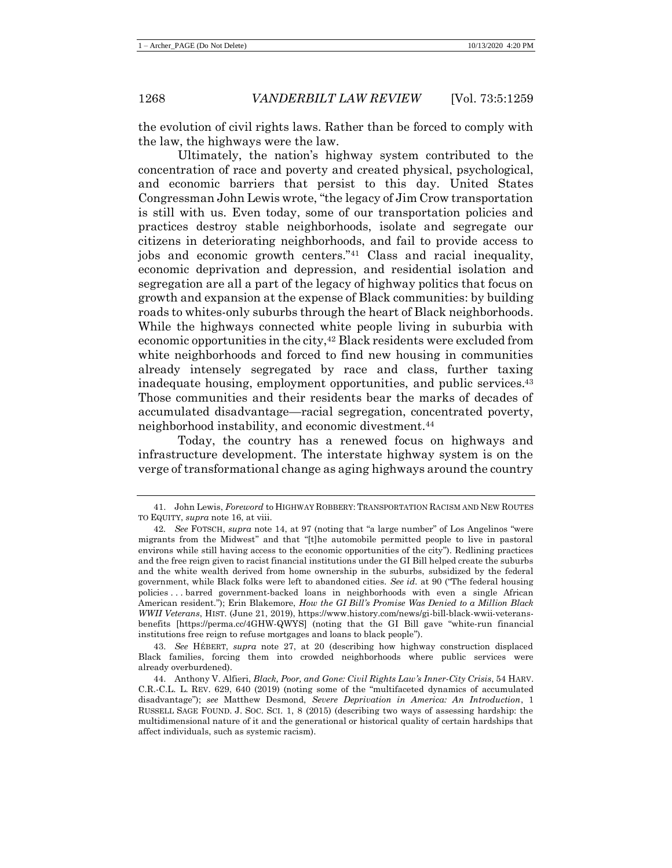the evolution of civil rights laws. Rather than be forced to comply with the law, the highways were the law.

Ultimately, the nation's highway system contributed to the concentration of race and poverty and created physical, psychological, and economic barriers that persist to this day. United States Congressman John Lewis wrote, "the legacy of Jim Crow transportation is still with us. Even today, some of our transportation policies and practices destroy stable neighborhoods, isolate and segregate our citizens in deteriorating neighborhoods, and fail to provide access to jobs and economic growth centers."<sup>41</sup> Class and racial inequality, economic deprivation and depression, and residential isolation and segregation are all a part of the legacy of highway politics that focus on growth and expansion at the expense of Black communities: by building roads to whites-only suburbs through the heart of Black neighborhoods. While the highways connected white people living in suburbia with economic opportunities in the city,<sup>42</sup> Black residents were excluded from white neighborhoods and forced to find new housing in communities already intensely segregated by race and class, further taxing inadequate housing, employment opportunities, and public services.<sup>43</sup> Those communities and their residents bear the marks of decades of accumulated disadvantage—racial segregation, concentrated poverty, neighborhood instability, and economic divestment.<sup>44</sup>

<span id="page-10-0"></span>Today, the country has a renewed focus on highways and infrastructure development. The interstate highway system is on the verge of transformational change as aging highways around the country

<sup>41.</sup> John Lewis, *Foreword* to HIGHWAY ROBBERY: TRANSPORTATION RACISM AND NEW ROUTES TO EQUITY, *supra* note [16,](#page-6-0) at viii.

<sup>42</sup>*. See* FOTSCH, *supra* note [14,](#page-5-2) at 97 (noting that "a large number" of Los Angelinos "were migrants from the Midwest" and that "[t]he automobile permitted people to live in pastoral environs while still having access to the economic opportunities of the city"). Redlining practices and the free reign given to racist financial institutions under the GI Bill helped create the suburbs and the white wealth derived from home ownership in the suburbs, subsidized by the federal government, while Black folks were left to abandoned cities. *See id.* at 90 ("The federal housing policies . . . barred government-backed loans in neighborhoods with even a single African American resident."); Erin Blakemore, *How the GI Bill's Promise Was Denied to a Million Black WWII Veterans*, HIST. (June 21, 2019), https://www.history.com/news/gi-bill-black-wwii-veteransbenefits [https://perma.cc/4GHW-QWYS] (noting that the GI Bill gave "white-run financial institutions free reign to refuse mortgages and loans to black people").

<sup>43.</sup> *See* HÉBERT, *supra* note [27,](#page-8-0) at 20 (describing how highway construction displaced Black families, forcing them into crowded neighborhoods where public services were already overburdened).

<sup>44.</sup> Anthony V. Alfieri, *Black, Poor, and Gone: Civil Rights Law's Inner-City Crisis*, 54 HARV. C.R.-C.L. L. REV. 629, 640 (2019) (noting some of the "multifaceted dynamics of accumulated disadvantage"); *see* Matthew Desmond, *Severe Deprivation in America: An Introduction*, 1 RUSSELL SAGE FOUND. J. SOC. SCI. 1, 8 (2015) (describing two ways of assessing hardship: the multidimensional nature of it and the generational or historical quality of certain hardships that affect individuals, such as systemic racism).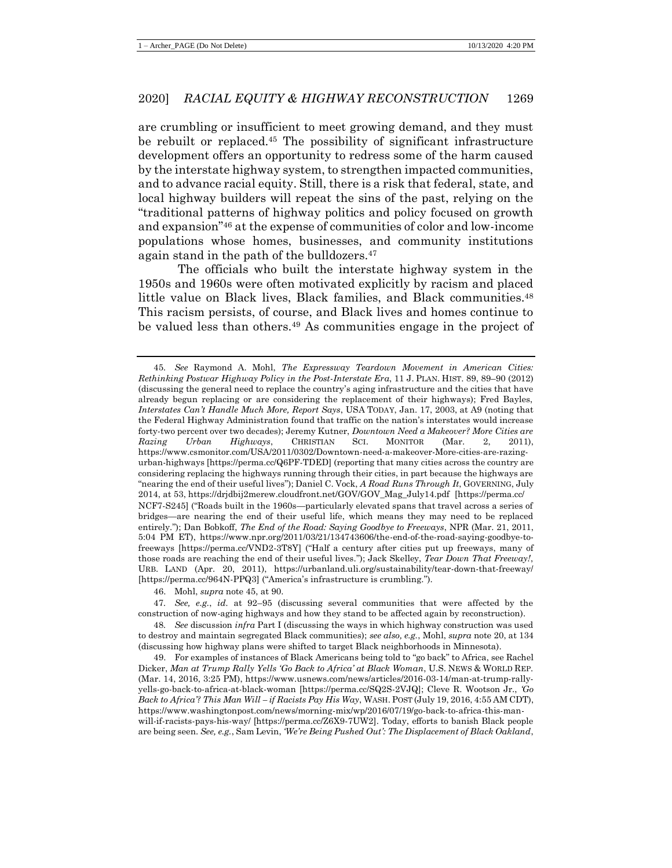<span id="page-11-0"></span>are crumbling or insufficient to meet growing demand, and they must be rebuilt or replaced.<sup>45</sup> The possibility of significant infrastructure development offers an opportunity to redress some of the harm caused by the interstate highway system, to strengthen impacted communities, and to advance racial equity. Still, there is a risk that federal, state, and local highway builders will repeat the sins of the past, relying on the "traditional patterns of highway politics and policy focused on growth and expansion"<sup>46</sup> at the expense of communities of color and low-income populations whose homes, businesses, and community institutions again stand in the path of the bulldozers.<sup>47</sup>

The officials who built the interstate highway system in the 1950s and 1960s were often motivated explicitly by racism and placed little value on Black lives, Black families, and Black communities.<sup>48</sup> This racism persists, of course, and Black lives and homes continue to be valued less than others.<sup>49</sup> As communities engage in the project of

46. Mohl, *supra* note [45,](#page-11-0) at 90.

47*. See, e.g.*, *id.* at 92–95 (discussing several communities that were affected by the construction of now-aging highways and how they stand to be affected again by reconstruction).

48*. See* discussion *infra* Part I (discussing the ways in which highway construction was used to destroy and maintain segregated Black communities); *see also, e.g.*, Mohl, *supra* not[e 20,](#page-7-0) at 134 (discussing how highway plans were shifted to target Black neighborhoods in Minnesota).

49. For examples of instances of Black Americans being told to "go back" to Africa, see Rachel Dicker, *Man at Trump Rally Yells 'Go Back to Africa' at Black Woman*, U.S. NEWS & WORLD REP. (Mar. 14, 2016, 3:25 PM), https://www.usnews.com/news/articles/2016-03-14/man-at-trump-rallyyells-go-back-to-africa-at-black-woman [https://perma.cc/SQ2S-2VJQ]; Cleve R. Wootson Jr., *'Go Back to Africa'? This Man Will – if Racists Pay His Way*, WASH. POST (July 19, 2016, 4:55 AM CDT), https://www.washingtonpost.com/news/morning-mix/wp/2016/07/19/go-back-to-africa-this-manwill-if-racists-pays-his-way/ [https://perma.cc/Z6X9-7UW2]. Today, efforts to banish Black people are being seen. *See, e.g.*, Sam Levin, *'We're Being Pushed Out': The Displacement of Black Oakland*,

<sup>45</sup>*. See* Raymond A. Mohl, *The Expressway Teardown Movement in American Cities: Rethinking Postwar Highway Policy in the Post-Interstate Era*, 11 J. PLAN. HIST. 89, 89–90 (2012) (discussing the general need to replace the country's aging infrastructure and the cities that have already begun replacing or are considering the replacement of their highways); Fred Bayles, *Interstates Can't Handle Much More, Report Says*, USA TODAY, Jan. 17, 2003, at A9 (noting that the Federal Highway Administration found that traffic on the nation's interstates would increase forty-two percent over two decades); Jeremy Kutner, *Downtown Need a Makeover? More Cities are Razing Urban Highways*, CHRISTIAN SCI. MONITOR (Mar. 2, 2011), https://www.csmonitor.com/USA/2011/0302/Downtown-need-a-makeover-More-cities-are-razingurban-highways [https://perma.cc/Q6PF-TDED] (reporting that many cities across the country are considering replacing the highways running through their cities, in part because the highways are "nearing the end of their useful lives"); Daniel C. Vock, *A Road Runs Through It*, GOVERNING, July 2014, at 53, https://drjdbij2merew.cloudfront.net/GOV/GOV\_Mag\_July14.pdf [https://perma.cc/ NCF7-S245] ("Roads built in the 1960s—particularly elevated spans that travel across a series of bridges—are nearing the end of their useful life, which means they may need to be replaced entirely."); Dan Bobkoff, *The End of the Road: Saying Goodbye to Freeways*, NPR (Mar. 21, 2011, 5:04 PM ET), https://www.npr.org/2011/03/21/134743606/the-end-of-the-road-saying-goodbye-tofreeways [https://perma.cc/VND2-3T8Y] ("Half a century after cities put up freeways, many of those roads are reaching the end of their useful lives."); Jack Skelley, *Tear Down That Freeway!*, URB. LAND (Apr. 20, 2011), https://urbanland.uli.org/sustainability/tear-down-that-freeway/ [https://perma.cc/964N-PPQ3] ("America's infrastructure is crumbling.").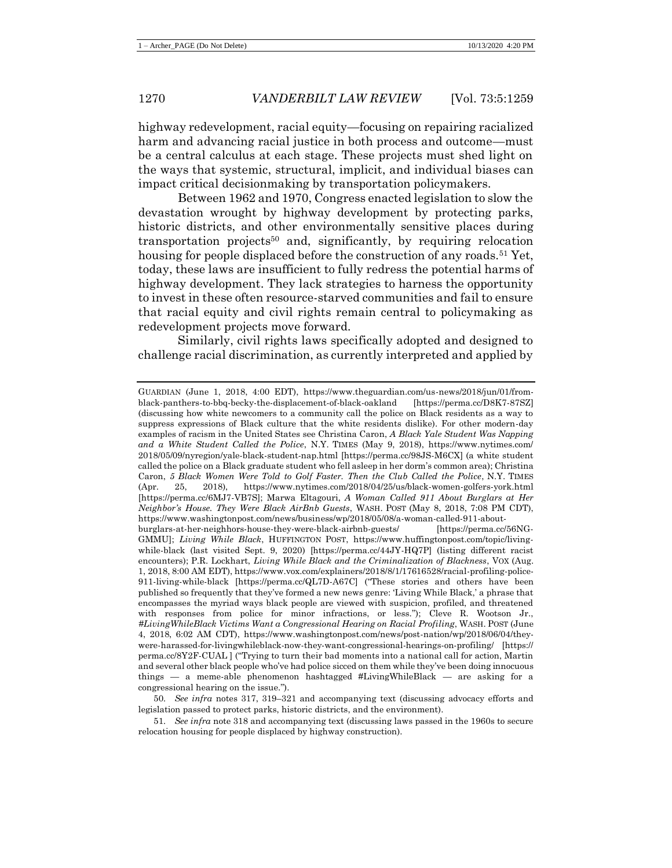highway redevelopment, racial equity—focusing on repairing racialized harm and advancing racial justice in both process and outcome—must be a central calculus at each stage. These projects must shed light on the ways that systemic, structural, implicit, and individual biases can impact critical decisionmaking by transportation policymakers.

Between 1962 and 1970, Congress enacted legislation to slow the devastation wrought by highway development by protecting parks, historic districts, and other environmentally sensitive places during transportation projects<sup>50</sup> and, significantly, by requiring relocation housing for people displaced before the construction of any roads.<sup>51</sup> Yet, today, these laws are insufficient to fully redress the potential harms of highway development. They lack strategies to harness the opportunity to invest in these often resource-starved communities and fail to ensure that racial equity and civil rights remain central to policymaking as redevelopment projects move forward.

Similarly, civil rights laws specifically adopted and designed to challenge racial discrimination, as currently interpreted and applied by

50*. See infra* notes [317,](#page-54-0) [319](#page-54-1)–[321](#page-54-2) and accompanying text (discussing advocacy efforts and legislation passed to protect parks, historic districts, and the environment).

51*. See infra* not[e 318](#page-54-3) and accompanying text (discussing laws passed in the 1960s to secure relocation housing for people displaced by highway construction).

GUARDIAN (June 1, 2018, 4:00 EDT), https://www.theguardian.com/us-news/2018/jun/01/fromblack-panthers-to-bbq-becky-the-displacement-of-black-oakland [https://perma.cc/D8K7-87SZ] (discussing how white newcomers to a community call the police on Black residents as a way to suppress expressions of Black culture that the white residents dislike). For other modern-day examples of racism in the United States see Christina Caron, *A Black Yale Student Was Napping and a White Student Called the Police*, N.Y. TIMES (May 9, 2018), https://www.nytimes.com/ 2018/05/09/nyregion/yale-black-student-nap.html [https://perma.cc/98JS-M6CX] (a white student called the police on a Black graduate student who fell asleep in her dorm's common area); Christina Caron, *5 Black Women Were Told to Golf Faster. Then the Club Called the Police*, N.Y. TIMES (Apr. 25, 2018), https://www.nytimes.com/2018/04/25/us/black-women-golfers-york.html [https://perma.cc/6MJ7-VB7S]; Marwa Eltagouri, *A Woman Called 911 About Burglars at Her Neighbor's House. They Were Black AirBnb Guests*, WASH. POST (May 8, 2018, 7:08 PM CDT), https://www.washingtonpost.com/news/business/wp/2018/05/08/a-woman-called-911-aboutburglars-at-her-neighhors-house-they-were-black-airbnb-guests/ [https://perma.cc/56NG-GMMU]; *Living While Black*, HUFFINGTON POST, https://www.huffingtonpost.com/topic/livingwhile-black (last visited Sept. 9, 2020) [https://perma.cc/44JY-HQ7P] (listing different racist encounters); P.R. Lockhart, *Living While Black and the Criminalization of Blackness*, VOX (Aug. 1, 2018, 8:00 AM EDT), https://www.vox.com/explainers/2018/8/1/17616528/racial-profiling-police-911-living-while-black [https://perma.cc/QL7D-A67C] ("These stories and others have been published so frequently that they've formed a new news genre: 'Living While Black,' a phrase that encompasses the myriad ways black people are viewed with suspicion, profiled, and threatened with responses from police for minor infractions, or less."); Cleve R. Wootson Jr., *#LivingWhileBlack Victims Want a Congressional Hearing on Racial Profiling*, WASH. POST (June 4, 2018, 6:02 AM CDT), https://www.washingtonpost.com/news/post-nation/wp/2018/06/04/theywere-harassed-for-livingwhileblack-now-they-want-congressional-hearings-on-profiling/ [https:// perma.cc/8Y2F-CUAL ] ("Trying to turn their bad moments into a national call for action, Martin and several other black people who've had police sicced on them while they've been doing innocuous things — a meme-able phenomenon hashtagged #LivingWhileBlack — are asking for a congressional hearing on the issue.").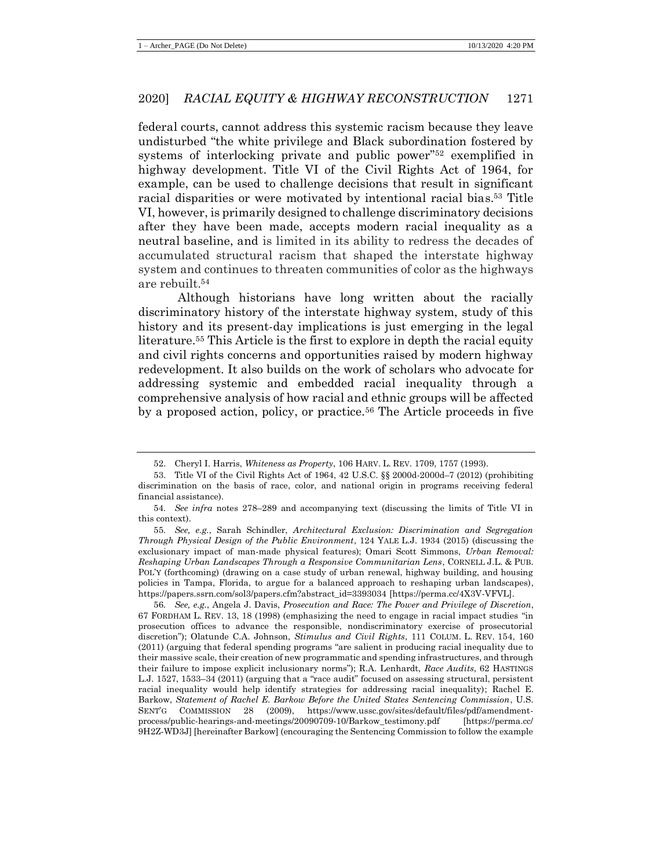federal courts, cannot address this systemic racism because they leave undisturbed "the white privilege and Black subordination fostered by systems of interlocking private and public power"<sup>52</sup> exemplified in highway development. Title VI of the Civil Rights Act of 1964, for example, can be used to challenge decisions that result in significant racial disparities or were motivated by intentional racial bias.<sup>53</sup> Title VI, however, is primarily designed to challenge discriminatory decisions after they have been made, accepts modern racial inequality as a neutral baseline, and is limited in its ability to redress the decades of accumulated structural racism that shaped the interstate highway system and continues to threaten communities of color as the highways are rebuilt.<sup>54</sup>

Although historians have long written about the racially discriminatory history of the interstate highway system, study of this history and its present-day implications is just emerging in the legal literature.<sup>55</sup> This Article is the first to explore in depth the racial equity and civil rights concerns and opportunities raised by modern highway redevelopment. It also builds on the work of scholars who advocate for addressing systemic and embedded racial inequality through a comprehensive analysis of how racial and ethnic groups will be affected by a proposed action, policy, or practice.<sup>56</sup> The Article proceeds in five

<span id="page-13-0"></span><sup>52.</sup> Cheryl I. Harris, *Whiteness as Property*, 106 HARV. L. REV. 1709, 1757 (1993).

<sup>53.</sup> Title VI of the Civil Rights Act of 1964, 42 U.S.C. §§ 2000d-2000d–7 (2012) (prohibiting discrimination on the basis of race, color, and national origin in programs receiving federal financial assistance).

<sup>54</sup>*. See infra* notes [278](#page-48-0)–[289](#page-49-0) and accompanying text (discussing the limits of Title VI in this context).

<sup>55</sup>*. See, e.g.*, Sarah Schindler, *Architectural Exclusion: Discrimination and Segregation Through Physical Design of the Public Environment*, 124 YALE L.J. 1934 (2015) (discussing the exclusionary impact of man-made physical features); Omari Scott Simmons, *Urban Removal: Reshaping Urban Landscapes Through a Responsive Communitarian Lens*, CORNELL J.L. & PUB. POL'Y (forthcoming) (drawing on a case study of urban renewal, highway building, and housing policies in Tampa, Florida, to argue for a balanced approach to reshaping urban landscapes), https://papers.ssrn.com/sol3/papers.cfm?abstract\_id=3393034 [https://perma.cc/4X3V-VFVL].

<sup>56</sup>*. See, e.g.*, Angela J. Davis, *Prosecution and Race: The Power and Privilege of Discretion*, 67 FORDHAM L. REV. 13, 18 (1998) (emphasizing the need to engage in racial impact studies "in prosecution offices to advance the responsible, nondiscriminatory exercise of prosecutorial discretion"); Olatunde C.A. Johnson, *Stimulus and Civil Rights*, 111 COLUM. L. REV. 154, 160 (2011) (arguing that federal spending programs "are salient in producing racial inequality due to their massive scale, their creation of new programmatic and spending infrastructures, and through their failure to impose explicit inclusionary norms"); R.A. Lenhardt, *Race Audits*, 62 HASTINGS L.J. 1527, 1533–34 (2011) (arguing that a "race audit" focused on assessing structural, persistent racial inequality would help identify strategies for addressing racial inequality); Rachel E. Barkow, *Statement of Rachel E. Barkow Before the United States Sentencing Commission*, U.S. SENT'G COMMISSION 28 (2009), https://www.ussc.gov/sites/default/files/pdf/amendmentprocess/public-hearings-and-meetings/20090709-10/Barkow\_testimony.pdf [https://perma.cc/ 9H2Z-WD3J] [hereinafter Barkow] (encouraging the Sentencing Commission to follow the example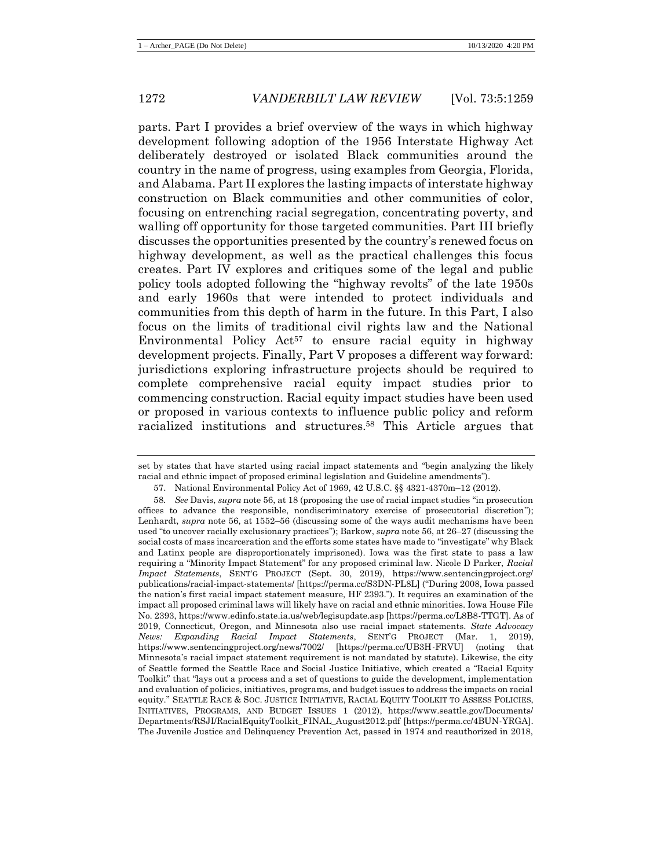parts. Part I provides a brief overview of the ways in which highway development following adoption of the 1956 Interstate Highway Act deliberately destroyed or isolated Black communities around the country in the name of progress, using examples from Georgia, Florida, and Alabama. Part II explores the lasting impacts of interstate highway construction on Black communities and other communities of color, focusing on entrenching racial segregation, concentrating poverty, and walling off opportunity for those targeted communities. Part III briefly discusses the opportunities presented by the country's renewed focus on highway development, as well as the practical challenges this focus creates. Part IV explores and critiques some of the legal and public policy tools adopted following the "highway revolts" of the late 1950s and early 1960s that were intended to protect individuals and communities from this depth of harm in the future. In this Part, I also focus on the limits of traditional civil rights law and the National Environmental Policy  $Act^{57}$  to ensure racial equity in highway development projects. Finally, Part V proposes a different way forward: jurisdictions exploring infrastructure projects should be required to complete comprehensive racial equity impact studies prior to commencing construction. Racial equity impact studies have been used or proposed in various contexts to influence public policy and reform racialized institutions and structures.<sup>58</sup> This Article argues that

set by states that have started using racial impact statements and "begin analyzing the likely racial and ethnic impact of proposed criminal legislation and Guideline amendments").

<sup>57.</sup> National Environmental Policy Act of 1969, 42 U.S.C. §§ 4321-4370m–12 (2012).

<sup>58</sup>*. See* Davis, *supra* note [56,](#page-13-0) at 18 (proposing the use of racial impact studies "in prosecution offices to advance the responsible, nondiscriminatory exercise of prosecutorial discretion"); Lenhardt, *supra* note [56,](#page-13-0) at 1552–56 (discussing some of the ways audit mechanisms have been used "to uncover racially exclusionary practices"); Barkow, *supra* not[e 56,](#page-13-0) at 26–27 (discussing the social costs of mass incarceration and the efforts some states have made to "investigate" why Black and Latinx people are disproportionately imprisoned). Iowa was the first state to pass a law requiring a "Minority Impact Statement" for any proposed criminal law. Nicole D Parker, *Racial Impact Statements*, SENT'G PROJECT (Sept. 30, 2019), https://www.sentencingproject.org/ publications/racial-impact-statements/ [https://perma.cc/S3DN-PL8L] ("During 2008, Iowa passed the nation's first racial impact statement measure, HF 2393."). It requires an examination of the impact all proposed criminal laws will likely have on racial and ethnic minorities. Iowa House File No. 2393, https://www.edinfo.state.ia.us/web/legisupdate.asp [https://perma.cc/L8B8-TTGT]. As of 2019, Connecticut, Oregon, and Minnesota also use racial impact statements. *State Advocacy News: Expanding Racial Impact Statements*, SENT'G PROJECT (Mar. 1, 2019), https://www.sentencingproject.org/news/7002/ [https://perma.cc/UB3H-FRVU] (noting that Minnesota's racial impact statement requirement is not mandated by statute). Likewise, the city of Seattle formed the Seattle Race and Social Justice Initiative, which created a "Racial Equity Toolkit" that "lays out a process and a set of questions to guide the development, implementation and evaluation of policies, initiatives, programs, and budget issues to address the impacts on racial equity." SEATTLE RACE & SOC. JUSTICE INITIATIVE, RACIAL EQUITY TOOLKIT TO ASSESS POLICIES, INITIATIVES, PROGRAMS, AND BUDGET ISSUES 1 (2012), https://www.seattle.gov/Documents/ Departments/RSJI/RacialEquityToolkit\_FINAL\_August2012.pdf [https://perma.cc/4BUN-YRGA]. The Juvenile Justice and Delinquency Prevention Act, passed in 1974 and reauthorized in 2018,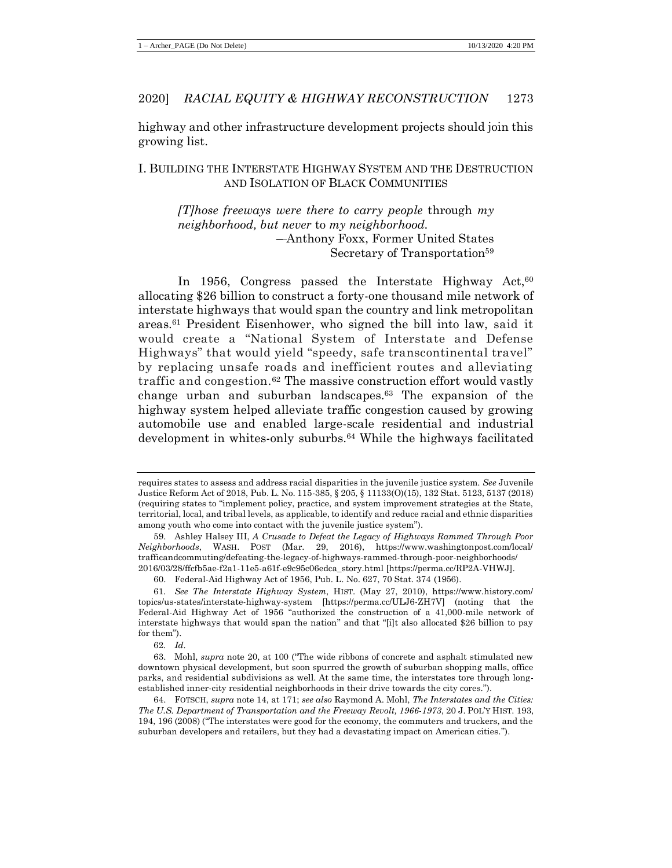highway and other infrastructure development projects should join this growing list.

# I. BUILDING THE INTERSTATE HIGHWAY SYSTEM AND THE DESTRUCTION AND ISOLATION OF BLACK COMMUNITIES

*[T]hose freeways were there to carry people* through *my neighborhood, but never* to *my neighborhood.*  – Anthony Foxx, Former United States Secretary of Transportation<sup>59</sup>

In 1956, Congress passed the Interstate Highway Act,  $60$ allocating \$26 billion to construct a forty-one thousand mile network of interstate highways that would span the country and link metropolitan areas.<sup>61</sup> President Eisenhower, who signed the bill into law, said it would create a "National System of Interstate and Defense Highways" that would yield "speedy, safe transcontinental travel" by replacing unsafe roads and inefficient routes and alleviating traffic and congestion.<sup>62</sup> The massive construction effort would vastly change urban and suburban landscapes.<sup>63</sup> The expansion of the highway system helped alleviate traffic congestion caused by growing automobile use and enabled large-scale residential and industrial development in whites-only suburbs.<sup>64</sup> While the highways facilitated

62*. Id.*

<span id="page-15-0"></span>requires states to assess and address racial disparities in the juvenile justice system. *See* Juvenile Justice Reform Act of 2018, Pub. L. No. 115-385, § 205, § 11133(O)(15), 132 Stat. 5123, 5137 (2018) (requiring states to "implement policy, practice, and system improvement strategies at the State, territorial, local, and tribal levels, as applicable, to identify and reduce racial and ethnic disparities among youth who come into contact with the juvenile justice system").

<sup>59.</sup> Ashley Halsey III, *A Crusade to Defeat the Legacy of Highways Rammed Through Poor Neighborhoods*, WASH. POST (Mar. 29, 2016), https://www.washingtonpost.com/local/ trafficandcommuting/defeating-the-legacy-of-highways-rammed-through-poor-neighborhoods/ 2016/03/28/ffcfb5ae-f2a1-11e5-a61f-e9c95c06edca\_story.html [https://perma.cc/RP2A-VHWJ].

<sup>60.</sup> Federal-Aid Highway Act of 1956, Pub. L. No. 627, 70 Stat. 374 (1956).

<sup>61</sup>*. See The Interstate Highway System*, HIST. (May 27, 2010), https://www.history.com/ topics/us-states/interstate-highway-system [https://perma.cc/ULJ6-ZH7V] (noting that the Federal-Aid Highway Act of 1956 "authorized the construction of a 41,000-mile network of interstate highways that would span the nation" and that "[i]t also allocated \$26 billion to pay for them").

<sup>63.</sup> Mohl, *supra* note [20,](#page-7-0) at 100 ("The wide ribbons of concrete and asphalt stimulated new downtown physical development, but soon spurred the growth of suburban shopping malls, office parks, and residential subdivisions as well. At the same time, the interstates tore through longestablished inner-city residential neighborhoods in their drive towards the city cores.").

<sup>64.</sup> FOTSCH, *supra* note [14,](#page-5-2) at 171; *see also* Raymond A. Mohl, *The Interstates and the Cities: The U.S. Department of Transportation and the Freeway Revolt, 1966-1973*, 20 J. POL'Y HIST. 193, 194, 196 (2008) ("The interstates were good for the economy, the commuters and truckers, and the suburban developers and retailers, but they had a devastating impact on American cities.").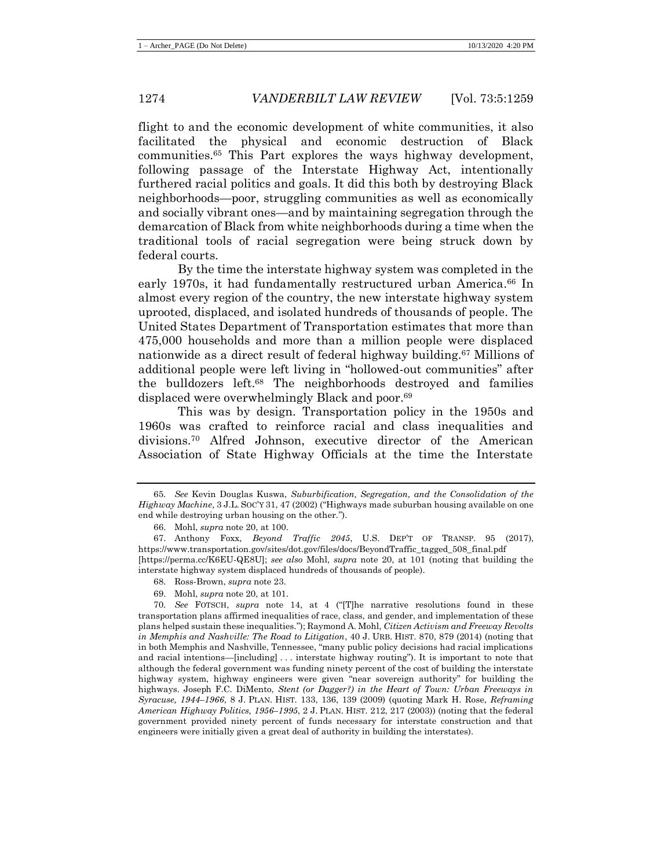<span id="page-16-0"></span>flight to and the economic development of white communities, it also facilitated the physical and economic destruction of Black communities.<sup>65</sup> This Part explores the ways highway development, following passage of the Interstate Highway Act, intentionally furthered racial politics and goals. It did this both by destroying Black neighborhoods—poor, struggling communities as well as economically and socially vibrant ones—and by maintaining segregation through the demarcation of Black from white neighborhoods during a time when the traditional tools of racial segregation were being struck down by federal courts.

By the time the interstate highway system was completed in the early 1970s, it had fundamentally restructured urban America.<sup>66</sup> In almost every region of the country, the new interstate highway system uprooted, displaced, and isolated hundreds of thousands of people. The United States Department of Transportation estimates that more than 475,000 households and more than a million people were displaced nationwide as a direct result of federal highway building.<sup>67</sup> Millions of additional people were left living in "hollowed-out communities" after the bulldozers left.<sup>68</sup> The neighborhoods destroyed and families displaced were overwhelmingly Black and poor.<sup>69</sup>

<span id="page-16-1"></span>This was by design. Transportation policy in the 1950s and 1960s was crafted to reinforce racial and class inequalities and divisions.<sup>70</sup> Alfred Johnson, executive director of the American Association of State Highway Officials at the time the Interstate

69. Mohl, *supra* note [20,](#page-7-0) at 101.

<sup>65</sup>*. See* Kevin Douglas Kuswa, *Suburbification, Segregation, and the Consolidation of the Highway Machine*, 3 J.L. SOC'Y 31, 47 (2002) ("Highways made suburban housing available on one end while destroying urban housing on the other.").

<sup>66.</sup> Mohl, *supra* note [20,](#page-7-0) at 100.

<sup>67.</sup> Anthony Foxx, *Beyond Traffic 2045*, U.S. DEP'T OF TRANSP. 95 (2017), https://www.transportation.gov/sites/dot.gov/files/docs/BeyondTraffic\_tagged\_508\_final.pdf [https://perma.cc/K6EU-QE8U]; *see also* Mohl, *supra* note [20,](#page-7-0) at 101 (noting that building the interstate highway system displaced hundreds of thousands of people).

<sup>68.</sup> Ross-Brown, *supra* not[e 23.](#page-7-1)

<sup>70</sup>*. See* FOTSCH, *supra* note [14,](#page-5-2) at 4 ("[T]he narrative resolutions found in these transportation plans affirmed inequalities of race, class, and gender, and implementation of these plans helped sustain these inequalities."); Raymond A. Mohl, *Citizen Activism and Freeway Revolts in Memphis and Nashville: The Road to Litigation*, 40 J. URB. HIST. 870, 879 (2014) (noting that in both Memphis and Nashville, Tennessee, "many public policy decisions had racial implications and racial intentions—[including] . . . interstate highway routing"). It is important to note that although the federal government was funding ninety percent of the cost of building the interstate highway system, highway engineers were given "near sovereign authority" for building the highways. Joseph F.C. DiMento, *Stent (or Dagger?) in the Heart of Town: Urban Freeways in Syracuse, 1944–1966*, 8 J. PLAN. HIST. 133, 136, 139 (2009) (quoting Mark H. Rose, *Reframing American Highway Politics, 1956–1995*, 2 J. PLAN. HIST. 212, 217 (2003)) (noting that the federal government provided ninety percent of funds necessary for interstate construction and that engineers were initially given a great deal of authority in building the interstates).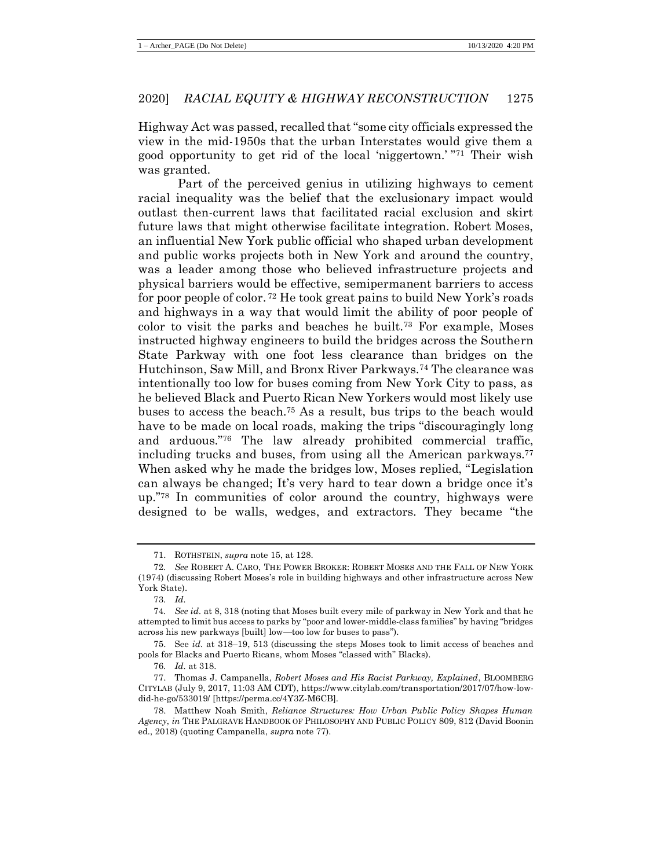Highway Act was passed, recalled that "some city officials expressed the view in the mid-1950s that the urban Interstates would give them a good opportunity to get rid of the local 'niggertown.' " <sup>71</sup> Their wish was granted.

Part of the perceived genius in utilizing highways to cement racial inequality was the belief that the exclusionary impact would outlast then-current laws that facilitated racial exclusion and skirt future laws that might otherwise facilitate integration. Robert Moses, an influential New York public official who shaped urban development and public works projects both in New York and around the country, was a leader among those who believed infrastructure projects and physical barriers would be effective, semipermanent barriers to access for poor people of color. <sup>72</sup> He took great pains to build New York's roads and highways in a way that would limit the ability of poor people of color to visit the parks and beaches he built.<sup>73</sup> For example, Moses instructed highway engineers to build the bridges across the Southern State Parkway with one foot less clearance than bridges on the Hutchinson, Saw Mill, and Bronx River Parkways.<sup>74</sup> The clearance was intentionally too low for buses coming from New York City to pass, as he believed Black and Puerto Rican New Yorkers would most likely use buses to access the beach.<sup>75</sup> As a result, bus trips to the beach would have to be made on local roads, making the trips "discouragingly long and arduous."<sup>76</sup> The law already prohibited commercial traffic, including trucks and buses, from using all the American parkways.<sup>77</sup> When asked why he made the bridges low, Moses replied, "Legislation can always be changed; It's very hard to tear down a bridge once it's up."<sup>78</sup> In communities of color around the country, highways were designed to be walls, wedges, and extractors. They became "the

<span id="page-17-0"></span><sup>71.</sup> ROTHSTEIN, *supra* not[e 15,](#page-6-1) at 128.

<sup>72</sup>*. See* ROBERT A. CARO, THE POWER BROKER: ROBERT MOSES AND THE FALL OF NEW YORK (1974) (discussing Robert Moses's role in building highways and other infrastructure across New York State).

<sup>73</sup>*. Id.*

<sup>74</sup>*. See id.* at 8, 318 (noting that Moses built every mile of parkway in New York and that he attempted to limit bus access to parks by "poor and lower-middle-class families" by having "bridges across his new parkways [built] low—too low for buses to pass").

<sup>75.</sup> See *id.* at 318–19, 513 (discussing the steps Moses took to limit access of beaches and pools for Blacks and Puerto Ricans, whom Moses "classed with" Blacks).

<sup>76</sup>*. Id.* at 318.

<sup>77.</sup> Thomas J. Campanella, *Robert Moses and His Racist Parkway, Explained*, BLOOMBERG CITYLAB (July 9, 2017, 11:03 AM CDT), https://www.citylab.com/transportation/2017/07/how-lowdid-he-go/533019/ [https://perma.cc/4Y3Z-M6CB].

<sup>78.</sup> Matthew Noah Smith, *Reliance Structures: How Urban Public Policy Shapes Human Agency*, *in* THE PALGRAVE HANDBOOK OF PHILOSOPHY AND PUBLIC POLICY 809, 812 (David Boonin ed., 2018) (quoting Campanella, *supra* note [77\)](#page-17-0).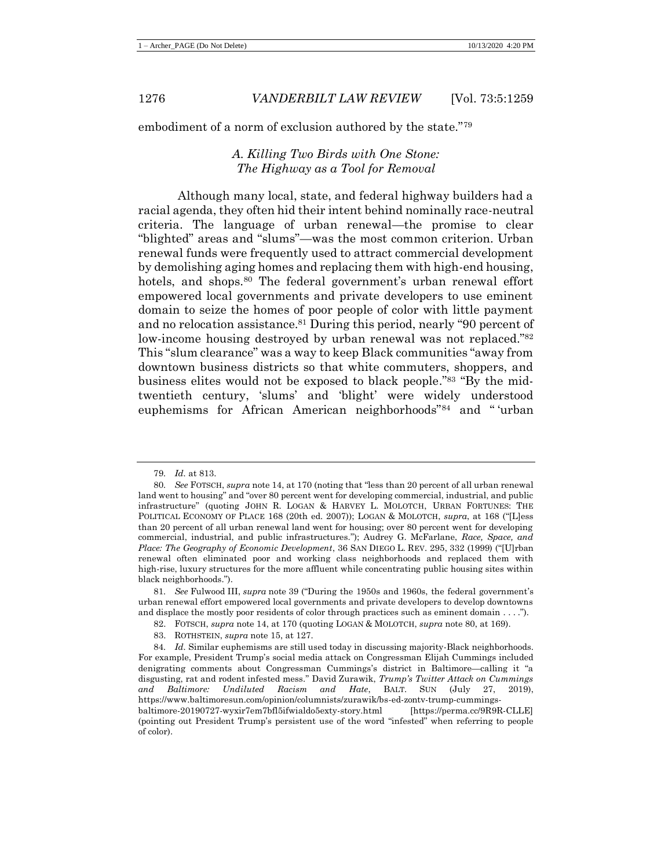embodiment of a norm of exclusion authored by the state."<sup>79</sup>

### <span id="page-18-0"></span>*A. Killing Two Birds with One Stone: The Highway as a Tool for Removal*

Although many local, state, and federal highway builders had a racial agenda, they often hid their intent behind nominally race-neutral criteria. The language of urban renewal—the promise to clear "blighted" areas and "slums"—was the most common criterion. Urban renewal funds were frequently used to attract commercial development by demolishing aging homes and replacing them with high-end housing, hotels, and shops.<sup>80</sup> The federal government's urban renewal effort empowered local governments and private developers to use eminent domain to seize the homes of poor people of color with little payment and no relocation assistance.<sup>81</sup> During this period, nearly "90 percent of low-income housing destroyed by urban renewal was not replaced."<sup>82</sup> This "slum clearance" was a way to keep Black communities "away from downtown business districts so that white commuters, shoppers, and business elites would not be exposed to black people."<sup>83</sup> "By the midtwentieth century, 'slums' and 'blight' were widely understood euphemisms for African American neighborhoods"<sup>84</sup> and " 'urban

<sup>79</sup>*. Id.* at 813.

<sup>80</sup>*. See* FOTSCH, *supra* note [14,](#page-5-2) at 170 (noting that "less than 20 percent of all urban renewal land went to housing" and "over 80 percent went for developing commercial, industrial, and public infrastructure" (quoting JOHN R. LOGAN & HARVEY L. MOLOTCH, URBAN FORTUNES: THE POLITICAL ECONOMY OF PLACE 168 (20th ed. 2007)); LOGAN & MOLOTCH, *supra*, at 168 ("[L]ess than 20 percent of all urban renewal land went for housing; over 80 percent went for developing commercial, industrial, and public infrastructures."); Audrey G. McFarlane, *Race, Space, and Place: The Geography of Economic Development*, 36 SAN DIEGO L. REV. 295, 332 (1999) ("[U]rban renewal often eliminated poor and working class neighborhoods and replaced them with high-rise, luxury structures for the more affluent while concentrating public housing sites within black neighborhoods.").

<sup>81</sup>*. See* Fulwood III, *supra* note [39](#page-9-0) ("During the 1950s and 1960s, the federal government's urban renewal effort empowered local governments and private developers to develop downtowns and displace the mostly poor residents of color through practices such as eminent domain . . . .").

<sup>82.</sup> FOTSCH, *supra* note [14,](#page-5-2) at 170 (quoting LOGAN & MOLOTCH, *supra* note [80,](#page-18-0) at 169).

<sup>83.</sup> ROTHSTEIN, *supra* not[e 15,](#page-6-1) at 127.

<sup>84</sup>*. Id.* Similar euphemisms are still used today in discussing majority-Black neighborhoods. For example, President Trump's social media attack on Congressman Elijah Cummings included denigrating comments about Congressman Cummings's district in Baltimore—calling it "a disgusting, rat and rodent infested mess." David Zurawik, *Trump's Twitter Attack on Cummings and Baltimore: Undiluted Racism and Hate*, BALT. SUN (July 27, 2019), https://www.baltimoresun.com/opinion/columnists/zurawik/bs-ed-zontv-trump-cummingsbaltimore-20190727-wyxir7em7bfl5ifwialdo5exty-story.html [https://perma.cc/9R9R-CLLE] (pointing out President Trump's persistent use of the word "infested" when referring to people of color).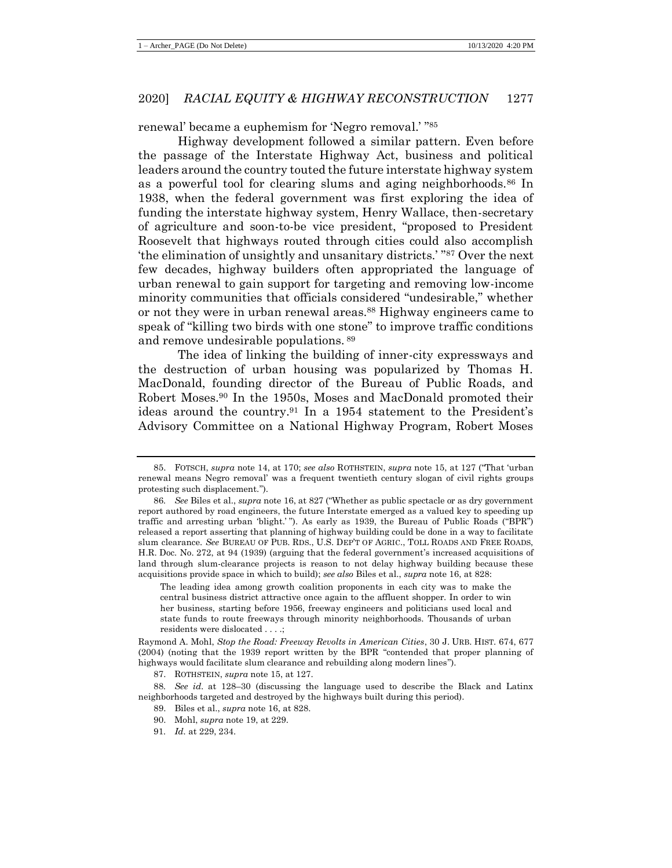renewal' became a euphemism for 'Negro removal.' " 85

<span id="page-19-0"></span>Highway development followed a similar pattern. Even before the passage of the Interstate Highway Act, business and political leaders around the country touted the future interstate highway system as a powerful tool for clearing slums and aging neighborhoods.<sup>86</sup> In 1938, when the federal government was first exploring the idea of funding the interstate highway system, Henry Wallace, then-secretary of agriculture and soon-to-be vice president, "proposed to President Roosevelt that highways routed through cities could also accomplish 'the elimination of unsightly and unsanitary districts.' " <sup>87</sup> Over the next few decades, highway builders often appropriated the language of urban renewal to gain support for targeting and removing low-income minority communities that officials considered "undesirable," whether or not they were in urban renewal areas.<sup>88</sup> Highway engineers came to speak of "killing two birds with one stone" to improve traffic conditions and remove undesirable populations. <sup>89</sup>

The idea of linking the building of inner-city expressways and the destruction of urban housing was popularized by Thomas H. MacDonald, founding director of the Bureau of Public Roads, and Robert Moses.<sup>90</sup> In the 1950s, Moses and MacDonald promoted their ideas around the country.<sup>91</sup> In a 1954 statement to the President's Advisory Committee on a National Highway Program, Robert Moses

<sup>85.</sup> FOTSCH, *supra* note [14,](#page-5-2) at 170; *see also* ROTHSTEIN, *supra* note [15,](#page-6-1) at 127 ("That 'urban renewal means Negro removal' was a frequent twentieth century slogan of civil rights groups protesting such displacement.").

<sup>86</sup>*. See* Biles et al., *supra* not[e 16,](#page-6-0) at 827 ("Whether as public spectacle or as dry government report authored by road engineers, the future Interstate emerged as a valued key to speeding up traffic and arresting urban 'blight.' "). As early as 1939, the Bureau of Public Roads ("BPR") released a report asserting that planning of highway building could be done in a way to facilitate slum clearance. *See* BUREAU OF PUB. RDS., U.S. DEP'T OF AGRIC., TOLL ROADS AND FREE ROADS, H.R. Doc. No. 272, at 94 (1939) (arguing that the federal government's increased acquisitions of land through slum-clearance projects is reason to not delay highway building because these acquisitions provide space in which to build); *see also* Biles et al., *supra* not[e 16,](#page-6-0) at 828:

The leading idea among growth coalition proponents in each city was to make the central business district attractive once again to the affluent shopper. In order to win her business, starting before 1956, freeway engineers and politicians used local and state funds to route freeways through minority neighborhoods. Thousands of urban residents were dislocated . . . .;

Raymond A. Mohl, *Stop the Road: Freeway Revolts in American Cities*, 30 J. URB. HIST. 674, 677 (2004) (noting that the 1939 report written by the BPR "contended that proper planning of highways would facilitate slum clearance and rebuilding along modern lines").

<sup>87.</sup> ROTHSTEIN, *supra* not[e 15,](#page-6-1) at 127.

<sup>88</sup>*. See id.* at 128–30 (discussing the language used to describe the Black and Latinx neighborhoods targeted and destroyed by the highways built during this period).

<sup>89.</sup> Biles et al., *supra* not[e 16,](#page-6-0) at 828.

<sup>90.</sup> Mohl, *supra* note [19,](#page-7-2) at 229.

<sup>91</sup>*. Id.* at 229, 234.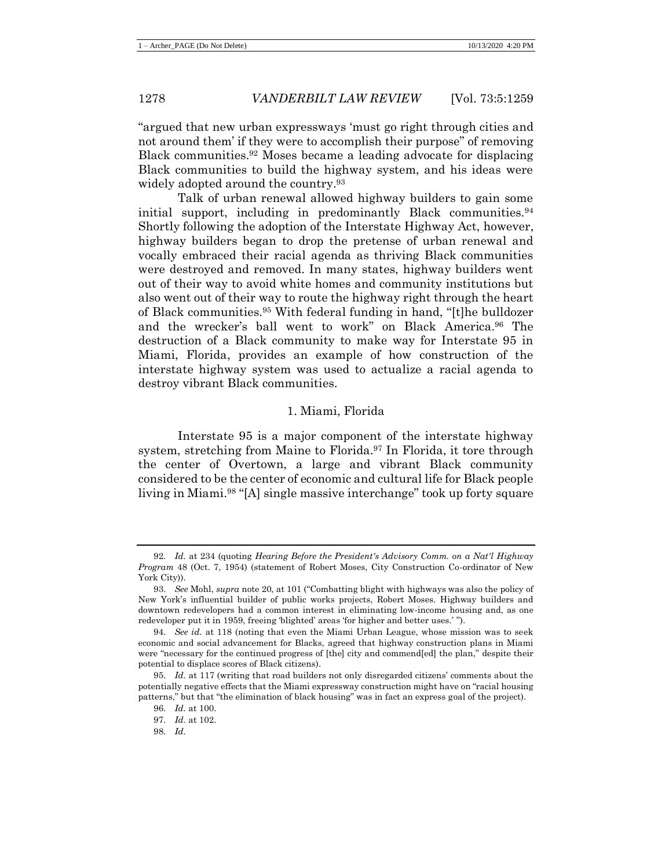"argued that new urban expressways 'must go right through cities and not around them' if they were to accomplish their purpose" of removing Black communities.<sup>92</sup> Moses became a leading advocate for displacing Black communities to build the highway system, and his ideas were widely adopted around the country.<sup>93</sup>

Talk of urban renewal allowed highway builders to gain some initial support, including in predominantly Black communities.<sup>94</sup> Shortly following the adoption of the Interstate Highway Act, however, highway builders began to drop the pretense of urban renewal and vocally embraced their racial agenda as thriving Black communities were destroyed and removed. In many states, highway builders went out of their way to avoid white homes and community institutions but also went out of their way to route the highway right through the heart of Black communities.<sup>95</sup> With federal funding in hand, "[t]he bulldozer and the wrecker's ball went to work" on Black America.<sup>96</sup> The destruction of a Black community to make way for Interstate 95 in Miami, Florida, provides an example of how construction of the interstate highway system was used to actualize a racial agenda to destroy vibrant Black communities.

#### 1. Miami, Florida

Interstate 95 is a major component of the interstate highway system, stretching from Maine to Florida.<sup>97</sup> In Florida, it tore through the center of Overtown, a large and vibrant Black community considered to be the center of economic and cultural life for Black people living in Miami.<sup>98</sup> "[A] single massive interchange" took up forty square

<sup>92</sup>*. Id.* at 234 (quoting *Hearing Before the President's Advisory Comm. on a Nat'l Highway Program* 48 (Oct. 7, 1954) (statement of Robert Moses, City Construction Co-ordinator of New York City)).

<sup>93.</sup> *See* Mohl, *supra* not[e 20,](#page-7-0) at 101 ("Combatting blight with highways was also the policy of New York's influential builder of public works projects, Robert Moses. Highway builders and downtown redevelopers had a common interest in eliminating low-income housing and, as one redeveloper put it in 1959, freeing 'blighted' areas 'for higher and better uses.' ").

<sup>94.</sup> *See id.* at 118 (noting that even the Miami Urban League, whose mission was to seek economic and social advancement for Blacks, agreed that highway construction plans in Miami were "necessary for the continued progress of [the] city and commend[ed] the plan," despite their potential to displace scores of Black citizens).

<sup>95.</sup> *Id.* at 117 (writing that road builders not only disregarded citizens' comments about the potentially negative effects that the Miami expressway construction might have on "racial housing patterns," but that "the elimination of black housing" was in fact an express goal of the project).

<sup>96</sup>*. Id.* at 100.

<sup>97</sup>*. Id.* at 102.

<sup>98</sup>*. Id.*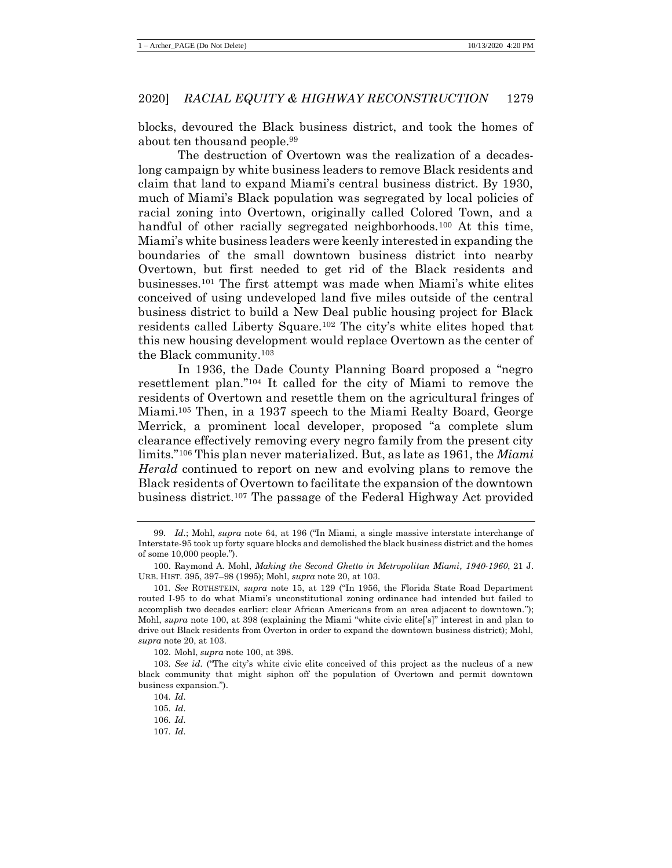blocks, devoured the Black business district, and took the homes of about ten thousand people.<sup>99</sup>

<span id="page-21-0"></span>The destruction of Overtown was the realization of a decadeslong campaign by white business leaders to remove Black residents and claim that land to expand Miami's central business district. By 1930, much of Miami's Black population was segregated by local policies of racial zoning into Overtown, originally called Colored Town, and a handful of other racially segregated neighborhoods.<sup>100</sup> At this time, Miami's white business leaders were keenly interested in expanding the boundaries of the small downtown business district into nearby Overtown, but first needed to get rid of the Black residents and businesses.<sup>101</sup> The first attempt was made when Miami's white elites conceived of using undeveloped land five miles outside of the central business district to build a New Deal public housing project for Black residents called Liberty Square.<sup>102</sup> The city's white elites hoped that this new housing development would replace Overtown as the center of the Black community.<sup>103</sup>

In 1936, the Dade County Planning Board proposed a "negro resettlement plan."<sup>104</sup> It called for the city of Miami to remove the residents of Overtown and resettle them on the agricultural fringes of Miami.<sup>105</sup> Then, in a 1937 speech to the Miami Realty Board, George Merrick, a prominent local developer, proposed "a complete slum clearance effectively removing every negro family from the present city limits."<sup>106</sup> This plan never materialized. But, as late as 1961, the *Miami Herald* continued to report on new and evolving plans to remove the Black residents of Overtown to facilitate the expansion of the downtown business district.<sup>107</sup> The passage of the Federal Highway Act provided

<sup>99</sup>*. Id.*; Mohl, *supra* note [64,](#page-15-0) at 196 ("In Miami, a single massive interstate interchange of Interstate-95 took up forty square blocks and demolished the black business district and the homes of some 10,000 people.").

<sup>100.</sup> Raymond A. Mohl, *Making the Second Ghetto in Metropolitan Miami, 1940-1960*, 21 J. URB. HIST. 395, 397–98 (1995); Mohl, *supra* not[e 20,](#page-7-0) at 103.

<sup>101</sup>*. See* ROTHSTEIN, *supra* note [15,](#page-6-1) at 129 ("In 1956, the Florida State Road Department routed I-95 to do what Miami's unconstitutional zoning ordinance had intended but failed to accomplish two decades earlier: clear African Americans from an area adjacent to downtown."); Mohl, *supra* note [100,](#page-21-0) at 398 (explaining the Miami "white civic elite<sup>['s]</sup>" interest in and plan to drive out Black residents from Overton in order to expand the downtown business district); Mohl, *supra* not[e 20,](#page-7-0) at 103.

<sup>102.</sup> Mohl, *supra* note [100,](#page-21-0) at 398.

<sup>103</sup>*. See id.* ("The city's white civic elite conceived of this project as the nucleus of a new black community that might siphon off the population of Overtown and permit downtown business expansion.").

<sup>104</sup>*. Id.*

<sup>105</sup>*. Id.*

<sup>106</sup>*. Id.*

<sup>107</sup>*. Id.*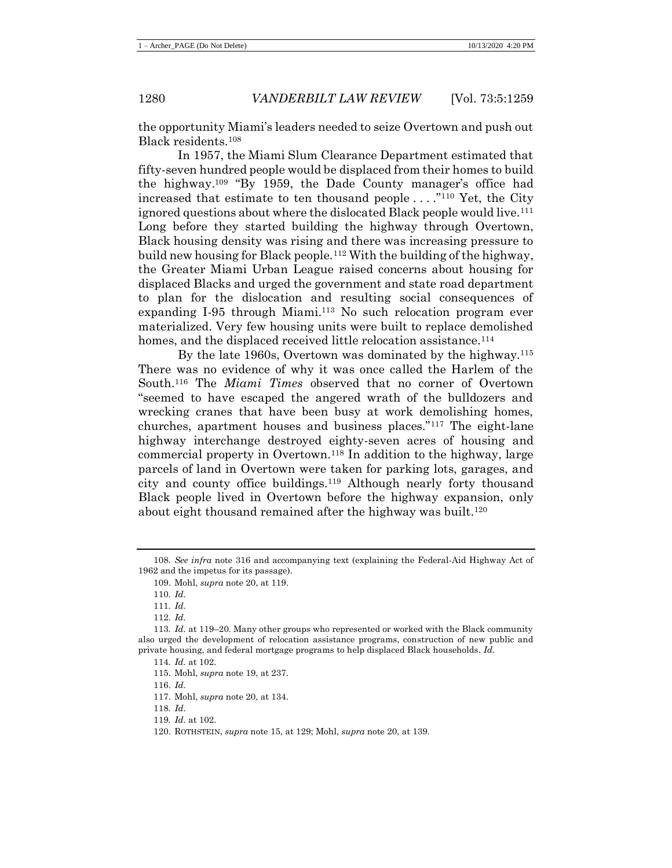the opportunity Miami's leaders needed to seize Overtown and push out Black residents.<sup>108</sup>

In 1957, the Miami Slum Clearance Department estimated that fifty-seven hundred people would be displaced from their homes to build the highway.<sup>109</sup> "By 1959, the Dade County manager's office had increased that estimate to ten thousand people  $\dots$ ."<sup>110</sup> Yet, the City ignored questions about where the dislocated Black people would live.<sup>111</sup> Long before they started building the highway through Overtown, Black housing density was rising and there was increasing pressure to build new housing for Black people.<sup>112</sup> With the building of the highway, the Greater Miami Urban League raised concerns about housing for displaced Blacks and urged the government and state road department to plan for the dislocation and resulting social consequences of expanding I-95 through Miami.<sup>113</sup> No such relocation program ever materialized. Very few housing units were built to replace demolished homes, and the displaced received little relocation assistance.<sup>114</sup>

By the late 1960s, Overtown was dominated by the highway.<sup>115</sup> There was no evidence of why it was once called the Harlem of the South.<sup>116</sup> The *Miami Times* observed that no corner of Overtown "seemed to have escaped the angered wrath of the bulldozers and wrecking cranes that have been busy at work demolishing homes, churches, apartment houses and business places."<sup>117</sup> The eight-lane highway interchange destroyed eighty-seven acres of housing and commercial property in Overtown.<sup>118</sup> In addition to the highway, large parcels of land in Overtown were taken for parking lots, garages, and city and county office buildings.<sup>119</sup> Although nearly forty thousand Black people lived in Overtown before the highway expansion, only about eight thousand remained after the highway was built.<sup>120</sup>

116. *Id.*

118*. Id.*

<sup>108</sup>*. See infra* note [316](#page-53-0) and accompanying text (explaining the Federal-Aid Highway Act of 1962 and the impetus for its passage).

<sup>109.</sup> Mohl, *supra* note [20,](#page-7-0) at 119.

<sup>110</sup>*. Id.*

<sup>111</sup>*. Id.*

<sup>112</sup>*. Id.*

<sup>113</sup>*. Id.* at 119–20. Many other groups who represented or worked with the Black community also urged the development of relocation assistance programs, construction of new public and private housing, and federal mortgage programs to help displaced Black households. *Id.*

<sup>114</sup>*. Id.* at 102.

<sup>115.</sup> Mohl, *supra* note [19,](#page-7-2) at 237.

<sup>117.</sup> Mohl, *supra* note [20,](#page-7-0) at 134.

<sup>119</sup>*. Id.* at 102.

<sup>120.</sup> ROTHSTEIN, *supra* not[e 15,](#page-6-1) at 129; Mohl, *supra* not[e 20,](#page-7-0) at 139.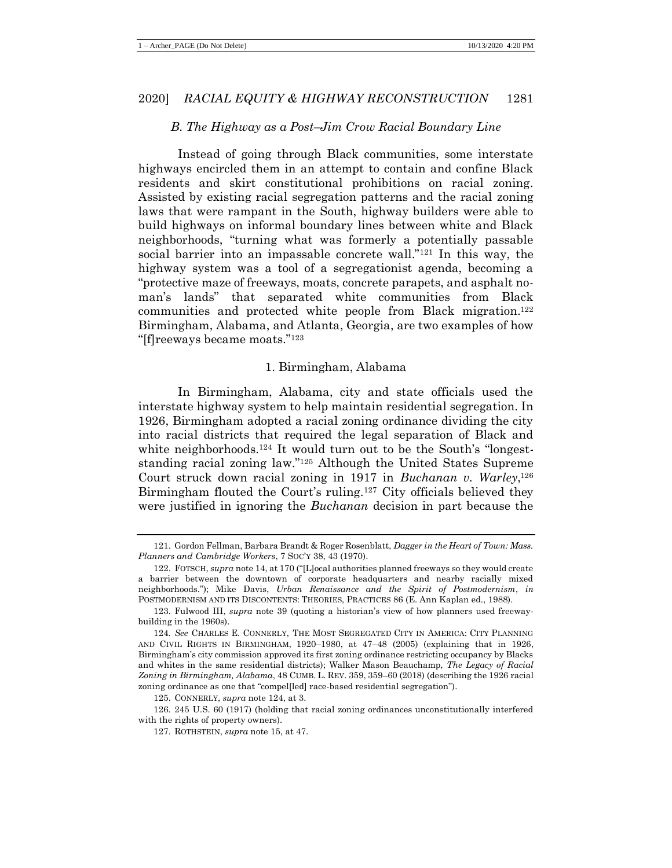#### *B. The Highway as a Post–Jim Crow Racial Boundary Line*

Instead of going through Black communities, some interstate highways encircled them in an attempt to contain and confine Black residents and skirt constitutional prohibitions on racial zoning. Assisted by existing racial segregation patterns and the racial zoning laws that were rampant in the South, highway builders were able to build highways on informal boundary lines between white and Black neighborhoods, "turning what was formerly a potentially passable social barrier into an impassable concrete wall."<sup>121</sup> In this way, the highway system was a tool of a segregationist agenda, becoming a "protective maze of freeways, moats, concrete parapets, and asphalt noman's lands" that separated white communities from Black communities and protected white people from Black migration.<sup>122</sup> Birmingham, Alabama, and Atlanta, Georgia, are two examples of how "[f]reeways became moats."<sup>123</sup>

#### <span id="page-23-0"></span>1. Birmingham, Alabama

In Birmingham, Alabama, city and state officials used the interstate highway system to help maintain residential segregation. In 1926, Birmingham adopted a racial zoning ordinance dividing the city into racial districts that required the legal separation of Black and white neighborhoods.<sup>124</sup> It would turn out to be the South's "longeststanding racial zoning law."<sup>125</sup> Although the United States Supreme Court struck down racial zoning in 1917 in *Buchanan v. Warley*, 126 Birmingham flouted the Court's ruling.<sup>127</sup> City officials believed they were justified in ignoring the *Buchanan* decision in part because the

126*.* 245 U.S. 60 (1917) (holding that racial zoning ordinances unconstitutionally interfered with the rights of property owners).

<sup>121.</sup> Gordon Fellman, Barbara Brandt & Roger Rosenblatt, *Dagger in the Heart of Town: Mass. Planners and Cambridge Workers*, 7 SOC'Y 38, 43 (1970).

<sup>122.</sup> FOTSCH, *supra* not[e 14,](#page-5-2) at 170 ("[L]ocal authorities planned freeways so they would create a barrier between the downtown of corporate headquarters and nearby racially mixed neighborhoods."); Mike Davis, *Urban Renaissance and the Spirit of Postmodernism*, *in* POSTMODERNISM AND ITS DISCONTENTS: THEORIES, PRACTICES 86 (E. Ann Kaplan ed., 1988).

<sup>123.</sup> Fulwood III, *supra* note [39](#page-9-0) (quoting a historian's view of how planners used freewaybuilding in the 1960s).

<sup>124</sup>*. See* CHARLES E. CONNERLY, THE MOST SEGREGATED CITY IN AMERICA: CITY PLANNING AND CIVIL RIGHTS IN BIRMINGHAM, 1920–1980, at 47–48 (2005) (explaining that in 1926, Birmingham's city commission approved its first zoning ordinance restricting occupancy by Blacks and whites in the same residential districts); Walker Mason Beauchamp, *The Legacy of Racial Zoning in Birmingham, Alabama*, 48 CUMB. L. REV. 359, 359–60 (2018) (describing the 1926 racial zoning ordinance as one that "compel[led] race-based residential segregation").

<sup>125.</sup> CONNERLY, *supra* note [124,](#page-23-0) at 3.

<sup>127.</sup> ROTHSTEIN, *supra* not[e 15,](#page-6-1) at 47.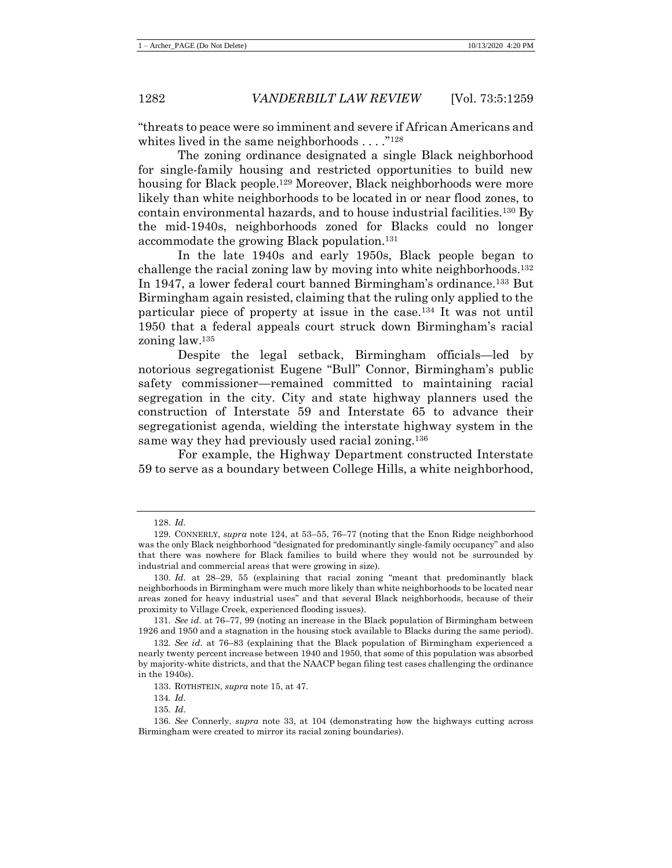"threats to peace were so imminent and severe if African Americans and whites lived in the same neighborhoods  $\dots$ ."<sup>128</sup>

The zoning ordinance designated a single Black neighborhood for single-family housing and restricted opportunities to build new housing for Black people.<sup>129</sup> Moreover, Black neighborhoods were more likely than white neighborhoods to be located in or near flood zones, to contain environmental hazards, and to house industrial facilities.<sup>130</sup> By the mid-1940s, neighborhoods zoned for Blacks could no longer accommodate the growing Black population.<sup>131</sup>

In the late 1940s and early 1950s, Black people began to challenge the racial zoning law by moving into white neighborhoods.<sup>132</sup> In 1947, a lower federal court banned Birmingham's ordinance.<sup>133</sup> But Birmingham again resisted, claiming that the ruling only applied to the particular piece of property at issue in the case.<sup>134</sup> It was not until 1950 that a federal appeals court struck down Birmingham's racial zoning law.<sup>135</sup>

Despite the legal setback, Birmingham officials—led by notorious segregationist Eugene "Bull" Connor, Birmingham's public safety commissioner—remained committed to maintaining racial segregation in the city. City and state highway planners used the construction of Interstate 59 and Interstate 65 to advance their segregationist agenda, wielding the interstate highway system in the same way they had previously used racial zoning.<sup>136</sup>

For example, the Highway Department constructed Interstate 59 to serve as a boundary between College Hills, a white neighborhood,

<sup>128.</sup> *Id.*

<sup>129.</sup> CONNERLY, *supra* note [124,](#page-23-0) at 53–55, 76–77 (noting that the Enon Ridge neighborhood was the only Black neighborhood "designated for predominantly single-family occupancy" and also that there was nowhere for Black families to build where they would not be surrounded by industrial and commercial areas that were growing in size).

<sup>130</sup>*. Id.* at 28–29, 55 (explaining that racial zoning "meant that predominantly black neighborhoods in Birmingham were much more likely than white neighborhoods to be located near areas zoned for heavy industrial uses" and that several Black neighborhoods, because of their proximity to Village Creek, experienced flooding issues).

<sup>131</sup>*. See id.* at 76–77, 99 (noting an increase in the Black population of Birmingham between 1926 and 1950 and a stagnation in the housing stock available to Blacks during the same period).

<sup>132</sup>*. See id.* at 76–83 (explaining that the Black population of Birmingham experienced a nearly twenty percent increase between 1940 and 1950, that some of this population was absorbed by majority-white districts, and that the NAACP began filing test cases challenging the ordinance in the 1940s).

<sup>133.</sup> ROTHSTEIN, *supra* not[e 15,](#page-6-1) at 47.

<sup>134</sup>*. Id.*

<sup>135</sup>*. Id.*

<sup>136</sup>*. See* Connerly, *supra* note [33,](#page-8-1) at 104 (demonstrating how the highways cutting across Birmingham were created to mirror its racial zoning boundaries).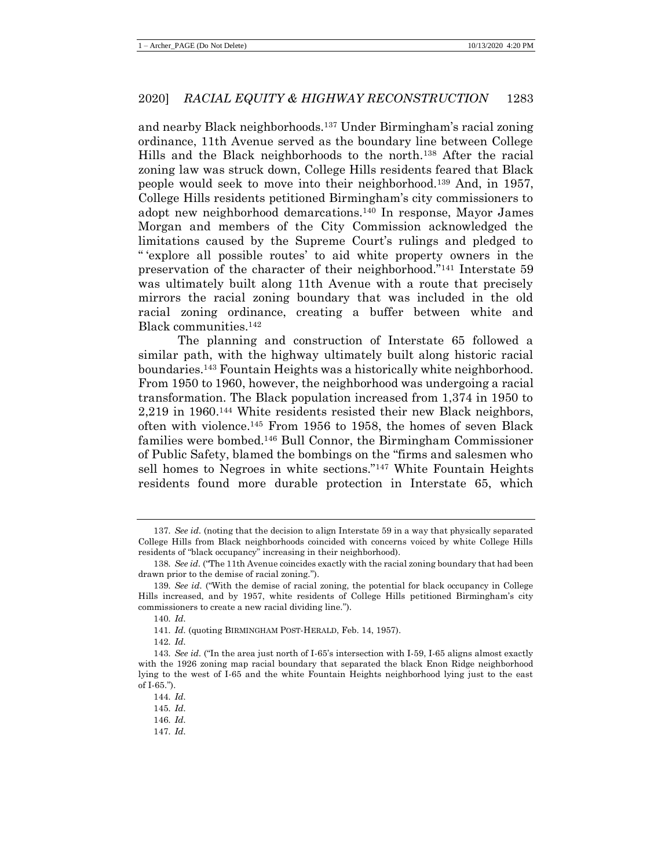and nearby Black neighborhoods.<sup>137</sup> Under Birmingham's racial zoning ordinance, 11th Avenue served as the boundary line between College Hills and the Black neighborhoods to the north.<sup>138</sup> After the racial zoning law was struck down, College Hills residents feared that Black people would seek to move into their neighborhood.<sup>139</sup> And, in 1957, College Hills residents petitioned Birmingham's city commissioners to adopt new neighborhood demarcations.<sup>140</sup> In response, Mayor James Morgan and members of the City Commission acknowledged the limitations caused by the Supreme Court's rulings and pledged to " 'explore all possible routes' to aid white property owners in the preservation of the character of their neighborhood."<sup>141</sup> Interstate 59 was ultimately built along 11th Avenue with a route that precisely mirrors the racial zoning boundary that was included in the old racial zoning ordinance, creating a buffer between white and Black communities.<sup>142</sup>

The planning and construction of Interstate 65 followed a similar path, with the highway ultimately built along historic racial boundaries.<sup>143</sup> Fountain Heights was a historically white neighborhood. From 1950 to 1960, however, the neighborhood was undergoing a racial transformation. The Black population increased from 1,374 in 1950 to 2,219 in 1960.<sup>144</sup> White residents resisted their new Black neighbors, often with violence.<sup>145</sup> From 1956 to 1958, the homes of seven Black families were bombed.<sup>146</sup> Bull Connor, the Birmingham Commissioner of Public Safety, blamed the bombings on the "firms and salesmen who sell homes to Negroes in white sections."<sup>147</sup> White Fountain Heights residents found more durable protection in Interstate 65, which

<sup>137</sup>*. See id.* (noting that the decision to align Interstate 59 in a way that physically separated College Hills from Black neighborhoods coincided with concerns voiced by white College Hills residents of "black occupancy" increasing in their neighborhood).

<sup>138</sup>*. See id.* ("The 11th Avenue coincides exactly with the racial zoning boundary that had been drawn prior to the demise of racial zoning.").

<sup>139</sup>*. See id.* ("With the demise of racial zoning, the potential for black occupancy in College Hills increased, and by 1957, white residents of College Hills petitioned Birmingham's city commissioners to create a new racial dividing line.").

<sup>140</sup>*. Id.*

<sup>141</sup>*. Id.* (quoting BIRMINGHAM POST-HERALD, Feb. 14, 1957).

<sup>142</sup>*. Id.*

<sup>143</sup>*. See id.* ("In the area just north of I-65's intersection with I-59, I-65 aligns almost exactly with the 1926 zoning map racial boundary that separated the black Enon Ridge neighborhood lying to the west of I-65 and the white Fountain Heights neighborhood lying just to the east of I-65.").

<sup>144</sup>*. Id.*

<sup>145</sup>*. Id.*

<sup>146</sup>*. Id.*

<sup>147</sup>*. Id.*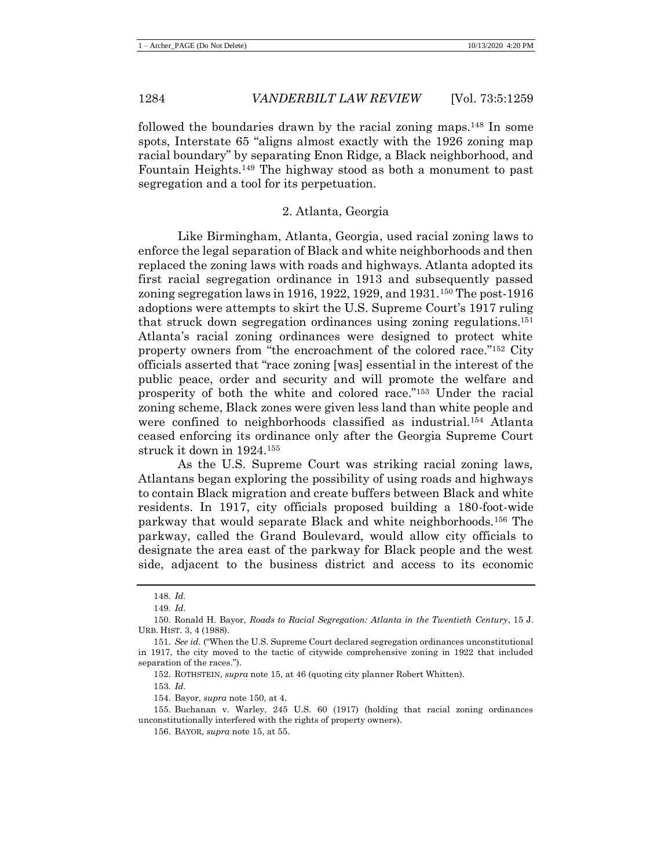followed the boundaries drawn by the racial zoning maps.<sup>148</sup> In some spots, Interstate 65 "aligns almost exactly with the 1926 zoning map racial boundary" by separating Enon Ridge, a Black neighborhood, and Fountain Heights.<sup>149</sup> The highway stood as both a monument to past segregation and a tool for its perpetuation.

#### <span id="page-26-0"></span>2. Atlanta, Georgia

Like Birmingham, Atlanta, Georgia, used racial zoning laws to enforce the legal separation of Black and white neighborhoods and then replaced the zoning laws with roads and highways. Atlanta adopted its first racial segregation ordinance in 1913 and subsequently passed zoning segregation laws in 1916, 1922, 1929, and 1931.<sup>150</sup> The post-1916 adoptions were attempts to skirt the U.S. Supreme Court's 1917 ruling that struck down segregation ordinances using zoning regulations.<sup>151</sup> Atlanta's racial zoning ordinances were designed to protect white property owners from "the encroachment of the colored race."<sup>152</sup> City officials asserted that "race zoning [was] essential in the interest of the public peace, order and security and will promote the welfare and prosperity of both the white and colored race."<sup>153</sup> Under the racial zoning scheme, Black zones were given less land than white people and were confined to neighborhoods classified as industrial.<sup>154</sup> Atlanta ceased enforcing its ordinance only after the Georgia Supreme Court struck it down in 1924.<sup>155</sup>

As the U.S. Supreme Court was striking racial zoning laws, Atlantans began exploring the possibility of using roads and highways to contain Black migration and create buffers between Black and white residents. In 1917, city officials proposed building a 180-foot-wide parkway that would separate Black and white neighborhoods.<sup>156</sup> The parkway, called the Grand Boulevard, would allow city officials to designate the area east of the parkway for Black people and the west side, adjacent to the business district and access to its economic

153*. Id.*

<sup>148</sup>*. Id.*

<sup>149</sup>*. Id.*

<sup>150.</sup> Ronald H. Bayor, *Roads to Racial Segregation: Atlanta in the Twentieth Century*, 15 J. URB. HIST. 3, 4 (1988).

<sup>151</sup>*. See id.* ("When the U.S. Supreme Court declared segregation ordinances unconstitutional in 1917, the city moved to the tactic of citywide comprehensive zoning in 1922 that included separation of the races.").

<sup>152.</sup> ROTHSTEIN, *supra* not[e 15,](#page-6-1) at 46 (quoting city planner Robert Whitten).

<sup>154.</sup> Bayor, *supra* note [150,](#page-26-0) at 4.

<sup>155.</sup> Buchanan v. Warley, 245 U.S. 60 (1917) (holding that racial zoning ordinances unconstitutionally interfered with the rights of property owners).

<sup>156.</sup> BAYOR, *supra* note [15,](#page-6-1) at 55.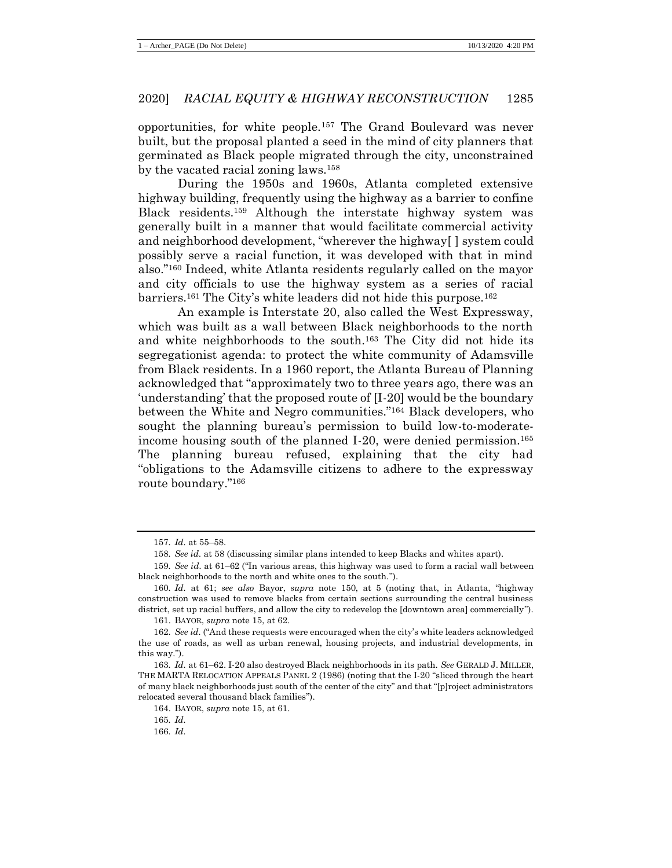opportunities, for white people.<sup>157</sup> The Grand Boulevard was never built, but the proposal planted a seed in the mind of city planners that germinated as Black people migrated through the city, unconstrained by the vacated racial zoning laws.<sup>158</sup>

During the 1950s and 1960s, Atlanta completed extensive highway building, frequently using the highway as a barrier to confine Black residents.<sup>159</sup> Although the interstate highway system was generally built in a manner that would facilitate commercial activity and neighborhood development, "wherever the highway[ ] system could possibly serve a racial function, it was developed with that in mind also."<sup>160</sup> Indeed, white Atlanta residents regularly called on the mayor and city officials to use the highway system as a series of racial barriers.<sup>161</sup> The City's white leaders did not hide this purpose.<sup>162</sup>

An example is Interstate 20, also called the West Expressway, which was built as a wall between Black neighborhoods to the north and white neighborhoods to the south.<sup>163</sup> The City did not hide its segregationist agenda: to protect the white community of Adamsville from Black residents. In a 1960 report, the Atlanta Bureau of Planning acknowledged that "approximately two to three years ago, there was an 'understanding' that the proposed route of [I-20] would be the boundary between the White and Negro communities."<sup>164</sup> Black developers, who sought the planning bureau's permission to build low-to-moderateincome housing south of the planned I-20, were denied permission.<sup>165</sup> The planning bureau refused, explaining that the city had "obligations to the Adamsville citizens to adhere to the expressway route boundary."<sup>166</sup>

<sup>157</sup>*. Id.* at 55–58.

<sup>158</sup>*. See id.* at 58 (discussing similar plans intended to keep Blacks and whites apart).

<sup>159</sup>*. See id.* at 61–62 ("In various areas, this highway was used to form a racial wall between black neighborhoods to the north and white ones to the south.").

<sup>160</sup>*. Id.* at 61; *see also* Bayor, *supra* note [150,](#page-26-0) at 5 (noting that, in Atlanta, "highway construction was used to remove blacks from certain sections surrounding the central business district, set up racial buffers, and allow the city to redevelop the [downtown area] commercially").

<sup>161.</sup> BAYOR, *supra* note [15,](#page-6-1) at 62.

<sup>162</sup>*. See id.* ("And these requests were encouraged when the city's white leaders acknowledged the use of roads, as well as urban renewal, housing projects, and industrial developments, in this way.").

<sup>163</sup>*. Id.* at 61–62. I-20 also destroyed Black neighborhoods in its path. *See* GERALD J. MILLER, THE MARTA RELOCATION APPEALS PANEL 2 (1986) (noting that the I-20 "sliced through the heart of many black neighborhoods just south of the center of the city" and that "[p]roject administrators relocated several thousand black families").

<sup>164.</sup> BAYOR, *supra* note [15,](#page-6-1) at 61.

<sup>165</sup>*. Id.*

<sup>166</sup>*. Id.*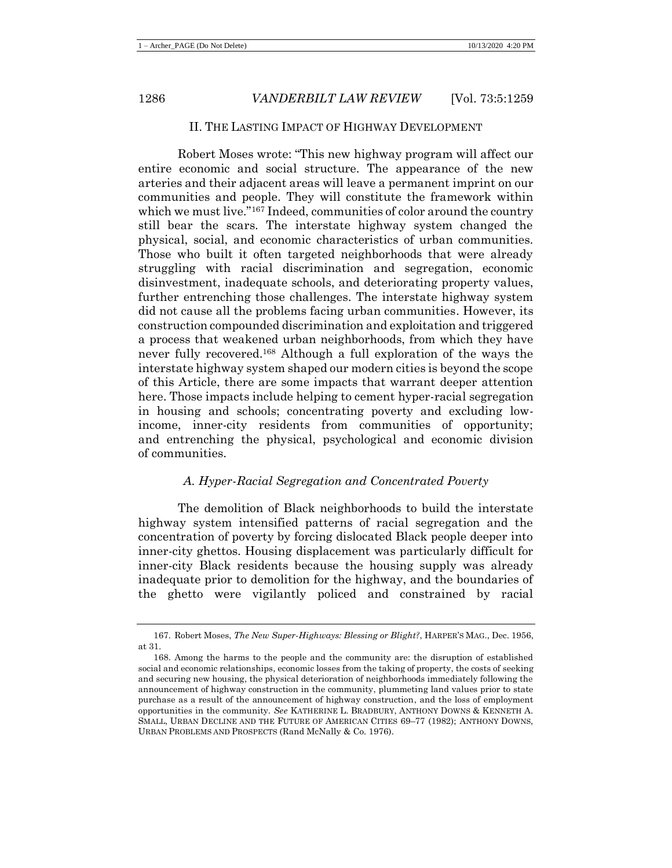#### II. THE LASTING IMPACT OF HIGHWAY DEVELOPMENT

Robert Moses wrote: "This new highway program will affect our entire economic and social structure. The appearance of the new arteries and their adjacent areas will leave a permanent imprint on our communities and people. They will constitute the framework within which we must live."<sup>167</sup> Indeed, communities of color around the country still bear the scars. The interstate highway system changed the physical, social, and economic characteristics of urban communities. Those who built it often targeted neighborhoods that were already struggling with racial discrimination and segregation, economic disinvestment, inadequate schools, and deteriorating property values, further entrenching those challenges. The interstate highway system did not cause all the problems facing urban communities. However, its construction compounded discrimination and exploitation and triggered a process that weakened urban neighborhoods, from which they have never fully recovered.<sup>168</sup> Although a full exploration of the ways the interstate highway system shaped our modern cities is beyond the scope of this Article, there are some impacts that warrant deeper attention here. Those impacts include helping to cement hyper-racial segregation in housing and schools; concentrating poverty and excluding lowincome, inner-city residents from communities of opportunity; and entrenching the physical, psychological and economic division of communities.

#### <span id="page-28-0"></span>*A. Hyper-Racial Segregation and Concentrated Poverty*

The demolition of Black neighborhoods to build the interstate highway system intensified patterns of racial segregation and the concentration of poverty by forcing dislocated Black people deeper into inner-city ghettos. Housing displacement was particularly difficult for inner-city Black residents because the housing supply was already inadequate prior to demolition for the highway, and the boundaries of the ghetto were vigilantly policed and constrained by racial

<sup>167.</sup> Robert Moses, *The New Super-Highways: Blessing or Blight?*, HARPER'S MAG., Dec. 1956, at 31.

<sup>168.</sup> Among the harms to the people and the community are: the disruption of established social and economic relationships, economic losses from the taking of property, the costs of seeking and securing new housing, the physical deterioration of neighborhoods immediately following the announcement of highway construction in the community, plummeting land values prior to state purchase as a result of the announcement of highway construction, and the loss of employment opportunities in the community. *See* KATHERINE L. BRADBURY, ANTHONY DOWNS & KENNETH A. SMALL, URBAN DECLINE AND THE FUTURE OF AMERICAN CITIES 69–77 (1982); ANTHONY DOWNS, URBAN PROBLEMS AND PROSPECTS (Rand McNally & Co. 1976).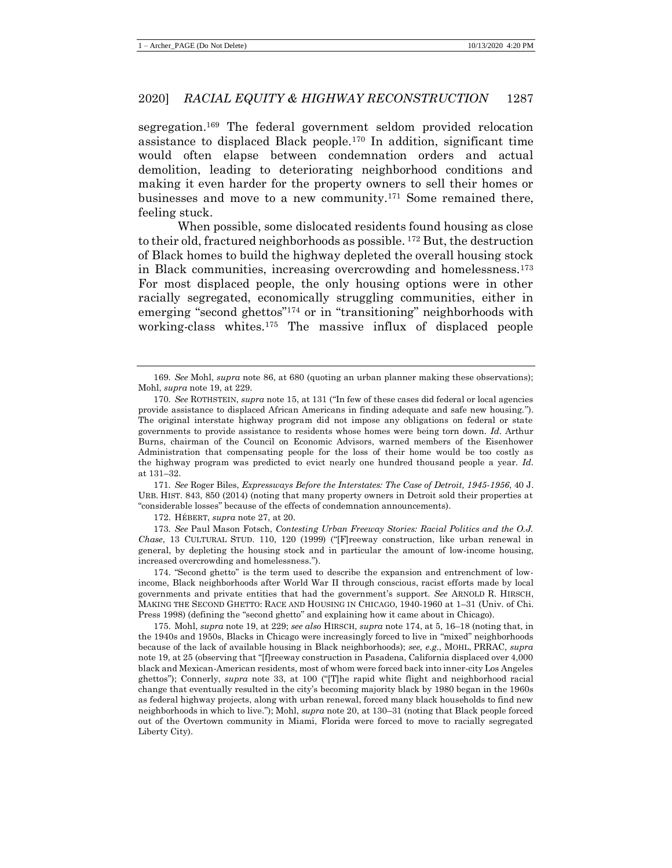segregation.<sup>169</sup> The federal government seldom provided relocation assistance to displaced Black people.<sup>170</sup> In addition, significant time would often elapse between condemnation orders and actual demolition, leading to deteriorating neighborhood conditions and making it even harder for the property owners to sell their homes or businesses and move to a new community.<sup>171</sup> Some remained there, feeling stuck.

When possible, some dislocated residents found housing as close to their old, fractured neighborhoods as possible. <sup>172</sup> But, the destruction of Black homes to build the highway depleted the overall housing stock in Black communities, increasing overcrowding and homelessness.<sup>173</sup> For most displaced people, the only housing options were in other racially segregated, economically struggling communities, either in emerging "second ghettos"<sup>174</sup> or in "transitioning" neighborhoods with working-class whites.<sup>175</sup> The massive influx of displaced people

171*. See* Roger Biles, *Expressways Before the Interstates: The Case of Detroit, 1945-1956*, 40 J. URB. HIST. 843, 850 (2014) (noting that many property owners in Detroit sold their properties at "considerable losses" because of the effects of condemnation announcements).

172. HÉBERT, *supra* note [27,](#page-8-0) at 20.

173*. See* Paul Mason Fotsch, *Contesting Urban Freeway Stories: Racial Politics and the O.J. Chase*, 13 CULTURAL STUD. 110, 120 (1999) ("[F]reeway construction, like urban renewal in general, by depleting the housing stock and in particular the amount of low-income housing, increased overcrowding and homelessness.").

174. "Second ghetto" is the term used to describe the expansion and entrenchment of lowincome, Black neighborhoods after World War II through conscious, racist efforts made by local governments and private entities that had the government's support. *See* ARNOLD R. HIRSCH, MAKING THE SECOND GHETTO: RACE AND HOUSING IN CHICAGO, 1940-1960 at 1–31 (Univ. of Chi. Press 1998) (defining the "second ghetto" and explaining how it came about in Chicago).

175. Mohl, *supra* note [19,](#page-7-2) at 229; *see also* HIRSCH, *supra* not[e 174,](#page-29-0) at 5, 16–18 (noting that, in the 1940s and 1950s, Blacks in Chicago were increasingly forced to live in "mixed" neighborhoods because of the lack of available housing in Black neighborhoods); *see, e.g*., MOHL, PRRAC, *supra*  not[e 19,](#page-7-2) at 25 (observing that "[f]reeway construction in Pasadena, California displaced over 4,000 black and Mexican-American residents, most of whom were forced back into inner-city Los Angeles ghettos"); Connerly, *supra* note [33,](#page-8-1) at 100 ("[T]he rapid white flight and neighborhood racial change that eventually resulted in the city's becoming majority black by 1980 began in the 1960s as federal highway projects, along with urban renewal, forced many black households to find new neighborhoods in which to live."); Mohl, *supra* note [20,](#page-7-0) at 130–31 (noting that Black people forced out of the Overtown community in Miami, Florida were forced to move to racially segregated Liberty City).

<span id="page-29-0"></span><sup>169</sup>*. See* Mohl, *supra* note [86,](#page-19-0) at 680 (quoting an urban planner making these observations); Mohl, *supra* note [19,](#page-7-2) at 229.

<sup>170</sup>*. See* ROTHSTEIN, *supra* not[e 15,](#page-6-1) at 131 ("In few of these cases did federal or local agencies provide assistance to displaced African Americans in finding adequate and safe new housing."). The original interstate highway program did not impose any obligations on federal or state governments to provide assistance to residents whose homes were being torn down. *Id.* Arthur Burns, chairman of the Council on Economic Advisors, warned members of the Eisenhower Administration that compensating people for the loss of their home would be too costly as the highway program was predicted to evict nearly one hundred thousand people a year. *Id.* at 131–32.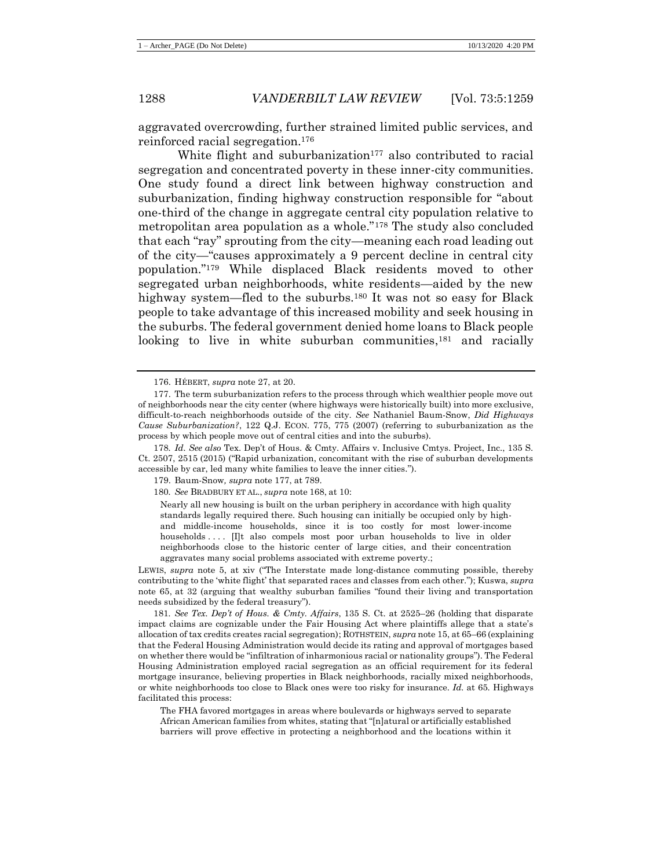aggravated overcrowding, further strained limited public services, and reinforced racial segregation.<sup>176</sup>

<span id="page-30-0"></span>White flight and suburbanization<sup>177</sup> also contributed to racial segregation and concentrated poverty in these inner-city communities. One study found a direct link between highway construction and suburbanization, finding highway construction responsible for "about one-third of the change in aggregate central city population relative to metropolitan area population as a whole."<sup>178</sup> The study also concluded that each "ray" sprouting from the city—meaning each road leading out of the city—"causes approximately a 9 percent decline in central city population."<sup>179</sup> While displaced Black residents moved to other segregated urban neighborhoods, white residents—aided by the new highway system—fled to the suburbs.<sup>180</sup> It was not so easy for Black people to take advantage of this increased mobility and seek housing in the suburbs. The federal government denied home loans to Black people looking to live in white suburban communities,<sup>181</sup> and racially

LEWIS, *supra* note [5,](#page-4-0) at xiv ("The Interstate made long-distance commuting possible, thereby contributing to the 'white flight' that separated races and classes from each other."); Kuswa, *supra*  note [65,](#page-16-0) at 32 (arguing that wealthy suburban families "found their living and transportation needs subsidized by the federal treasury").

181*. See Tex. Dep't of Hous. & Cmty. Affairs*, 135 S. Ct. at 2525–26 (holding that disparate impact claims are cognizable under the Fair Housing Act where plaintiffs allege that a state's allocation of tax credits creates racial segregation); ROTHSTEIN, *supra* not[e 15,](#page-6-1) at 65–66 (explaining that the Federal Housing Administration would decide its rating and approval of mortgages based on whether there would be "infiltration of inharmonious racial or nationality groups"). The Federal Housing Administration employed racial segregation as an official requirement for its federal mortgage insurance, believing properties in Black neighborhoods, racially mixed neighborhoods, or white neighborhoods too close to Black ones were too risky for insurance. *Id.* at 65. Highways facilitated this process:

The FHA favored mortgages in areas where boulevards or highways served to separate African American families from whites, stating that "[n]atural or artificially established barriers will prove effective in protecting a neighborhood and the locations within it

<sup>176.</sup> HÉBERT, *supra* note [27,](#page-8-0) at 20.

<sup>177.</sup> The term suburbanization refers to the process through which wealthier people move out of neighborhoods near the city center (where highways were historically built) into more exclusive, difficult-to-reach neighborhoods outside of the city. *See* Nathaniel Baum-Snow, *Did Highways Cause Suburbanization?*, 122 Q.J. ECON. 775, 775 (2007) (referring to suburbanization as the process by which people move out of central cities and into the suburbs).

<sup>178</sup>*. Id. See also* Tex. Dep't of Hous. & Cmty. Affairs v. Inclusive Cmtys. Project, Inc., 135 S. Ct. 2507, 2515 (2015) ("Rapid urbanization, concomitant with the rise of suburban developments accessible by car, led many white families to leave the inner cities.").

<sup>179.</sup> Baum-Snow*, supra* not[e 177,](#page-30-0) at 789.

<sup>180</sup>*. See* BRADBURY ET AL., *supra* note [168,](#page-28-0) at 10:

Nearly all new housing is built on the urban periphery in accordance with high quality standards legally required there. Such housing can initially be occupied only by highand middle-income households, since it is too costly for most lower-income households .... [I]t also compels most poor urban households to live in older neighborhoods close to the historic center of large cities, and their concentration aggravates many social problems associated with extreme poverty.;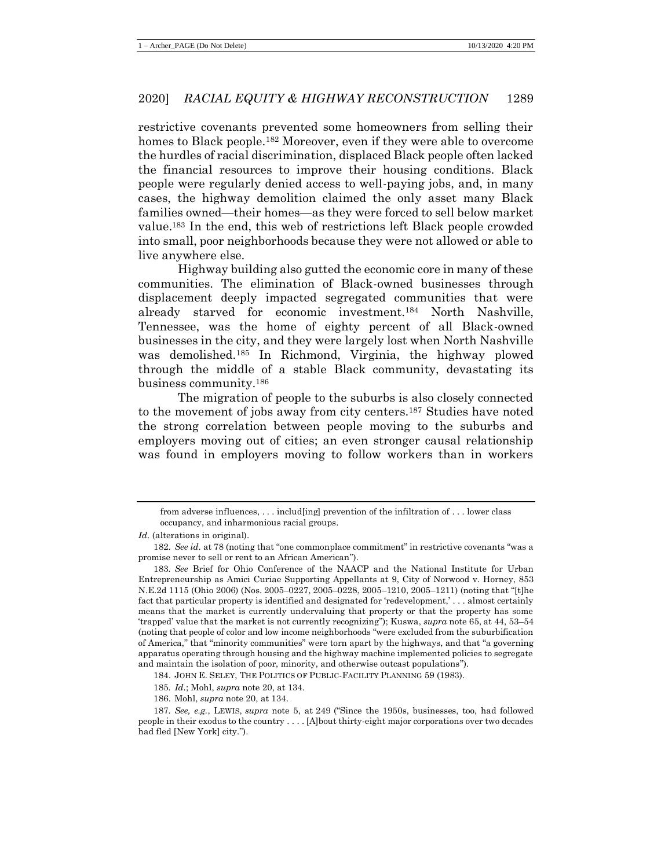restrictive covenants prevented some homeowners from selling their homes to Black people.<sup>182</sup> Moreover, even if they were able to overcome the hurdles of racial discrimination, displaced Black people often lacked the financial resources to improve their housing conditions. Black people were regularly denied access to well-paying jobs, and, in many cases, the highway demolition claimed the only asset many Black families owned—their homes—as they were forced to sell below market value.<sup>183</sup> In the end, this web of restrictions left Black people crowded into small, poor neighborhoods because they were not allowed or able to live anywhere else.

Highway building also gutted the economic core in many of these communities. The elimination of Black-owned businesses through displacement deeply impacted segregated communities that were already starved for economic investment.<sup>184</sup> North Nashville, Tennessee, was the home of eighty percent of all Black-owned businesses in the city, and they were largely lost when North Nashville was demolished.<sup>185</sup> In Richmond, Virginia, the highway plowed through the middle of a stable Black community, devastating its business community.<sup>186</sup>

The migration of people to the suburbs is also closely connected to the movement of jobs away from city centers.<sup>187</sup> Studies have noted the strong correlation between people moving to the suburbs and employers moving out of cities; an even stronger causal relationship was found in employers moving to follow workers than in workers

from adverse influences,  $\dots$  includ [ing] prevention of the infiltration of  $\dots$  lower class occupancy, and inharmonious racial groups.

*Id.* (alterations in original).

<sup>182</sup>*. See id.* at 78 (noting that "one commonplace commitment" in restrictive covenants "was a promise never to sell or rent to an African American").

<sup>183</sup>*. See* Brief for Ohio Conference of the NAACP and the National Institute for Urban Entrepreneurship as Amici Curiae Supporting Appellants at 9, City of Norwood v. Horney, 853 N.E.2d 1115 (Ohio 2006) (Nos. 2005–0227, 2005–0228, 2005–1210, 2005–1211) (noting that "[t]he fact that particular property is identified and designated for 'redevelopment,' . . . almost certainly means that the market is currently undervaluing that property or that the property has some 'trapped' value that the market is not currently recognizing"); Kuswa, *supra* not[e 65,](#page-16-0) at 44, 53–54 (noting that people of color and low income neighborhoods "were excluded from the suburbification of America," that "minority communities" were torn apart by the highways, and that "a governing apparatus operating through housing and the highway machine implemented policies to segregate and maintain the isolation of poor, minority, and otherwise outcast populations").

<sup>184.</sup> JOHN E. SELEY, THE POLITICS OF PUBLIC-FACILITY PLANNING 59 (1983).

<sup>185</sup>*. Id.*; Mohl, *supra* note [20,](#page-7-0) at 134.

<sup>186.</sup> Mohl, *supra* note [20,](#page-7-0) at 134.

<sup>187</sup>*. See, e.g.*, LEWIS, *supra* note [5,](#page-4-0) at 249 ("Since the 1950s, businesses, too, had followed people in their exodus to the country . . . . [A]bout thirty-eight major corporations over two decades had fled [New York] city.").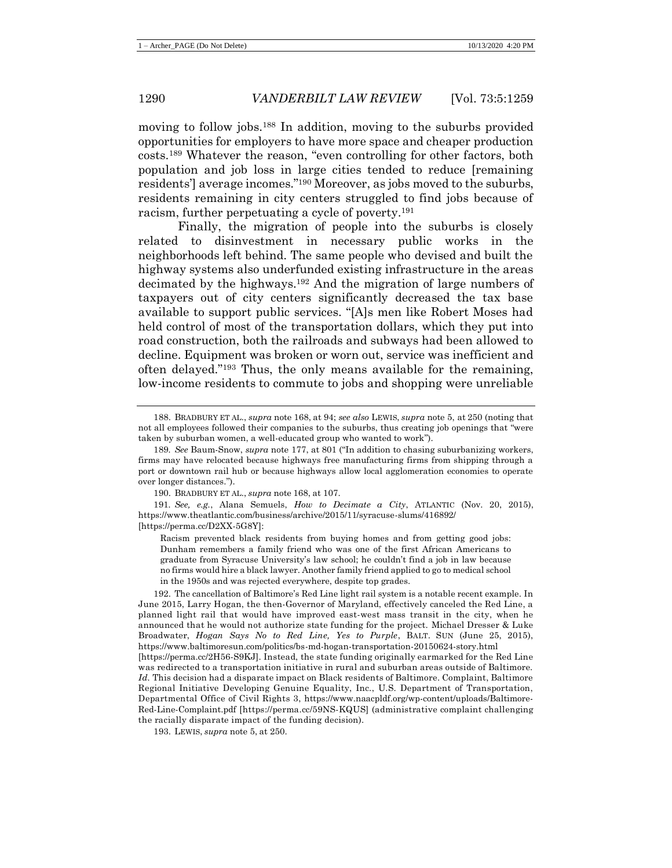moving to follow jobs.<sup>188</sup> In addition, moving to the suburbs provided opportunities for employers to have more space and cheaper production costs.<sup>189</sup> Whatever the reason, "even controlling for other factors, both population and job loss in large cities tended to reduce [remaining residents'] average incomes."<sup>190</sup> Moreover, as jobs moved to the suburbs, residents remaining in city centers struggled to find jobs because of racism, further perpetuating a cycle of poverty.<sup>191</sup>

<span id="page-32-0"></span>Finally, the migration of people into the suburbs is closely related to disinvestment in necessary public works in the neighborhoods left behind. The same people who devised and built the highway systems also underfunded existing infrastructure in the areas decimated by the highways.<sup>192</sup> And the migration of large numbers of taxpayers out of city centers significantly decreased the tax base available to support public services. "[A]s men like Robert Moses had held control of most of the transportation dollars, which they put into road construction, both the railroads and subways had been allowed to decline. Equipment was broken or worn out, service was inefficient and often delayed."<sup>193</sup> Thus, the only means available for the remaining, low-income residents to commute to jobs and shopping were unreliable

Racism prevented black residents from buying homes and from getting good jobs: Dunham remembers a family friend who was one of the first African Americans to graduate from Syracuse University's law school; he couldn't find a job in law because no firms would hire a black lawyer. Another family friend applied to go to medical school in the 1950s and was rejected everywhere, despite top grades.

192. The cancellation of Baltimore's Red Line light rail system is a notable recent example. In June 2015, Larry Hogan, the then-Governor of Maryland, effectively canceled the Red Line, a planned light rail that would have improved east-west mass transit in the city, when he announced that he would not authorize state funding for the project. Michael Dresser & Luke Broadwater, *Hogan Says No to Red Line, Yes to Purple*, BALT. SUN (June 25, 2015), https://www.baltimoresun.com/politics/bs-md-hogan-transportation-20150624-story.html [https://perma.cc/2H56-S9KJ]. Instead, the state funding originally earmarked for the Red Line was redirected to a transportation initiative in rural and suburban areas outside of Baltimore. *Id.* This decision had a disparate impact on Black residents of Baltimore. Complaint, Baltimore Regional Initiative Developing Genuine Equality, Inc., U.S. Department of Transportation, Departmental Office of Civil Rights 3, https://www.naacpldf.org/wp-content/uploads/Baltimore-Red-Line-Complaint.pdf [https://perma.cc/59NS-KQUS] (administrative complaint challenging the racially disparate impact of the funding decision).

193. LEWIS, *supra* note [5,](#page-4-0) at 250.

<sup>188.</sup> BRADBURY ET AL., *supra* note [168,](#page-28-0) at 94; *see also* LEWIS, *supra* not[e 5,](#page-4-0) at 250 (noting that not all employees followed their companies to the suburbs, thus creating job openings that "were taken by suburban women, a well-educated group who wanted to work").

<sup>189</sup>*. See* Baum-Snow, *supra* not[e 177,](#page-30-0) at 801 ("In addition to chasing suburbanizing workers, firms may have relocated because highways free manufacturing firms from shipping through a port or downtown rail hub or because highways allow local agglomeration economies to operate over longer distances.").

<sup>190.</sup> BRADBURY ET AL., *supra* note [168,](#page-28-0) at 107.

<sup>191</sup>*. See, e.g.*, Alana Semuels, *How to Decimate a City*, ATLANTIC (Nov. 20, 2015), https://www.theatlantic.com/business/archive/2015/11/syracuse-slums/416892/ [https://perma.cc/D2XX-5G8Y]: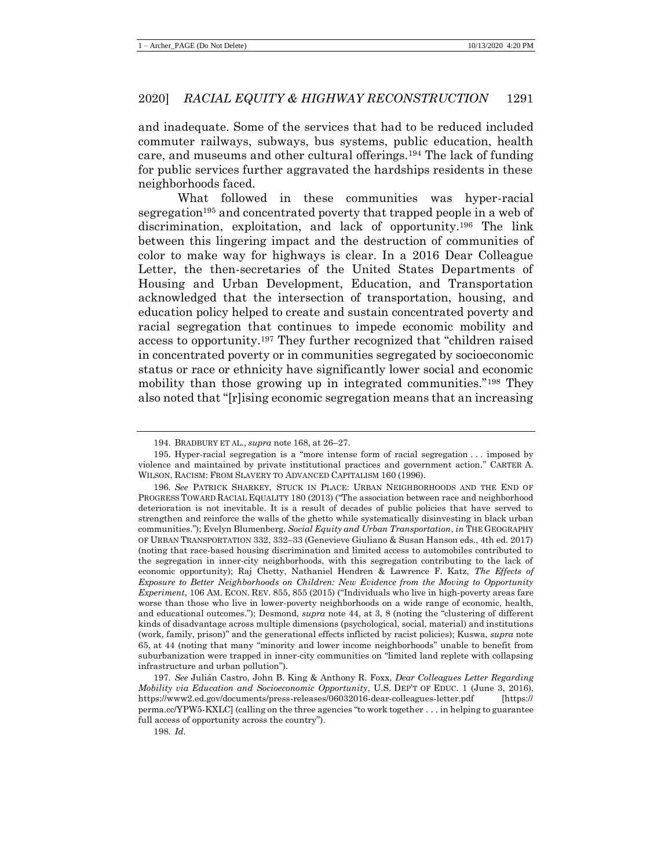and inadequate. Some of the services that had to be reduced included commuter railways, subways, bus systems, public education, health care, and museums and other cultural offerings.<sup>194</sup> The lack of funding for public services further aggravated the hardships residents in these neighborhoods faced.

<span id="page-33-0"></span>What followed in these communities was hyper-racial segregation<sup>195</sup> and concentrated poverty that trapped people in a web of discrimination, exploitation, and lack of opportunity.<sup>196</sup> The link between this lingering impact and the destruction of communities of color to make way for highways is clear. In a 2016 Dear Colleague Letter, the then-secretaries of the United States Departments of Housing and Urban Development, Education, and Transportation acknowledged that the intersection of transportation, housing, and education policy helped to create and sustain concentrated poverty and racial segregation that continues to impede economic mobility and access to opportunity.<sup>197</sup> They further recognized that "children raised in concentrated poverty or in communities segregated by socioeconomic status or race or ethnicity have significantly lower social and economic mobility than those growing up in integrated communities."<sup>198</sup> They also noted that "[r]ising economic segregation means that an increasing

<sup>194.</sup> BRADBURY ET AL., *supra* note [168,](#page-28-0) at 26–27.

<sup>195.</sup> Hyper-racial segregation is a "more intense form of racial segregation . . . imposed by violence and maintained by private institutional practices and government action." CARTER A. WILSON, RACISM: FROM SLAVERY TO ADVANCED CAPITALISM 160 (1996).

<sup>196</sup>*. See* PATRICK SHARKEY, STUCK IN PLACE: URBAN NEIGHBORHOODS AND THE END OF PROGRESS TOWARD RACIAL EQUALITY 180 (2013) ("The association between race and neighborhood deterioration is not inevitable. It is a result of decades of public policies that have served to strengthen and reinforce the walls of the ghetto while systematically disinvesting in black urban communities."); Evelyn Blumenberg, *Social Equity and Urban Transportation*, *in* THE GEOGRAPHY OF URBAN TRANSPORTATION 332, 332–33 (Genevieve Giuliano & Susan Hanson eds., 4th ed. 2017) (noting that race-based housing discrimination and limited access to automobiles contributed to the segregation in inner-city neighborhoods, with this segregation contributing to the lack of economic opportunity); Raj Chetty, Nathaniel Hendren & Lawrence F. Katz, *The Effects of Exposure to Better Neighborhoods on Children: New Evidence from the Moving to Opportunity Experiment*, 106 AM. ECON. REV. 855, 855 (2015) ("Individuals who live in high-poverty areas fare worse than those who live in lower-poverty neighborhoods on a wide range of economic, health, and educational outcomes."); Desmond, *supra* not[e 44,](#page-10-0) at 3, 8 (noting the "clustering of different kinds of disadvantage across multiple dimensions (psychological, social, material) and institutions (work, family, prison)" and the generational effects inflicted by racist policies); Kuswa, *supra* note [65,](#page-16-0) at 44 (noting that many "minority and lower income neighborhoods" unable to benefit from suburbanization were trapped in inner-city communities on "limited land replete with collapsing infrastructure and urban pollution").

<sup>197</sup>*. See* Julián Castro, John B. King & Anthony R. Foxx, *Dear Colleagues Letter Regarding Mobility via Education and Socioeconomic Opportunity*, U.S. DEP'T OF EDUC. 1 (June 3, 2016), https://www2.ed.gov/documents/press-releases/06032016-dear-colleagues-letter.pdf [https:// perma.cc/YPW5-KXLC] (calling on the three agencies "to work together . . . in helping to guarantee full access of opportunity across the country").

<sup>198</sup>*. Id.*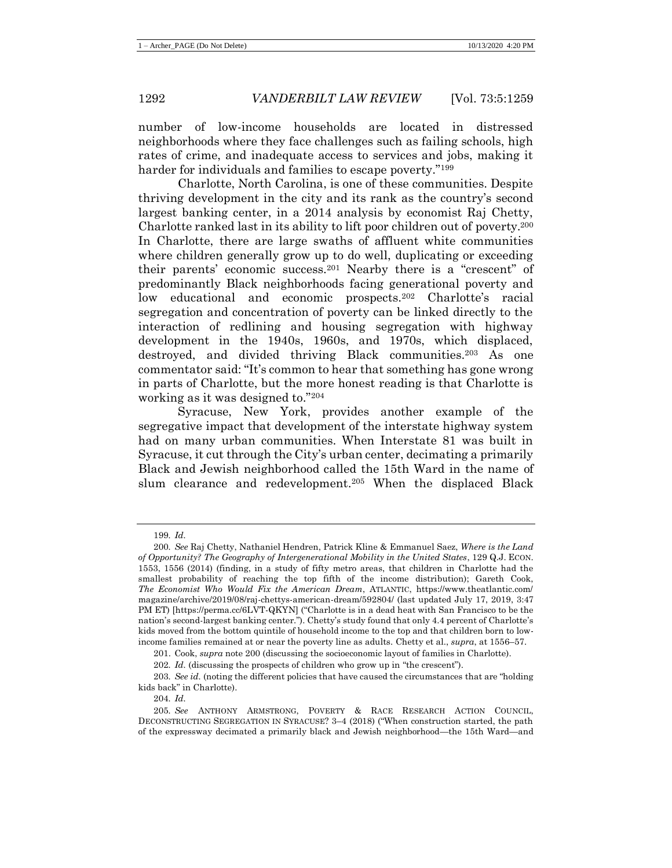number of low-income households are located in distressed neighborhoods where they face challenges such as failing schools, high rates of crime, and inadequate access to services and jobs, making it harder for individuals and families to escape poverty."<sup>199</sup>

<span id="page-34-0"></span>Charlotte, North Carolina, is one of these communities. Despite thriving development in the city and its rank as the country's second largest banking center, in a 2014 analysis by economist Raj Chetty, Charlotte ranked last in its ability to lift poor children out of poverty.<sup>200</sup> In Charlotte, there are large swaths of affluent white communities where children generally grow up to do well, duplicating or exceeding their parents' economic success.<sup>201</sup> Nearby there is a "crescent" of predominantly Black neighborhoods facing generational poverty and low educational and economic prospects.<sup>202</sup> Charlotte's racial segregation and concentration of poverty can be linked directly to the interaction of redlining and housing segregation with highway development in the 1940s, 1960s, and 1970s, which displaced, destroyed, and divided thriving Black communities.<sup>203</sup> As one commentator said: "It's common to hear that something has gone wrong in parts of Charlotte, but the more honest reading is that Charlotte is working as it was designed to."<sup>204</sup>

Syracuse, New York, provides another example of the segregative impact that development of the interstate highway system had on many urban communities. When Interstate 81 was built in Syracuse, it cut through the City's urban center, decimating a primarily Black and Jewish neighborhood called the 15th Ward in the name of slum clearance and redevelopment.<sup>205</sup> When the displaced Black

204*. Id.*

<span id="page-34-1"></span><sup>199</sup>*. Id.*

<sup>200</sup>*. See* Raj Chetty, Nathaniel Hendren, Patrick Kline & Emmanuel Saez, *Where is the Land of Opportunity? The Geography of Intergenerational Mobility in the United States*, 129 Q.J. ECON. 1553, 1556 (2014) (finding, in a study of fifty metro areas, that children in Charlotte had the smallest probability of reaching the top fifth of the income distribution); Gareth Cook, *The Economist Who Would Fix the American Dream*, ATLANTIC, https://www.theatlantic.com/ magazine/archive/2019/08/raj-chettys-american-dream/592804/ (last updated July 17, 2019, 3:47 PM ET) [https://perma.cc/6LVT-QKYN] ("Charlotte is in a dead heat with San Francisco to be the nation's second-largest banking center."). Chetty's study found that only 4.4 percent of Charlotte's kids moved from the bottom quintile of household income to the top and that children born to lowincome families remained at or near the poverty line as adults. Chetty et al., *supra*, at 1556–57.

<sup>201.</sup> Cook, *supra* not[e 200](#page-34-0) (discussing the socioeconomic layout of families in Charlotte).

<sup>202</sup>*. Id.* (discussing the prospects of children who grow up in "the crescent").

<sup>203</sup>*. See id.* (noting the different policies that have caused the circumstances that are "holding kids back" in Charlotte).

<sup>205</sup>*. See* ANTHONY ARMSTRONG, POVERTY & RACE RESEARCH ACTION COUNCIL, DECONSTRUCTING SEGREGATION IN SYRACUSE? 3–4 (2018) ("When construction started, the path of the expressway decimated a primarily black and Jewish neighborhood—the 15th Ward—and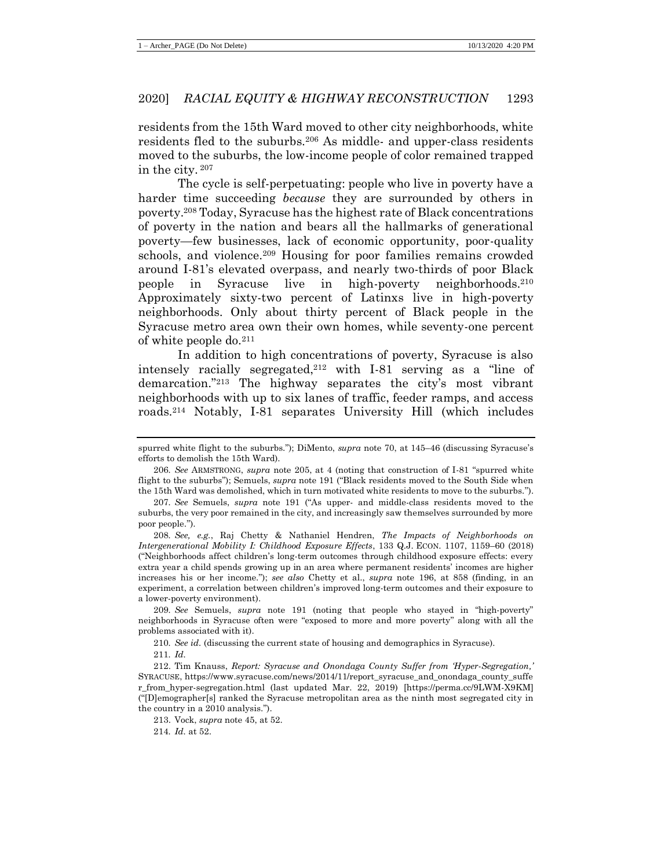residents from the 15th Ward moved to other city neighborhoods, white residents fled to the suburbs.<sup>206</sup> As middle- and upper-class residents moved to the suburbs, the low-income people of color remained trapped in the city. <sup>207</sup>

The cycle is self-perpetuating: people who live in poverty have a harder time succeeding *because* they are surrounded by others in poverty.<sup>208</sup> Today, Syracuse has the highest rate of Black concentrations of poverty in the nation and bears all the hallmarks of generational poverty—few businesses, lack of economic opportunity, poor-quality schools, and violence.<sup>209</sup> Housing for poor families remains crowded around I-81's elevated overpass, and nearly two-thirds of poor Black people in Syracuse live in high-poverty neighborhoods.<sup>210</sup> Approximately sixty-two percent of Latinxs live in high-poverty neighborhoods. Only about thirty percent of Black people in the Syracuse metro area own their own homes, while seventy-one percent of white people do.<sup>211</sup>

In addition to high concentrations of poverty, Syracuse is also intensely racially segregated, $2^{12}$  with I-81 serving as a "line of demarcation."<sup>213</sup> The highway separates the city's most vibrant neighborhoods with up to six lanes of traffic, feeder ramps, and access roads.<sup>214</sup> Notably, I-81 separates University Hill (which includes

208*. See, e.g.*, Raj Chetty & Nathaniel Hendren, *The Impacts of Neighborhoods on Intergenerational Mobility I: Childhood Exposure Effects*, 133 Q.J. ECON. 1107, 1159–60 (2018) ("Neighborhoods affect children's long-term outcomes through childhood exposure effects: every extra year a child spends growing up in an area where permanent residents' incomes are higher increases his or her income."); *see also* Chetty et al., *supra* note [196,](#page-33-0) at 858 (finding, in an experiment, a correlation between children's improved long-term outcomes and their exposure to a lower-poverty environment).

209*. See* Semuels, *supra* note [191](#page-32-0) (noting that people who stayed in "high-poverty" neighborhoods in Syracuse often were "exposed to more and more poverty" along with all the problems associated with it).

210*. See id.* (discussing the current state of housing and demographics in Syracuse).

211*. Id.*

213. Vock, *supra* note [45,](#page-11-0) at 52.

214*. Id.* at 52.

spurred white flight to the suburbs."); DiMento, *supra* note [70,](#page-16-1) at 145–46 (discussing Syracuse's efforts to demolish the 15th Ward).

<sup>206</sup>*. See* ARMSTRONG, *supra* note [205,](#page-34-1) at 4 (noting that construction of I-81 "spurred white flight to the suburbs"); Semuels, *supra* not[e 191](#page-32-0) ("Black residents moved to the South Side when the 15th Ward was demolished, which in turn motivated white residents to move to the suburbs.").

<sup>207</sup>*. See* Semuels, *supra* note [191](#page-32-0) ("As upper- and middle-class residents moved to the suburbs, the very poor remained in the city, and increasingly saw themselves surrounded by more poor people.").

<sup>212.</sup> Tim Knauss, *Report: Syracuse and Onondaga County Suffer from 'Hyper-Segregation,'* SYRACUSE, https://www.syracuse.com/news/2014/11/report\_syracuse\_and\_onondaga\_county\_suffe r\_from\_hyper-segregation.html (last updated Mar. 22, 2019) [https://perma.cc/9LWM-X9KM] ("[D]emographer[s] ranked the Syracuse metropolitan area as the ninth most segregated city in the country in a 2010 analysis.").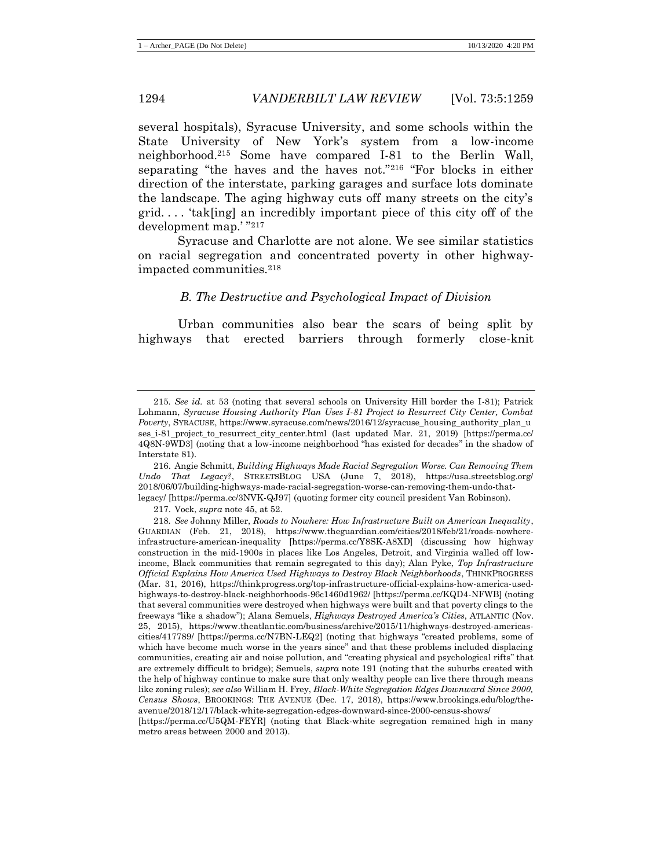several hospitals), Syracuse University, and some schools within the State University of New York's system from a low-income neighborhood.<sup>215</sup> Some have compared I-81 to the Berlin Wall, separating "the haves and the haves not."<sup>216</sup> "For blocks in either direction of the interstate, parking garages and surface lots dominate the landscape. The aging highway cuts off many streets on the city's grid. . . . 'tak[ing] an incredibly important piece of this city off of the development map.' " 217

Syracuse and Charlotte are not alone. We see similar statistics on racial segregation and concentrated poverty in other highwayimpacted communities.<sup>218</sup>

# *B. The Destructive and Psychological Impact of Division*

Urban communities also bear the scars of being split by highways that erected barriers through formerly close-knit

217. Vock, *supra* note [45,](#page-11-0) at 52.

<sup>215</sup>*. See id.* at 53 (noting that several schools on University Hill border the I-81); Patrick Lohmann, *Syracuse Housing Authority Plan Uses I-81 Project to Resurrect City Center, Combat Poverty*, SYRACUSE, https://www.syracuse.com/news/2016/12/syracuse\_housing\_authority\_plan\_u ses\_i-81\_project\_to\_resurrect\_city\_center.html (last updated Mar. 21, 2019) [https://perma.cc/ 4Q8N-9WD3] (noting that a low-income neighborhood "has existed for decades" in the shadow of Interstate 81).

<sup>216.</sup> Angie Schmitt, *Building Highways Made Racial Segregation Worse. Can Removing Them Undo That Legacy?*, STREETSBLOG USA (June 7, 2018), https://usa.streetsblog.org/ 2018/06/07/building-highways-made-racial-segregation-worse-can-removing-them-undo-thatlegacy/ [https://perma.cc/3NVK-QJ97] (quoting former city council president Van Robinson).

<sup>218</sup>*. See* Johnny Miller, *Roads to Nowhere: How Infrastructure Built on American Inequality*, GUARDIAN (Feb. 21, 2018), https://www.theguardian.com/cities/2018/feb/21/roads-nowhereinfrastructure-american-inequality [https://perma.cc/Y8SK-A8XD] (discussing how highway construction in the mid-1900s in places like Los Angeles, Detroit, and Virginia walled off lowincome, Black communities that remain segregated to this day); Alan Pyke, *Top Infrastructure Official Explains How America Used Highways to Destroy Black Neighborhoods*, THINKPROGRESS (Mar. 31, 2016), https://thinkprogress.org/top-infrastructure-official-explains-how-america-usedhighways-to-destroy-black-neighborhoods-96c1460d1962/ [https://perma.cc/KQD4-NFWB] (noting that several communities were destroyed when highways were built and that poverty clings to the freeways "like a shadow"); Alana Semuels, *Highways Destroyed America's Cities*, ATLANTIC (Nov. 25, 2015), https://www.theatlantic.com/business/archive/2015/11/highways-destroyed-americascities/417789/ [https://perma.cc/N7BN-LEQ2] (noting that highways "created problems, some of which have become much worse in the years since" and that these problems included displacing communities, creating air and noise pollution, and "creating physical and psychological rifts" that are extremely difficult to bridge); Semuels, *supra* note [191](#page-32-0) (noting that the suburbs created with the help of highway continue to make sure that only wealthy people can live there through means like zoning rules); *see also* William H. Frey, *Black-White Segregation Edges Downward Since 2000, Census Shows*, BROOKINGS: THE AVENUE (Dec. 17, 2018), https://www.brookings.edu/blog/theavenue/2018/12/17/black-white-segregation-edges-downward-since-2000-census-shows/

<sup>[</sup>https://perma.cc/U5QM-FEYR] (noting that Black-white segregation remained high in many metro areas between 2000 and 2013).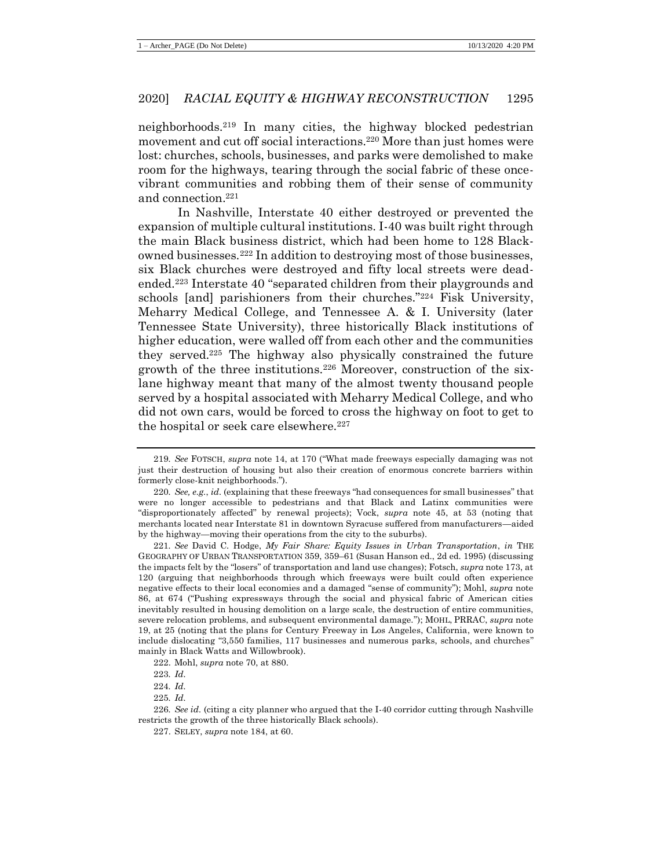neighborhoods.<sup>219</sup> In many cities, the highway blocked pedestrian movement and cut off social interactions.<sup>220</sup> More than just homes were lost: churches, schools, businesses, and parks were demolished to make room for the highways, tearing through the social fabric of these oncevibrant communities and robbing them of their sense of community and connection.<sup>221</sup>

In Nashville, Interstate 40 either destroyed or prevented the expansion of multiple cultural institutions. I-40 was built right through the main Black business district, which had been home to 128 Blackowned businesses.<sup>222</sup> In addition to destroying most of those businesses, six Black churches were destroyed and fifty local streets were deadended.<sup>223</sup> Interstate 40 "separated children from their playgrounds and schools [and] parishioners from their churches."<sup>224</sup> Fisk University, Meharry Medical College, and Tennessee A. & I. University (later Tennessee State University), three historically Black institutions of higher education, were walled off from each other and the communities they served.<sup>225</sup> The highway also physically constrained the future growth of the three institutions.<sup>226</sup> Moreover, construction of the sixlane highway meant that many of the almost twenty thousand people served by a hospital associated with Meharry Medical College, and who did not own cars, would be forced to cross the highway on foot to get to the hospital or seek care elsewhere.<sup>227</sup>

222. Mohl, *supra* note [70,](#page-16-0) at 880.

<sup>219</sup>*. See* FOTSCH, *supra* note [14,](#page-5-0) at 170 ("What made freeways especially damaging was not just their destruction of housing but also their creation of enormous concrete barriers within formerly close-knit neighborhoods.").

<sup>220</sup>*. See, e.g.*, *id.* (explaining that these freeways "had consequences for small businesses" that were no longer accessible to pedestrians and that Black and Latinx communities were "disproportionately affected" by renewal projects); Vock, *supra* note [45,](#page-11-0) at 53 (noting that merchants located near Interstate 81 in downtown Syracuse suffered from manufacturers—aided by the highway—moving their operations from the city to the suburbs).

<sup>221</sup>*. See* David C. Hodge, *My Fair Share: Equity Issues in Urban Transportation*, *in* THE GEOGRAPHY OF URBAN TRANSPORTATION 359, 359–61 (Susan Hanson ed., 2d ed. 1995) (discussing the impacts felt by the "losers" of transportation and land use changes); Fotsch, *supra* note [173,](#page-29-0) at 120 (arguing that neighborhoods through which freeways were built could often experience negative effects to their local economies and a damaged "sense of community"); Mohl, *supra* note [86,](#page-19-0) at 674 ("Pushing expressways through the social and physical fabric of American cities inevitably resulted in housing demolition on a large scale, the destruction of entire communities, severe relocation problems, and subsequent environmental damage."); MOHL, PRRAC, *supra* note [19,](#page-7-0) at 25 (noting that the plans for Century Freeway in Los Angeles, California, were known to include dislocating "3,550 families, 117 businesses and numerous parks, schools, and churches" mainly in Black Watts and Willowbrook).

<sup>223</sup>*. Id.*

<sup>224</sup>*. Id.*

<sup>225</sup>*. Id.*

<sup>226</sup>*. See id.* (citing a city planner who argued that the I-40 corridor cutting through Nashville restricts the growth of the three historically Black schools).

<sup>227.</sup> SELEY, *supra* not[e 184,](#page-31-0) at 60.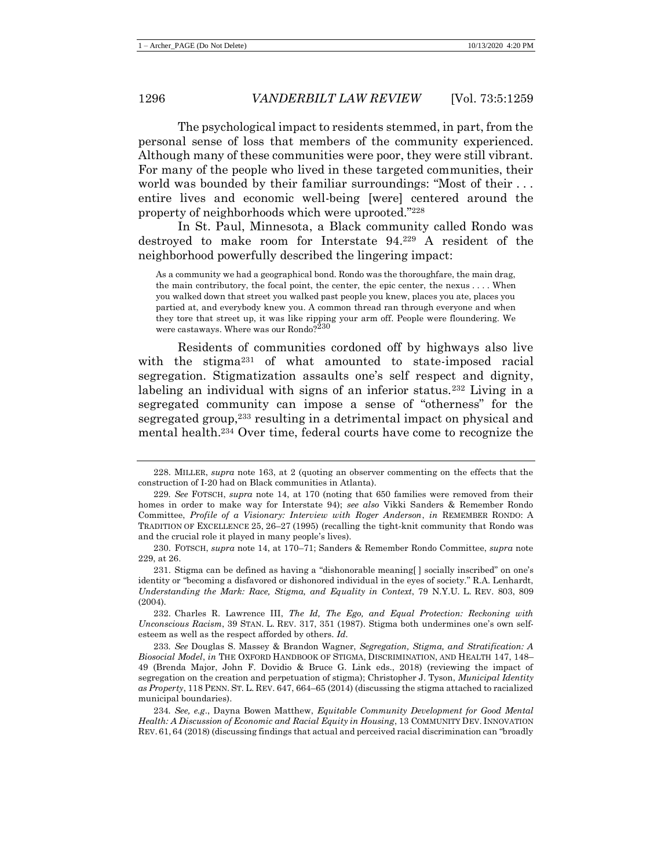The psychological impact to residents stemmed, in part, from the personal sense of loss that members of the community experienced. Although many of these communities were poor, they were still vibrant. For many of the people who lived in these targeted communities, their world was bounded by their familiar surroundings: "Most of their . . . entire lives and economic well-being [were] centered around the property of neighborhoods which were uprooted."<sup>228</sup>

In St. Paul, Minnesota, a Black community called Rondo was destroyed to make room for Interstate 94.<sup>229</sup> A resident of the neighborhood powerfully described the lingering impact:

<span id="page-38-0"></span>As a community we had a geographical bond. Rondo was the thoroughfare, the main drag, the main contributory, the focal point, the center, the epic center, the nexus . . . . When you walked down that street you walked past people you knew, places you ate, places you partied at, and everybody knew you. A common thread ran through everyone and when they tore that street up, it was like ripping your arm off. People were floundering. We were castaways. Where was our Rondo? $2^{230}$ 

<span id="page-38-1"></span>Residents of communities cordoned off by highways also live with the stigma<sup>231</sup> of what amounted to state-imposed racial segregation. Stigmatization assaults one's self respect and dignity, labeling an individual with signs of an inferior status.<sup>232</sup> Living in a segregated community can impose a sense of "otherness" for the segregated group,<sup>233</sup> resulting in a detrimental impact on physical and mental health.<sup>234</sup> Over time, federal courts have come to recognize the

<sup>228.</sup> MILLER, *supra* note [163,](#page-27-0) at 2 (quoting an observer commenting on the effects that the construction of I-20 had on Black communities in Atlanta).

<sup>229</sup>*. See* FOTSCH, *supra* note [14,](#page-5-0) at 170 (noting that 650 families were removed from their homes in order to make way for Interstate 94); *see also* Vikki Sanders & Remember Rondo Committee, *Profile of a Visionary: Interview with Roger Anderson*, *in* REMEMBER RONDO: A TRADITION OF EXCELLENCE 25, 26–27 (1995) (recalling the tight-knit community that Rondo was and the crucial role it played in many people's lives).

<sup>230.</sup> FOTSCH, *supra* note [14,](#page-5-0) at 170–71; Sanders & Remember Rondo Committee, *supra* note [229,](#page-38-0) at 26.

<sup>231.</sup> Stigma can be defined as having a "dishonorable meaning[ ] socially inscribed" on one's identity or "becoming a disfavored or dishonored individual in the eyes of society." R.A. Lenhardt, *Understanding the Mark: Race, Stigma, and Equality in Context*, 79 N.Y.U. L. REV. 803, 809 (2004).

<sup>232.</sup> Charles R. Lawrence III, *The Id, The Ego, and Equal Protection: Reckoning with Unconscious Racism*, 39 STAN. L. REV. 317, 351 (1987). Stigma both undermines one's own selfesteem as well as the respect afforded by others. *Id.*

<sup>233</sup>*. See* Douglas S. Massey & Brandon Wagner, *Segregation, Stigma, and Stratification: A Biosocial Model*, *in* THE OXFORD HANDBOOK OF STIGMA, DISCRIMINATION, AND HEALTH 147, 148– 49 (Brenda Major, John F. Dovidio & Bruce G. Link eds., 2018) (reviewing the impact of segregation on the creation and perpetuation of stigma); Christopher J. Tyson, *Municipal Identity as Property*, 118 PENN. ST. L. REV. 647, 664–65 (2014) (discussing the stigma attached to racialized municipal boundaries).

<sup>234</sup>*. See, e.g*., Dayna Bowen Matthew, *Equitable Community Development for Good Mental Health: A Discussion of Economic and Racial Equity in Housing*, 13 COMMUNITY DEV. INNOVATION REV. 61, 64 (2018) (discussing findings that actual and perceived racial discrimination can "broadly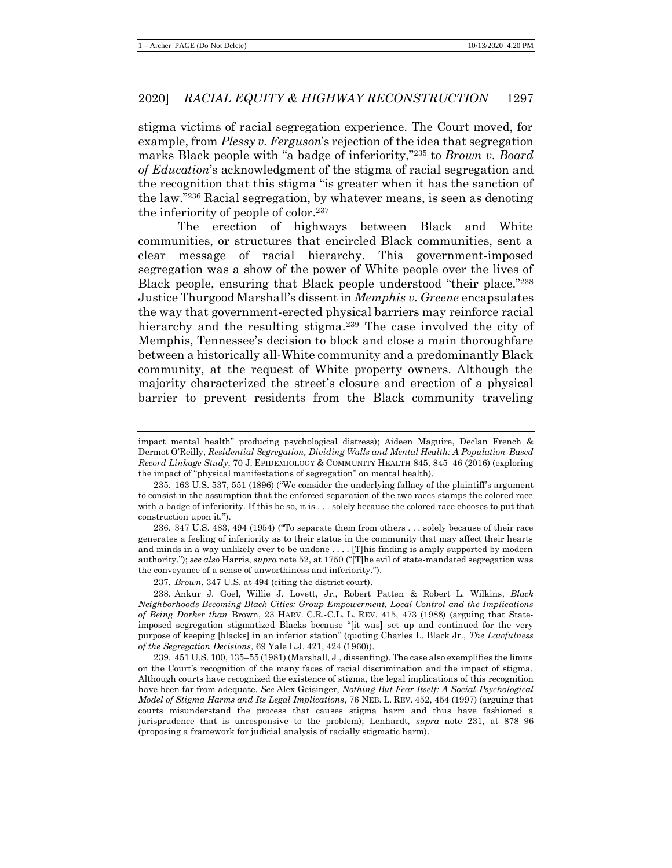stigma victims of racial segregation experience. The Court moved, for example, from *Plessy v. Ferguson*'s rejection of the idea that segregation marks Black people with "a badge of inferiority,"<sup>235</sup> to *Brown v. Board of Education*'s acknowledgment of the stigma of racial segregation and the recognition that this stigma "is greater when it has the sanction of the law."<sup>236</sup> Racial segregation, by whatever means, is seen as denoting the inferiority of people of color.<sup>237</sup>

The erection of highways between Black and White communities, or structures that encircled Black communities, sent a clear message of racial hierarchy. This government-imposed segregation was a show of the power of White people over the lives of Black people, ensuring that Black people understood "their place."<sup>238</sup> Justice Thurgood Marshall's dissent in *Memphis v. Greene* encapsulates the way that government-erected physical barriers may reinforce racial hierarchy and the resulting stigma.<sup>239</sup> The case involved the city of Memphis, Tennessee's decision to block and close a main thoroughfare between a historically all-White community and a predominantly Black community, at the request of White property owners. Although the majority characterized the street's closure and erection of a physical barrier to prevent residents from the Black community traveling

236. 347 U.S. 483, 494 (1954) ("To separate them from others . . . solely because of their race generates a feeling of inferiority as to their status in the community that may affect their hearts and minds in a way unlikely ever to be undone . . . . [T]his finding is amply supported by modern authority."); *see also* Harris, *supra* not[e 52,](#page-13-0) at 1750 ("[T]he evil of state-mandated segregation was the conveyance of a sense of unworthiness and inferiority.").

237*. Brown*, 347 U.S. at 494 (citing the district court).

238. Ankur J. Goel, Willie J. Lovett, Jr., Robert Patten & Robert L. Wilkins, *Black Neighborhoods Becoming Black Cities: Group Empowerment, Local Control and the Implications of Being Darker than* Brown, 23 HARV. C.R.-C.L. L. REV. 415, 473 (1988) (arguing that Stateimposed segregation stigmatized Blacks because "[it was] set up and continued for the very purpose of keeping [blacks] in an inferior station" (quoting Charles L. Black Jr., *The Lawfulness of the Segregation Decisions*, 69 Yale L.J. 421, 424 (1960)).

239. 451 U.S. 100, 135–55 (1981) (Marshall, J., dissenting). The case also exemplifies the limits on the Court's recognition of the many faces of racial discrimination and the impact of stigma. Although courts have recognized the existence of stigma, the legal implications of this recognition have been far from adequate. *See* Alex Geisinger, *Nothing But Fear Itself: A Social-Psychological Model of Stigma Harms and Its Legal Implications*, 76 NEB. L. REV. 452, 454 (1997) (arguing that courts misunderstand the process that causes stigma harm and thus have fashioned a jurisprudence that is unresponsive to the problem); Lenhardt, *supra* note [231,](#page-38-1) at 878–96 (proposing a framework for judicial analysis of racially stigmatic harm).

impact mental health" producing psychological distress); Aideen Maguire, Declan French & Dermot O'Reilly, *Residential Segregation, Dividing Walls and Mental Health: A Population-Based Record Linkage Study*, 70 J. EPIDEMIOLOGY & COMMUNITY HEALTH 845, 845–46 (2016) (exploring the impact of "physical manifestations of segregation" on mental health).

<sup>235.</sup> 163 U.S. 537, 551 (1896) ("We consider the underlying fallacy of the plaintiff's argument to consist in the assumption that the enforced separation of the two races stamps the colored race with a badge of inferiority. If this be so, it is . . . solely because the colored race chooses to put that construction upon it.").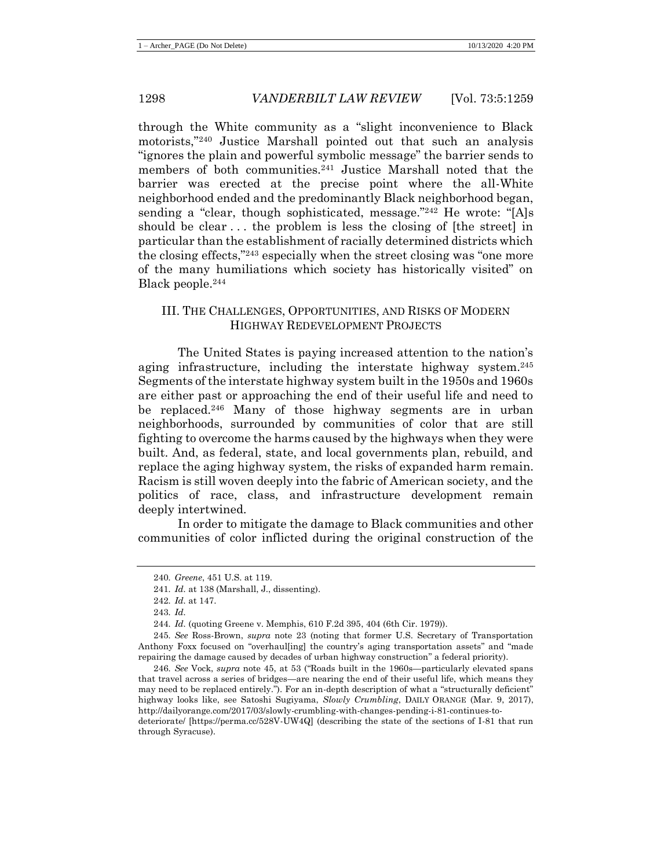through the White community as a "slight inconvenience to Black motorists,"<sup>240</sup> Justice Marshall pointed out that such an analysis "ignores the plain and powerful symbolic message" the barrier sends to members of both communities.<sup>241</sup> Justice Marshall noted that the barrier was erected at the precise point where the all-White neighborhood ended and the predominantly Black neighborhood began, sending a "clear, though sophisticated, message."<sup>242</sup> He wrote: "[A]s should be clear ... the problem is less the closing of [the street] in particular than the establishment of racially determined districts which the closing effects,"<sup>243</sup> especially when the street closing was "one more of the many humiliations which society has historically visited" on Black people.<sup>244</sup>

# III. THE CHALLENGES, OPPORTUNITIES, AND RISKS OF MODERN HIGHWAY REDEVELOPMENT PROJECTS

The United States is paying increased attention to the nation's aging infrastructure, including the interstate highway system.<sup>245</sup> Segments of the interstate highway system built in the 1950s and 1960s are either past or approaching the end of their useful life and need to be replaced.<sup>246</sup> Many of those highway segments are in urban neighborhoods, surrounded by communities of color that are still fighting to overcome the harms caused by the highways when they were built. And, as federal, state, and local governments plan, rebuild, and replace the aging highway system, the risks of expanded harm remain. Racism is still woven deeply into the fabric of American society, and the politics of race, class, and infrastructure development remain deeply intertwined.

In order to mitigate the damage to Black communities and other communities of color inflicted during the original construction of the

<sup>240</sup>*. Greene*, 451 U.S. at 119.

<sup>241</sup>*. Id.* at 138 (Marshall, J., dissenting).

<sup>242</sup>*. Id.* at 147.

<sup>243</sup>*. Id.*

<sup>244</sup>*. Id.* (quoting Greene v. Memphis, 610 F.2d 395, 404 (6th Cir. 1979)).

<sup>245</sup>*. See* Ross-Brown, *supra* note [23](#page-7-1) (noting that former U.S. Secretary of Transportation Anthony Foxx focused on "overhaul[ing] the country's aging transportation assets" and "made repairing the damage caused by decades of urban highway construction" a federal priority).

<sup>246</sup>*. See* Vock, *supra* note [45,](#page-11-0) at 53 ("Roads built in the 1960s—particularly elevated spans that travel across a series of bridges—are nearing the end of their useful life, which means they may need to be replaced entirely."). For an in-depth description of what a "structurally deficient" highway looks like, see Satoshi Sugiyama, *Slowly Crumbling*, DAILY ORANGE (Mar. 9, 2017), http://dailyorange.com/2017/03/slowly-crumbling-with-changes-pending-i-81-continues-to-

deteriorate/ [https://perma.cc/528V-UW4Q] (describing the state of the sections of I-81 that run through Syracuse).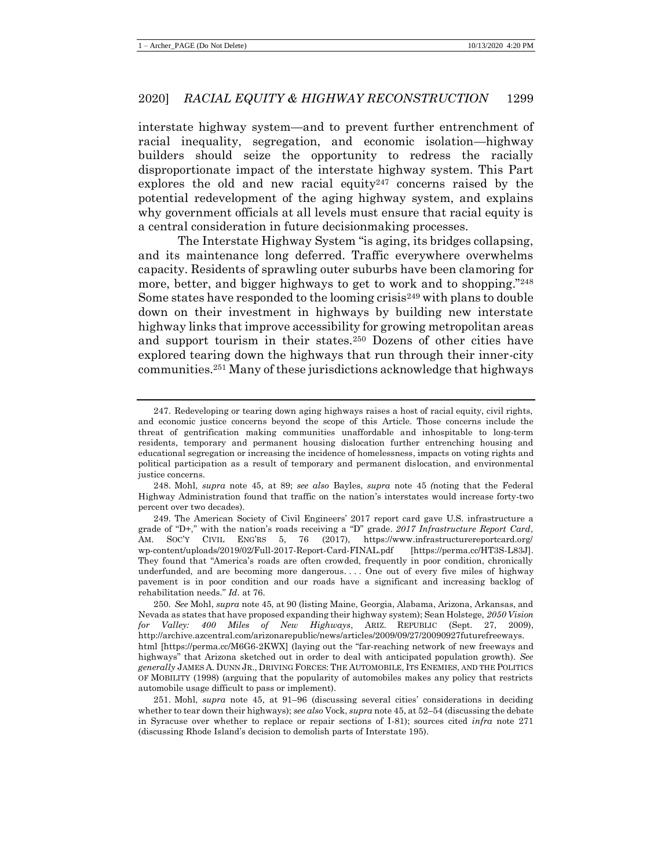interstate highway system—and to prevent further entrenchment of racial inequality, segregation, and economic isolation—highway builders should seize the opportunity to redress the racially disproportionate impact of the interstate highway system. This Part explores the old and new racial equity<sup>247</sup> concerns raised by the potential redevelopment of the aging highway system, and explains why government officials at all levels must ensure that racial equity is a central consideration in future decisionmaking processes.

The Interstate Highway System "is aging, its bridges collapsing, and its maintenance long deferred. Traffic everywhere overwhelms capacity. Residents of sprawling outer suburbs have been clamoring for more, better, and bigger highways to get to work and to shopping."<sup>248</sup> Some states have responded to the looming crisis<sup>249</sup> with plans to double down on their investment in highways by building new interstate highway links that improve accessibility for growing metropolitan areas and support tourism in their states.<sup>250</sup> Dozens of other cities have explored tearing down the highways that run through their inner-city communities.<sup>251</sup> Many of these jurisdictions acknowledge that highways

<sup>247.</sup> Redeveloping or tearing down aging highways raises a host of racial equity, civil rights, and economic justice concerns beyond the scope of this Article. Those concerns include the threat of gentrification making communities unaffordable and inhospitable to long-term residents, temporary and permanent housing dislocation further entrenching housing and educational segregation or increasing the incidence of homelessness, impacts on voting rights and political participation as a result of temporary and permanent dislocation, and environmental justice concerns.

<sup>248.</sup> Mohl, *supra* note [45,](#page-11-0) at 89; *see also* Bayles, *supra* note [45](#page-11-0) *(*noting that the Federal Highway Administration found that traffic on the nation's interstates would increase forty-two percent over two decades).

<sup>249.</sup> The American Society of Civil Engineers' 2017 report card gave U.S. infrastructure a grade of "D+," with the nation's roads receiving a "D" grade. *2017 Infrastructure Report Card*, AM. SOC'Y CIVIL ENG'RS 5, 76 (2017), https://www.infrastructurereportcard.org/ wp-content/uploads/2019/02/Full-2017-Report-Card-FINAL.pdf [https://perma.cc/HT3S-L83J]. They found that "America's roads are often crowded, frequently in poor condition, chronically underfunded, and are becoming more dangerous. . . . One out of every five miles of highway pavement is in poor condition and our roads have a significant and increasing backlog of rehabilitation needs." *Id.* at 76.

<sup>250</sup>*. See* Mohl, *supra* not[e 45,](#page-11-0) at 90 (listing Maine, Georgia, Alabama, Arizona, Arkansas, and Nevada as states that have proposed expanding their highway system); Sean Holstege, *2050 Vision for Valley: 400 Miles of New Highways*, ARIZ. REPUBLIC (Sept. 27, 2009), http://archive.azcentral.com/arizonarepublic/news/articles/2009/09/27/20090927futurefreeways. html [https://perma.cc/M6G6-2KWX] (laying out the "far-reaching network of new freeways and highways" that Arizona sketched out in order to deal with anticipated population growth). *See generally* JAMES A. DUNN JR., DRIVING FORCES: THE AUTOMOBILE, ITS ENEMIES, AND THE POLITICS OF MOBILITY (1998) (arguing that the popularity of automobiles makes any policy that restricts automobile usage difficult to pass or implement).

<sup>251.</sup> Mohl, *supra* note [45,](#page-11-0) at 91–96 (discussing several cities' considerations in deciding whether to tear down their highways); *see also* Vock, *supra* not[e 45,](#page-11-0) at 52–54 (discussing the debate in Syracuse over whether to replace or repair sections of I-81); sources cited *infra* note [271](#page-45-0) (discussing Rhode Island's decision to demolish parts of Interstate 195).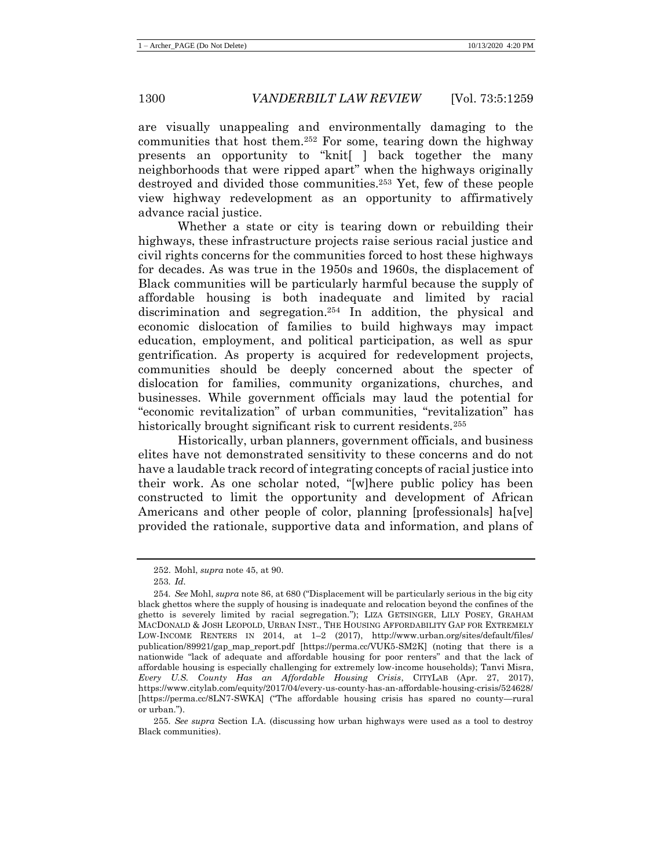are visually unappealing and environmentally damaging to the communities that host them.<sup>252</sup> For some, tearing down the highway presents an opportunity to "knit[ ] back together the many neighborhoods that were ripped apart" when the highways originally destroyed and divided those communities.<sup>253</sup> Yet, few of these people view highway redevelopment as an opportunity to affirmatively advance racial justice.

Whether a state or city is tearing down or rebuilding their highways, these infrastructure projects raise serious racial justice and civil rights concerns for the communities forced to host these highways for decades. As was true in the 1950s and 1960s, the displacement of Black communities will be particularly harmful because the supply of affordable housing is both inadequate and limited by racial discrimination and segregation.<sup>254</sup> In addition, the physical and economic dislocation of families to build highways may impact education, employment, and political participation, as well as spur gentrification. As property is acquired for redevelopment projects, communities should be deeply concerned about the specter of dislocation for families, community organizations, churches, and businesses. While government officials may laud the potential for "economic revitalization" of urban communities, "revitalization" has historically brought significant risk to current residents.<sup>255</sup>

Historically, urban planners, government officials, and business elites have not demonstrated sensitivity to these concerns and do not have a laudable track record of integrating concepts of racial justice into their work. As one scholar noted, "[w]here public policy has been constructed to limit the opportunity and development of African Americans and other people of color, planning [professionals] ha[ve] provided the rationale, supportive data and information, and plans of

<sup>252.</sup> Mohl, *supra* note [45,](#page-11-0) at 90.

<sup>253</sup>*. Id.*

<sup>254</sup>*. See* Mohl, *supra* note [86,](#page-19-0) at 680 ("Displacement will be particularly serious in the big city black ghettos where the supply of housing is inadequate and relocation beyond the confines of the ghetto is severely limited by racial segregation."); LIZA GETSINGER, LILY POSEY, GRAHAM MACDONALD & JOSH LEOPOLD, URBAN INST., THE HOUSING AFFORDABILITY GAP FOR EXTREMELY LOW-INCOME RENTERS IN 2014, at 1–2 (2017), http://www.urban.org/sites/default/files/ publication/89921/gap\_map\_report.pdf [https://perma.cc/VUK5-SM2K] (noting that there is a nationwide "lack of adequate and affordable housing for poor renters" and that the lack of affordable housing is especially challenging for extremely low-income households); Tanvi Misra, *Every U.S. County Has an Affordable Housing Crisis*, CITYLAB (Apr. 27, 2017), https://www.citylab.com/equity/2017/04/every-us-county-has-an-affordable-housing-crisis/524628/ [https://perma.cc/8LN7-SWKA] ("The affordable housing crisis has spared no county—rural or urban.").

<sup>255</sup>*. See supra* Section I.A. (discussing how urban highways were used as a tool to destroy Black communities).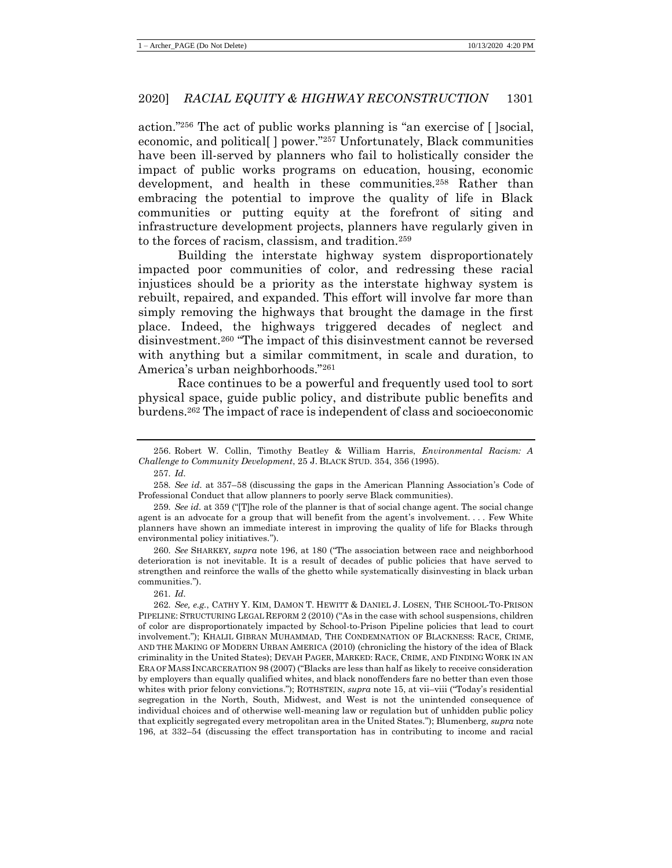action."<sup>256</sup> The act of public works planning is "an exercise of [ ]social, economic, and political<sup>[]</sup> power."<sup>257</sup> Unfortunately, Black communities have been ill-served by planners who fail to holistically consider the impact of public works programs on education, housing, economic development, and health in these communities.<sup>258</sup> Rather than embracing the potential to improve the quality of life in Black communities or putting equity at the forefront of siting and infrastructure development projects, planners have regularly given in to the forces of racism, classism, and tradition.<sup>259</sup>

Building the interstate highway system disproportionately impacted poor communities of color, and redressing these racial injustices should be a priority as the interstate highway system is rebuilt, repaired, and expanded. This effort will involve far more than simply removing the highways that brought the damage in the first place. Indeed, the highways triggered decades of neglect and disinvestment.<sup>260</sup> "The impact of this disinvestment cannot be reversed with anything but a similar commitment, in scale and duration, to America's urban neighborhoods."<sup>261</sup>

Race continues to be a powerful and frequently used tool to sort physical space, guide public policy, and distribute public benefits and burdens.<sup>262</sup> The impact of race is independent of class and socioeconomic

<sup>256.</sup> Robert W. Collin, Timothy Beatley & William Harris, *Environmental Racism: A Challenge to Community Development*, 25 J. BLACK STUD. 354, 356 (1995). 257*. Id.*

<sup>258</sup>*. See id.* at 357–58 (discussing the gaps in the American Planning Association's Code of Professional Conduct that allow planners to poorly serve Black communities).

<sup>259</sup>*. See id.* at 359 ("[T]he role of the planner is that of social change agent. The social change agent is an advocate for a group that will benefit from the agent's involvement. . . . Few White planners have shown an immediate interest in improving the quality of life for Blacks through environmental policy initiatives.").

<sup>260</sup>*. See* SHARKEY*, supra* note [196,](#page-33-0) at 180 ("The association between race and neighborhood deterioration is not inevitable. It is a result of decades of public policies that have served to strengthen and reinforce the walls of the ghetto while systematically disinvesting in black urban communities.").

<sup>261</sup>*. Id.*

<sup>262</sup>*. See, e.g.*, CATHY Y. KIM, DAMON T. HEWITT & DANIEL J. LOSEN, THE SCHOOL-TO-PRISON PIPELINE: STRUCTURING LEGAL REFORM 2 (2010) ("As in the case with school suspensions, children of color are disproportionately impacted by School-to-Prison Pipeline policies that lead to court involvement."); KHALIL GIBRAN MUHAMMAD, THE CONDEMNATION OF BLACKNESS: RACE, CRIME, AND THE MAKING OF MODERN URBAN AMERICA (2010) (chronicling the history of the idea of Black criminality in the United States); DEVAH PAGER, MARKED: RACE, CRIME, AND FINDING WORK IN AN ERA OF MASS INCARCERATION 98 (2007) ("Blacks are less than half as likely to receive consideration by employers than equally qualified whites, and black nonoffenders fare no better than even those whites with prior felony convictions."); ROTHSTEIN, *supra* not[e 15,](#page-6-0) at vii–viii ("Today's residential segregation in the North, South, Midwest, and West is not the unintended consequence of individual choices and of otherwise well-meaning law or regulation but of unhidden public policy that explicitly segregated every metropolitan area in the United States."); Blumenberg, *supra* note [196,](#page-33-0) at 332–54 (discussing the effect transportation has in contributing to income and racial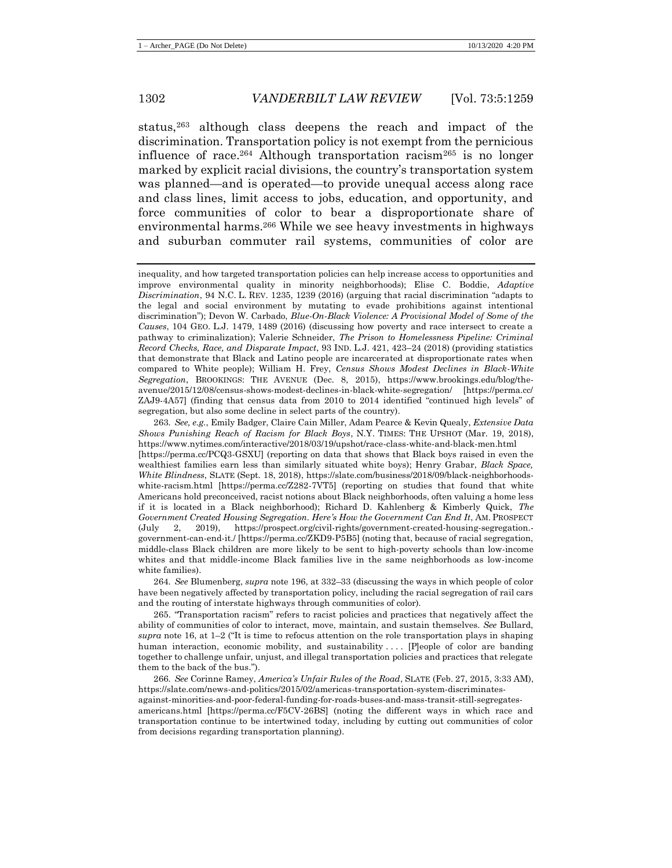status,<sup>263</sup> although class deepens the reach and impact of the discrimination. Transportation policy is not exempt from the pernicious influence of race.<sup>264</sup> Although transportation racism<sup>265</sup> is no longer marked by explicit racial divisions, the country's transportation system was planned—and is operated—to provide unequal access along race and class lines, limit access to jobs, education, and opportunity, and force communities of color to bear a disproportionate share of environmental harms.<sup>266</sup> While we see heavy investments in highways and suburban commuter rail systems, communities of color are

264*. See* Blumenberg, *supra* note [196,](#page-33-0) at 332–33 (discussing the ways in which people of color have been negatively affected by transportation policy, including the racial segregation of rail cars and the routing of interstate highways through communities of color).

265. "Transportation racism" refers to racist policies and practices that negatively affect the ability of communities of color to interact, move, maintain, and sustain themselves. *See* Bullard, *supra* note [16,](#page-6-1) at 1–2 ("It is time to refocus attention on the role transportation plays in shaping human interaction, economic mobility, and sustainability .... [P]eople of color are banding together to challenge unfair, unjust, and illegal transportation policies and practices that relegate them to the back of the bus.").

266*. See* Corinne Ramey, *America's Unfair Rules of the Road*, SLATE (Feb. 27, 2015, 3:33 AM), https://slate.com/news-and-politics/2015/02/americas-transportation-system-discriminatesagainst-minorities-and-poor-federal-funding-for-roads-buses-and-mass-transit-still-segregatesamericans.html [https://perma.cc/F5CV-26BS] (noting the different ways in which race and transportation continue to be intertwined today, including by cutting out communities of color from decisions regarding transportation planning).

inequality, and how targeted transportation policies can help increase access to opportunities and improve environmental quality in minority neighborhoods); Elise C. Boddie, *Adaptive Discrimination*, 94 N.C. L. REV. 1235, 1239 (2016) (arguing that racial discrimination "adapts to the legal and social environment by mutating to evade prohibitions against intentional discrimination"); Devon W. Carbado, *Blue-On-Black Violence: A Provisional Model of Some of the Causes*, 104 GEO. L.J. 1479, 1489 (2016) (discussing how poverty and race intersect to create a pathway to criminalization); Valerie Schneider, *The Prison to Homelessness Pipeline: Criminal Record Checks, Race, and Disparate Impact*, 93 IND. L.J. 421, 423–24 (2018) (providing statistics that demonstrate that Black and Latino people are incarcerated at disproportionate rates when compared to White people); William H. Frey, *Census Shows Modest Declines in Black-White Segregation*, BROOKINGS: THE AVENUE (Dec. 8, 2015), https://www.brookings.edu/blog/theavenue/2015/12/08/census-shows-modest-declines-in-black-white-segregation/ [https://perma.cc/ ZAJ9-4A57] (finding that census data from 2010 to 2014 identified "continued high levels" of segregation, but also some decline in select parts of the country).

<sup>263</sup>*. See, e.g.*, Emily Badger, Claire Cain Miller, Adam Pearce & Kevin Quealy, *Extensive Data Shows Punishing Reach of Racism for Black Boys*, N.Y. TIMES: THE UPSHOT (Mar. 19, 2018), https://www.nytimes.com/interactive/2018/03/19/upshot/race-class-white-and-black-men.html [https://perma.cc/PCQ3-GSXU] (reporting on data that shows that Black boys raised in even the wealthiest families earn less than similarly situated white boys); Henry Grabar, *Black Space, White Blindness*, SLATE (Sept. 18, 2018), https://slate.com/business/2018/09/black-neighborhoodswhite-racism.html [https://perma.cc/Z282-7VT5] (reporting on studies that found that white Americans hold preconceived, racist notions about Black neighborhoods, often valuing a home less if it is located in a Black neighborhood); Richard D. Kahlenberg & Kimberly Quick, *The Government Created Housing Segregation. Here's How the Government Can End It*, AM. PROSPECT (July 2, 2019), https://prospect.org/civil-rights/government-created-housing-segregation. government-can-end-it./ [https://perma.cc/ZKD9-P5B5] (noting that, because of racial segregation, middle-class Black children are more likely to be sent to high-poverty schools than low-income whites and that middle-income Black families live in the same neighborhoods as low-income white families).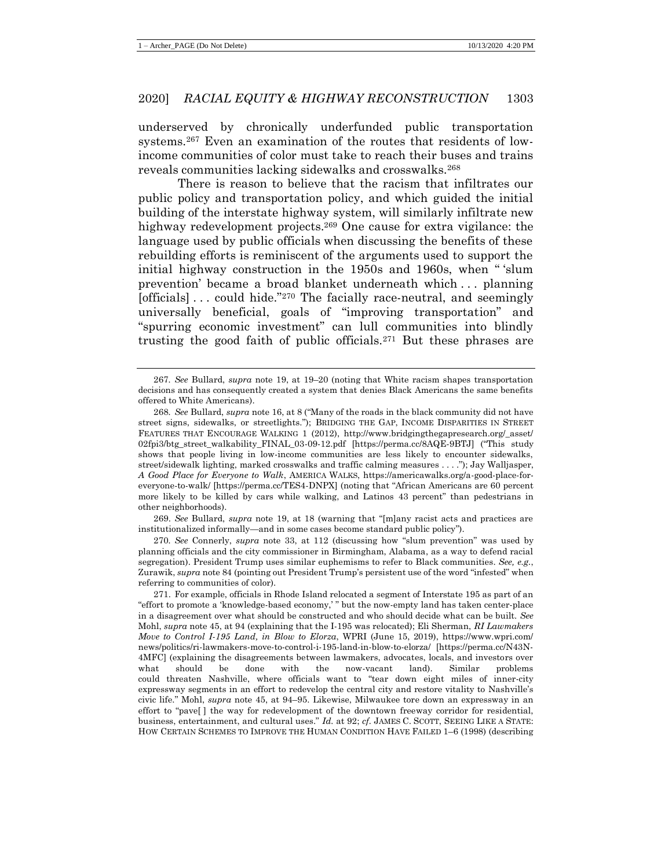underserved by chronically underfunded public transportation systems.<sup>267</sup> Even an examination of the routes that residents of lowincome communities of color must take to reach their buses and trains reveals communities lacking sidewalks and crosswalks.<sup>268</sup>

There is reason to believe that the racism that infiltrates our public policy and transportation policy, and which guided the initial building of the interstate highway system, will similarly infiltrate new highway redevelopment projects.<sup>269</sup> One cause for extra vigilance: the language used by public officials when discussing the benefits of these rebuilding efforts is reminiscent of the arguments used to support the initial highway construction in the 1950s and 1960s, when " 'slum prevention' became a broad blanket underneath which . . . planning [officials] . . . could hide."<sup>270</sup> The facially race-neutral, and seemingly universally beneficial, goals of "improving transportation" and "spurring economic investment" can lull communities into blindly trusting the good faith of public officials.<sup>271</sup> But these phrases are

269. *See* Bullard, *supra* note [19,](#page-7-0) at 18 (warning that "[m]any racist acts and practices are institutionalized informally—and in some cases become standard public policy").

270*. See* Connerly, *supra* note [33,](#page-8-0) at 112 (discussing how "slum prevention" was used by planning officials and the city commissioner in Birmingham, Alabama, as a way to defend racial segregation). President Trump uses similar euphemisms to refer to Black communities. *See, e.g.*, Zurawik, *supra* not[e 84](#page-18-0) (pointing out President Trump's persistent use of the word "infested" when referring to communities of color).

<span id="page-45-0"></span><sup>267</sup>*. See* Bullard, *supra* note [19,](#page-7-0) at 19–20 (noting that White racism shapes transportation decisions and has consequently created a system that denies Black Americans the same benefits offered to White Americans).

<sup>268</sup>*. See* Bullard, *supra* not[e 16,](#page-6-1) at 8 ("Many of the roads in the black community did not have street signs, sidewalks, or streetlights."); BRIDGING THE GAP, INCOME DISPARITIES IN STREET FEATURES THAT ENCOURAGE WALKING 1 (2012), http://www.bridgingthegapresearch.org/\_asset/ 02fpi3/btg\_street\_walkability\_FINAL\_03-09-12.pdf [https://perma.cc/8AQE-9BTJ] ("This study shows that people living in low-income communities are less likely to encounter sidewalks, street/sidewalk lighting, marked crosswalks and traffic calming measures . . . ."); Jay Walljasper, *A Good Place for Everyone to Walk*, AMERICA WALKS, https://americawalks.org/a-good-place-foreveryone-to-walk/ [https://perma.cc/TES4-DNPX] (noting that "African Americans are 60 percent more likely to be killed by cars while walking, and Latinos 43 percent" than pedestrians in other neighborhoods).

<sup>271.</sup> For example, officials in Rhode Island relocated a segment of Interstate 195 as part of an "effort to promote a 'knowledge-based economy,' " but the now-empty land has taken center-place in a disagreement over what should be constructed and who should decide what can be built. *See*  Mohl, *supra* note [45,](#page-11-0) at 94 (explaining that the I-195 was relocated); Eli Sherman, *RI Lawmakers Move to Control I-195 Land, in Blow to Elorza*, WPRI (June 15, 2019), https://www.wpri.com/ news/politics/ri-lawmakers-move-to-control-i-195-land-in-blow-to-elorza/ [https://perma.cc/N43N-4MFC] (explaining the disagreements between lawmakers, advocates, locals, and investors over what should be done with the now-vacant land). Similar problems could threaten Nashville, where officials want to "tear down eight miles of inner-city expressway segments in an effort to redevelop the central city and restore vitality to Nashville's civic life." Mohl, *supra* note [45,](#page-11-0) at 94–95. Likewise, Milwaukee tore down an expressway in an effort to "pave[ ] the way for redevelopment of the downtown freeway corridor for residential, business, entertainment, and cultural uses." *Id.* at 92; *cf.* JAMES C. SCOTT, SEEING LIKE A STATE: HOW CERTAIN SCHEMES TO IMPROVE THE HUMAN CONDITION HAVE FAILED 1–6 (1998) (describing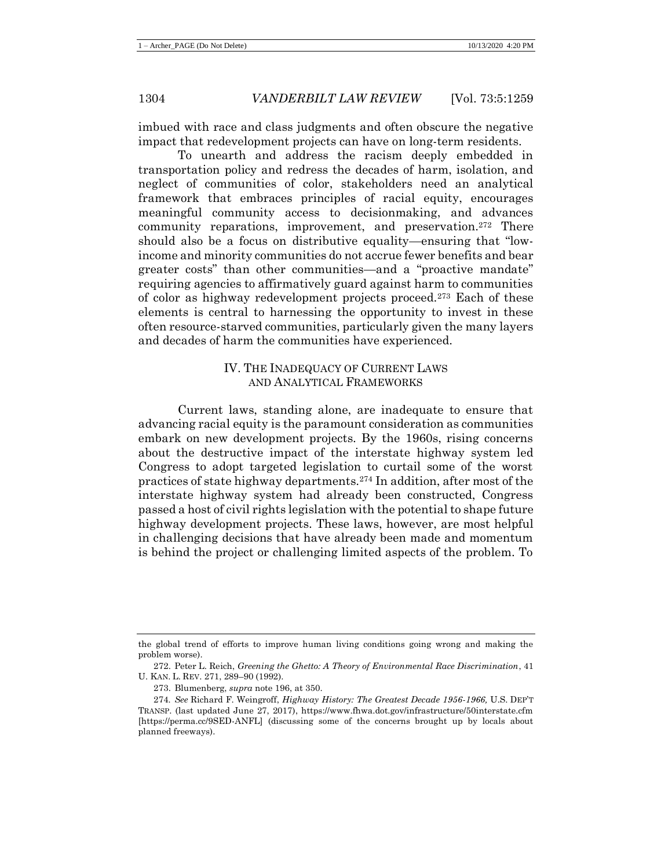imbued with race and class judgments and often obscure the negative impact that redevelopment projects can have on long-term residents.

To unearth and address the racism deeply embedded in transportation policy and redress the decades of harm, isolation, and neglect of communities of color, stakeholders need an analytical framework that embraces principles of racial equity, encourages meaningful community access to decisionmaking, and advances community reparations, improvement, and preservation.<sup>272</sup> There should also be a focus on distributive equality—ensuring that "lowincome and minority communities do not accrue fewer benefits and bear greater costs" than other communities—and a "proactive mandate" requiring agencies to affirmatively guard against harm to communities of color as highway redevelopment projects proceed.<sup>273</sup> Each of these elements is central to harnessing the opportunity to invest in these often resource-starved communities, particularly given the many layers and decades of harm the communities have experienced.

# <span id="page-46-0"></span>IV. THE INADEQUACY OF CURRENT LAWS AND ANALYTICAL FRAMEWORKS

Current laws, standing alone, are inadequate to ensure that advancing racial equity is the paramount consideration as communities embark on new development projects. By the 1960s, rising concerns about the destructive impact of the interstate highway system led Congress to adopt targeted legislation to curtail some of the worst practices of state highway departments.<sup>274</sup> In addition, after most of the interstate highway system had already been constructed, Congress passed a host of civil rights legislation with the potential to shape future highway development projects. These laws, however, are most helpful in challenging decisions that have already been made and momentum is behind the project or challenging limited aspects of the problem. To

the global trend of efforts to improve human living conditions going wrong and making the problem worse).

<sup>272.</sup> Peter L. Reich, *Greening the Ghetto: A Theory of Environmental Race Discrimination*, 41 U. KAN. L. REV. 271, 289–90 (1992).

<sup>273.</sup> Blumenberg, *supra* not[e 196,](#page-33-0) at 350.

<sup>274</sup>*. See* Richard F. Weingroff, *Highway History: The Greatest Decade 1956-1966,* U.S. DEP'T TRANSP. (last updated June 27, 2017), https://www.fhwa.dot.gov/infrastructure/50interstate.cfm [https://perma.cc/9SED-ANFL] (discussing some of the concerns brought up by locals about planned freeways).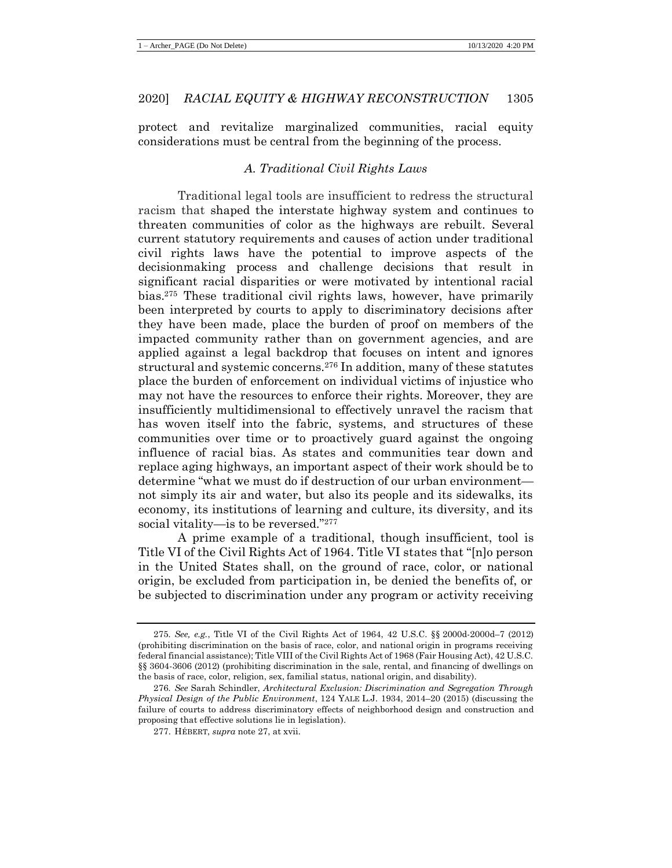protect and revitalize marginalized communities, racial equity considerations must be central from the beginning of the process.

# *A. Traditional Civil Rights Laws*

Traditional legal tools are insufficient to redress the structural racism that shaped the interstate highway system and continues to threaten communities of color as the highways are rebuilt. Several current statutory requirements and causes of action under traditional civil rights laws have the potential to improve aspects of the decisionmaking process and challenge decisions that result in significant racial disparities or were motivated by intentional racial bias.<sup>275</sup> These traditional civil rights laws, however, have primarily been interpreted by courts to apply to discriminatory decisions after they have been made, place the burden of proof on members of the impacted community rather than on government agencies, and are applied against a legal backdrop that focuses on intent and ignores structural and systemic concerns.<sup>276</sup> In addition, many of these statutes place the burden of enforcement on individual victims of injustice who may not have the resources to enforce their rights. Moreover, they are insufficiently multidimensional to effectively unravel the racism that has woven itself into the fabric, systems, and structures of these communities over time or to proactively guard against the ongoing influence of racial bias. As states and communities tear down and replace aging highways, an important aspect of their work should be to determine "what we must do if destruction of our urban environment not simply its air and water, but also its people and its sidewalks, its economy, its institutions of learning and culture, its diversity, and its social vitality—is to be reversed."<sup>277</sup>

A prime example of a traditional, though insufficient, tool is Title VI of the Civil Rights Act of 1964. Title VI states that "[n]o person in the United States shall, on the ground of race, color, or national origin, be excluded from participation in, be denied the benefits of, or be subjected to discrimination under any program or activity receiving

<sup>275</sup>*. See, e.g.*, Title VI of the Civil Rights Act of 1964, 42 U.S.C. §§ 2000d-2000d–7 (2012) (prohibiting discrimination on the basis of race, color, and national origin in programs receiving federal financial assistance); Title VIII of the Civil Rights Act of 1968 (Fair Housing Act), 42 U.S.C. §§ 3604-3606 (2012) (prohibiting discrimination in the sale, rental, and financing of dwellings on the basis of race, color, religion, sex, familial status, national origin, and disability).

<sup>276</sup>*. See* Sarah Schindler, *Architectural Exclusion: Discrimination and Segregation Through Physical Design of the Public Environment*, 124 YALE L.J. 1934, 2014–20 (2015) (discussing the failure of courts to address discriminatory effects of neighborhood design and construction and proposing that effective solutions lie in legislation).

<sup>277.</sup> HÉBERT, *supra* note [27,](#page-8-1) at xvii.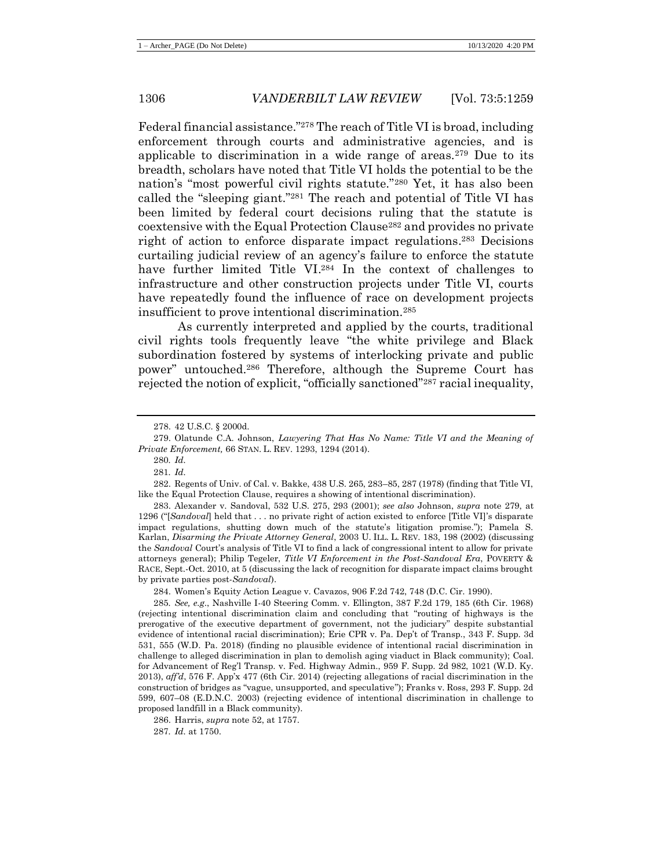<span id="page-48-0"></span>Federal financial assistance."<sup>278</sup> The reach of Title VI is broad, including enforcement through courts and administrative agencies, and is applicable to discrimination in a wide range of areas.<sup>279</sup> Due to its breadth, scholars have noted that Title VI holds the potential to be the nation's "most powerful civil rights statute."<sup>280</sup> Yet, it has also been called the "sleeping giant."<sup>281</sup> The reach and potential of Title VI has been limited by federal court decisions ruling that the statute is coextensive with the Equal Protection Clause<sup>282</sup> and provides no private right of action to enforce disparate impact regulations. <sup>283</sup> Decisions curtailing judicial review of an agency's failure to enforce the statute have further limited Title VI.<sup>284</sup> In the context of challenges to infrastructure and other construction projects under Title VI, courts have repeatedly found the influence of race on development projects insufficient to prove intentional discrimination.<sup>285</sup>

As currently interpreted and applied by the courts, traditional civil rights tools frequently leave "the white privilege and Black subordination fostered by systems of interlocking private and public power" untouched.<sup>286</sup> Therefore, although the Supreme Court has rejected the notion of explicit, "officially sanctioned"<sup>287</sup> racial inequality,

283. Alexander v. Sandoval, 532 U.S. 275, 293 (2001); *see also* Johnson, *supra* note [279,](#page-48-0) at 1296 ("[*Sandoval*] held that . . . no private right of action existed to enforce [Title VI]'s disparate impact regulations, shutting down much of the statute's litigation promise."); Pamela S. Karlan, *Disarming the Private Attorney General*, 2003 U. ILL. L. REV. 183, 198 (2002) (discussing the *Sandoval* Court's analysis of Title VI to find a lack of congressional intent to allow for private attorneys general); Philip Tegeler, *Title VI Enforcement in the Post-Sandoval Era*, POVERTY & RACE, Sept.-Oct. 2010, at 5 (discussing the lack of recognition for disparate impact claims brought by private parties post-*Sandoval*).

284. Women's Equity Action League v. Cavazos, 906 F.2d 742, 748 (D.C. Cir. 1990).

285*. See, e.g*., Nashville I-40 Steering Comm. v. Ellington, 387 F.2d 179, 185 (6th Cir. 1968) (rejecting intentional discrimination claim and concluding that "routing of highways is the prerogative of the executive department of government, not the judiciary" despite substantial evidence of intentional racial discrimination); Erie CPR v. Pa. Dep't of Transp., 343 F. Supp. 3d 531, 555 (W.D. Pa. 2018) (finding no plausible evidence of intentional racial discrimination in challenge to alleged discrimination in plan to demolish aging viaduct in Black community); Coal. for Advancement of Reg'l Transp. v. Fed. Highway Admin., 959 F. Supp. 2d 982, 1021 (W.D. Ky. 2013), *aff'd*, 576 F. App'x 477 (6th Cir. 2014) (rejecting allegations of racial discrimination in the construction of bridges as "vague, unsupported, and speculative"); Franks v. Ross, 293 F. Supp. 2d 599, 607–08 (E.D.N.C. 2003) (rejecting evidence of intentional discrimination in challenge to proposed landfill in a Black community).

286. Harris, *supra* not[e 52,](#page-13-0) at 1757.

<sup>278.</sup> 42 U.S.C. § 2000d.

<sup>279.</sup> Olatunde C.A. Johnson, *Lawyering That Has No Name: Title VI and the Meaning of Private Enforcement,* 66 STAN. L. REV. 1293, 1294 (2014).

<sup>280</sup>*. Id.*

<sup>281</sup>*. Id.*

<sup>282.</sup> Regents of Univ. of Cal. v. Bakke, 438 U.S. 265, 283–85, 287 (1978) (finding that Title VI, like the Equal Protection Clause, requires a showing of intentional discrimination).

<sup>287</sup>*. Id.* at 1750.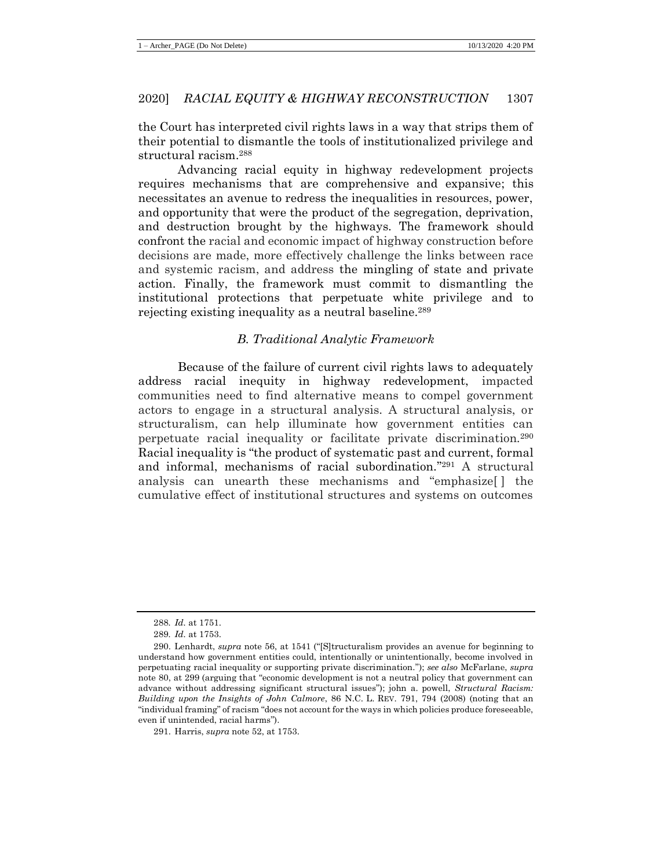the Court has interpreted civil rights laws in a way that strips them of their potential to dismantle the tools of institutionalized privilege and structural racism.<sup>288</sup>

Advancing racial equity in highway redevelopment projects requires mechanisms that are comprehensive and expansive; this necessitates an avenue to redress the inequalities in resources, power, and opportunity that were the product of the segregation, deprivation, and destruction brought by the highways. The framework should confront the racial and economic impact of highway construction before decisions are made, more effectively challenge the links between race and systemic racism, and address the mingling of state and private action. Finally, the framework must commit to dismantling the institutional protections that perpetuate white privilege and to rejecting existing inequality as a neutral baseline.<sup>289</sup>

## <span id="page-49-0"></span>*B. Traditional Analytic Framework*

Because of the failure of current civil rights laws to adequately address racial inequity in highway redevelopment, impacted communities need to find alternative means to compel government actors to engage in a structural analysis. A structural analysis, or structuralism, can help illuminate how government entities can perpetuate racial inequality or facilitate private discrimination.<sup>290</sup> Racial inequality is "the product of systematic past and current, formal and informal, mechanisms of racial subordination." <sup>291</sup> A structural analysis can unearth these mechanisms and "emphasize[ ] the cumulative effect of institutional structures and systems on outcomes

<sup>288</sup>*. Id.* at 1751.

<sup>289</sup>*. Id.* at 1753.

<sup>290.</sup> Lenhardt, *supra* note [56,](#page-13-1) at 1541 ("[S]tructuralism provides an avenue for beginning to understand how government entities could, intentionally or unintentionally, become involved in perpetuating racial inequality or supporting private discrimination."); *see also* McFarlane, *supra*  not[e 80,](#page-18-1) at 299 (arguing that "economic development is not a neutral policy that government can advance without addressing significant structural issues"); john a. powell, *Structural Racism: Building upon the Insights of John Calmore*, 86 N.C. L. REV. 791, 794 (2008) (noting that an "individual framing" of racism "does not account for the ways in which policies produce foreseeable, even if unintended, racial harms").

<sup>291.</sup> Harris, *supra* not[e 52,](#page-13-0) at 1753.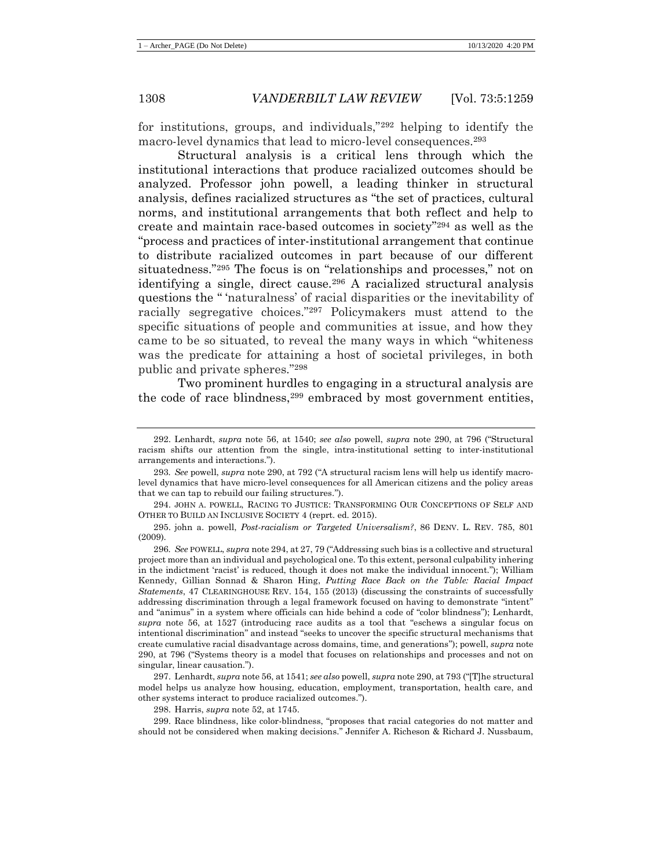for institutions, groups, and individuals,"<sup>292</sup> helping to identify the macro-level dynamics that lead to micro-level consequences.<sup>293</sup>

<span id="page-50-1"></span><span id="page-50-0"></span>Structural analysis is a critical lens through which the institutional interactions that produce racialized outcomes should be analyzed. Professor john powell, a leading thinker in structural analysis, defines racialized structures as "the set of practices, cultural norms, and institutional arrangements that both reflect and help to create and maintain race-based outcomes in society"<sup>294</sup> as well as the "process and practices of inter-institutional arrangement that continue to distribute racialized outcomes in part because of our different situatedness."<sup>295</sup> The focus is on "relationships and processes," not on identifying a single, direct cause.<sup>296</sup> A racialized structural analysis questions the " 'naturalness' of racial disparities or the inevitability of racially segregative choices."<sup>297</sup> Policymakers must attend to the specific situations of people and communities at issue, and how they came to be so situated, to reveal the many ways in which "whiteness was the predicate for attaining a host of societal privileges, in both public and private spheres."<sup>298</sup>

<span id="page-50-2"></span>Two prominent hurdles to engaging in a structural analysis are the code of race blindness, <sup>299</sup> embraced by most government entities,

298. Harris, *supra* not[e 52,](#page-13-0) at 1745.

299. Race blindness, like color-blindness, "proposes that racial categories do not matter and should not be considered when making decisions." Jennifer A. Richeson & Richard J. Nussbaum,

<sup>292.</sup> Lenhardt, *supra* note [56,](#page-13-1) at 1540; *see also* powell, *supra* note [290,](#page-49-0) at 796 ("Structural racism shifts our attention from the single, intra-institutional setting to inter-institutional arrangements and interactions.").

<sup>293</sup>*. See* powell, *supra* not[e 290,](#page-49-0) at 792 ("A structural racism lens will help us identify macrolevel dynamics that have micro-level consequences for all American citizens and the policy areas that we can tap to rebuild our failing structures.").

<sup>294.</sup> JOHN A. POWELL, RACING TO JUSTICE: TRANSFORMING OUR CONCEPTIONS OF SELF AND OTHER TO BUILD AN INCLUSIVE SOCIETY 4 (reprt. ed. 2015).

<sup>295.</sup> john a. powell, *Post-racialism or Targeted Universalism?*, 86 DENV. L. REV. 785, 801 (2009).

<sup>296</sup>*. See* POWELL, *supra* not[e 294,](#page-50-0) at 27, 79 ("Addressing such bias is a collective and structural project more than an individual and psychological one. To this extent, personal culpability inhering in the indictment 'racist' is reduced, though it does not make the individual innocent."); William Kennedy, Gillian Sonnad & Sharon Hing, *Putting Race Back on the Table: Racial Impact Statements*, 47 CLEARINGHOUSE REV. 154, 155 (2013) (discussing the constraints of successfully addressing discrimination through a legal framework focused on having to demonstrate "intent" and "animus" in a system where officials can hide behind a code of "color blindness"); Lenhardt, *supra* note [56,](#page-13-1) at 1527 (introducing race audits as a tool that "eschews a singular focus on intentional discrimination" and instead "seeks to uncover the specific structural mechanisms that create cumulative racial disadvantage across domains, time, and generations"); powell, *supra* note [290,](#page-49-0) at 796 ("Systems theory is a model that focuses on relationships and processes and not on singular, linear causation.").

<sup>297.</sup> Lenhardt, *supra* not[e 56,](#page-13-1) at 1541; *see also* powell, *supra* note [290,](#page-49-0) at 793 ("[T]he structural model helps us analyze how housing, education, employment, transportation, health care, and other systems interact to produce racialized outcomes.").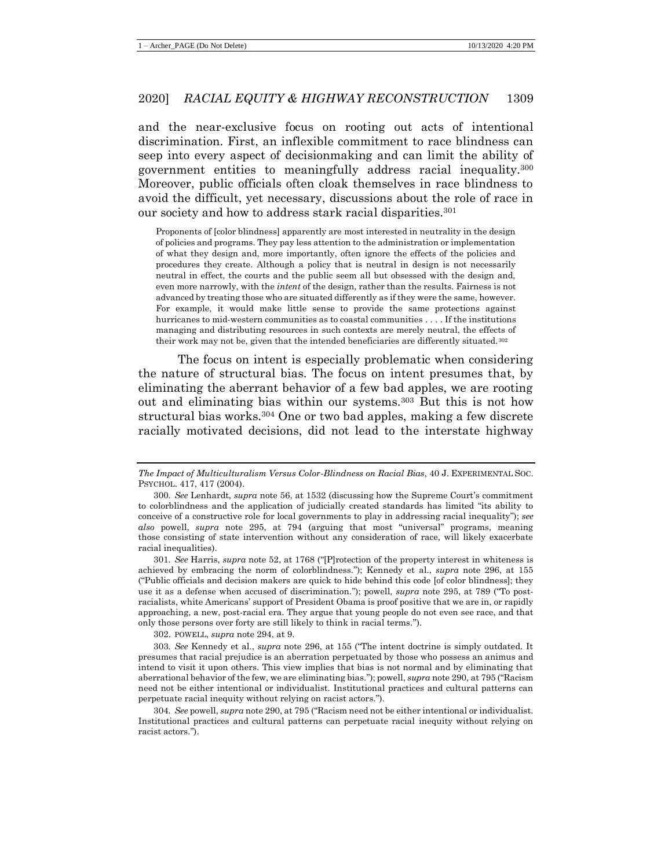and the near-exclusive focus on rooting out acts of intentional discrimination. First, an inflexible commitment to race blindness can seep into every aspect of decisionmaking and can limit the ability of government entities to meaningfully address racial inequality.<sup>300</sup> Moreover, public officials often cloak themselves in race blindness to avoid the difficult, yet necessary, discussions about the role of race in our society and how to address stark racial disparities.<sup>301</sup>

Proponents of [color blindness] apparently are most interested in neutrality in the design of policies and programs. They pay less attention to the administration or implementation of what they design and, more importantly, often ignore the effects of the policies and procedures they create. Although a policy that is neutral in design is not necessarily neutral in effect, the courts and the public seem all but obsessed with the design and, even more narrowly, with the *intent* of the design, rather than the results. Fairness is not advanced by treating those who are situated differently as if they were the same, however. For example, it would make little sense to provide the same protections against hurricanes to mid-western communities as to coastal communities . . . . If the institutions managing and distributing resources in such contexts are merely neutral, the effects of their work may not be, given that the intended beneficiaries are differently situated. 302

The focus on intent is especially problematic when considering the nature of structural bias. The focus on intent presumes that, by eliminating the aberrant behavior of a few bad apples, we are rooting out and eliminating bias within our systems.<sup>303</sup> But this is not how structural bias works.<sup>304</sup> One or two bad apples, making a few discrete racially motivated decisions, did not lead to the interstate highway

302. POWELL, *supra* note [294,](#page-50-0) at 9.

*The Impact of Multiculturalism Versus Color-Blindness on Racial Bias*, 40 J. EXPERIMENTAL SOC. PSYCHOL. 417, 417 (2004).

<sup>300</sup>*. See* Lenhardt, *supra* note [56,](#page-13-1) at 1532 (discussing how the Supreme Court's commitment to colorblindness and the application of judicially created standards has limited "its ability to conceive of a constructive role for local governments to play in addressing racial inequality"); *see also* powell, *supra* note [295,](#page-50-1) at 794 (arguing that most "universal" programs, meaning those consisting of state intervention without any consideration of race, will likely exacerbate racial inequalities).

<sup>301</sup>*. See* Harris, *supra* note [52,](#page-13-0) at 1768 ("[P]rotection of the property interest in whiteness is achieved by embracing the norm of colorblindness."); Kennedy et al., *supra* note [296,](#page-50-2) at 155 ("Public officials and decision makers are quick to hide behind this code [of color blindness]; they use it as a defense when accused of discrimination."); powell, *supra* note [295,](#page-50-1) at 789 ("To postracialists, white Americans' support of President Obama is proof positive that we are in, or rapidly approaching, a new, post-racial era. They argue that young people do not even see race, and that only those persons over forty are still likely to think in racial terms.").

<sup>303</sup>*. See* Kennedy et al., *supra* note [296,](#page-50-2) at 155 ("The intent doctrine is simply outdated. It presumes that racial prejudice is an aberration perpetuated by those who possess an animus and intend to visit it upon others. This view implies that bias is not normal and by eliminating that aberrational behavior of the few, we are eliminating bias."); powell, *supra* not[e 290,](#page-49-0) at 795 ("Racism need not be either intentional or individualist. Institutional practices and cultural patterns can perpetuate racial inequity without relying on racist actors.").

<sup>304</sup>*. See* powell, *supra* not[e 290,](#page-49-0) at 795 ("Racism need not be either intentional or individualist. Institutional practices and cultural patterns can perpetuate racial inequity without relying on racist actors.").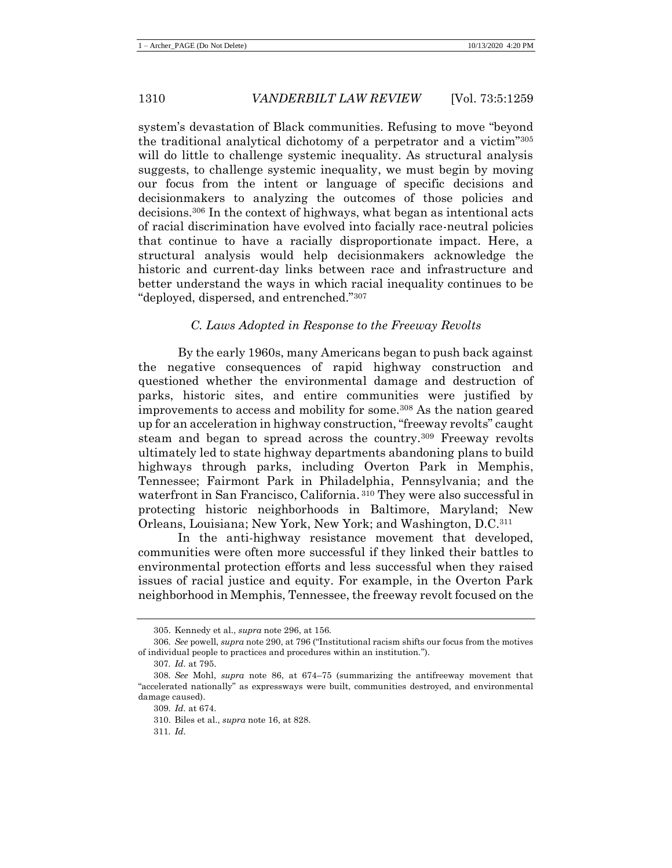system's devastation of Black communities. Refusing to move "beyond the traditional analytical dichotomy of a perpetrator and a victim"<sup>305</sup> will do little to challenge systemic inequality. As structural analysis suggests, to challenge systemic inequality, we must begin by moving our focus from the intent or language of specific decisions and decisionmakers to analyzing the outcomes of those policies and decisions.<sup>306</sup> In the context of highways, what began as intentional acts of racial discrimination have evolved into facially race-neutral policies that continue to have a racially disproportionate impact. Here, a structural analysis would help decisionmakers acknowledge the historic and current-day links between race and infrastructure and better understand the ways in which racial inequality continues to be "deployed, dispersed, and entrenched."<sup>307</sup>

## *C. Laws Adopted in Response to the Freeway Revolts*

By the early 1960s, many Americans began to push back against the negative consequences of rapid highway construction and questioned whether the environmental damage and destruction of parks, historic sites, and entire communities were justified by improvements to access and mobility for some.<sup>308</sup> As the nation geared up for an acceleration in highway construction, "freeway revolts" caught steam and began to spread across the country.<sup>309</sup> Freeway revolts ultimately led to state highway departments abandoning plans to build highways through parks, including Overton Park in Memphis, Tennessee; Fairmont Park in Philadelphia, Pennsylvania; and the waterfront in San Francisco, California. <sup>310</sup> They were also successful in protecting historic neighborhoods in Baltimore, Maryland; New Orleans, Louisiana; New York, New York; and Washington, D.C.<sup>311</sup>

In the anti-highway resistance movement that developed, communities were often more successful if they linked their battles to environmental protection efforts and less successful when they raised issues of racial justice and equity. For example, in the Overton Park neighborhood in Memphis, Tennessee, the freeway revolt focused on the

<sup>305.</sup> Kennedy et al., *supra* not[e 296,](#page-50-2) at 156.

<sup>306</sup>*. See* powell, *supra* not[e 290,](#page-49-0) at 796 ("Institutional racism shifts our focus from the motives of individual people to practices and procedures within an institution.").

<sup>307</sup>*. Id.* at 795.

<sup>308</sup>*. See* Mohl, *supra* note [86,](#page-19-0) at 674–75 (summarizing the antifreeway movement that "accelerated nationally" as expressways were built, communities destroyed, and environmental damage caused).

<sup>309</sup>*. Id.* at 674.

<sup>310.</sup> Biles et al., *supra* not[e 16,](#page-6-1) at 828.

<sup>311</sup>*. Id.*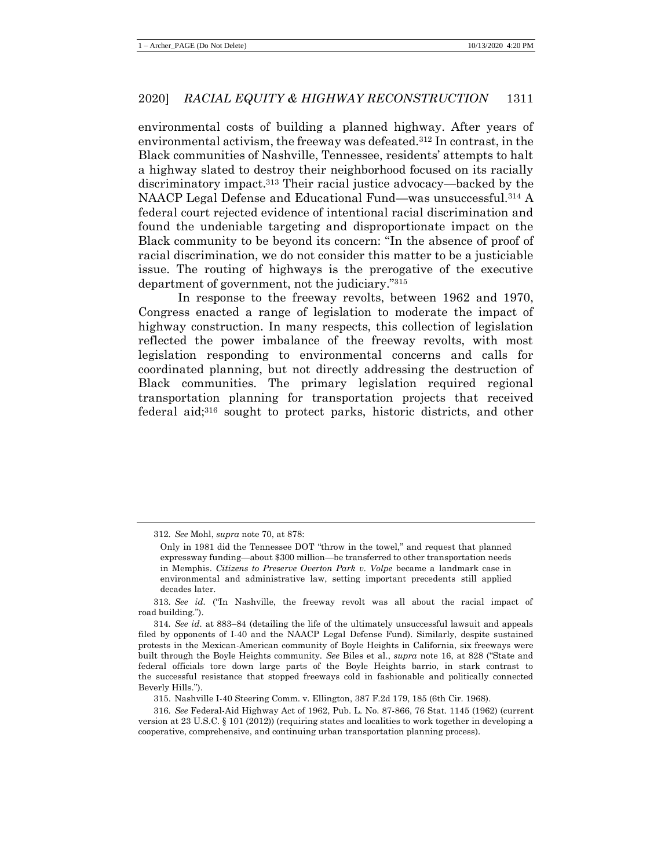environmental costs of building a planned highway. After years of environmental activism, the freeway was defeated.<sup>312</sup> In contrast, in the Black communities of Nashville, Tennessee, residents' attempts to halt a highway slated to destroy their neighborhood focused on its racially discriminatory impact.<sup>313</sup> Their racial justice advocacy—backed by the NAACP Legal Defense and Educational Fund—was unsuccessful.<sup>314</sup> A federal court rejected evidence of intentional racial discrimination and found the undeniable targeting and disproportionate impact on the Black community to be beyond its concern: "In the absence of proof of racial discrimination, we do not consider this matter to be a justiciable issue. The routing of highways is the prerogative of the executive department of government, not the judiciary."<sup>315</sup>

In response to the freeway revolts, between 1962 and 1970, Congress enacted a range of legislation to moderate the impact of highway construction. In many respects, this collection of legislation reflected the power imbalance of the freeway revolts, with most legislation responding to environmental concerns and calls for coordinated planning, but not directly addressing the destruction of Black communities. The primary legislation required regional transportation planning for transportation projects that received federal aid;<sup>316</sup> sought to protect parks, historic districts, and other

315. Nashville I-40 Steering Comm. v. Ellington, 387 F.2d 179, 185 (6th Cir. 1968).

<sup>312</sup>*. See* Mohl, *supra* not[e 70,](#page-16-0) at 878:

Only in 1981 did the Tennessee DOT "throw in the towel," and request that planned expressway funding—about \$300 million—be transferred to other transportation needs in Memphis. *Citizens to Preserve Overton Park v. Volpe* became a landmark case in environmental and administrative law, setting important precedents still applied decades later.

<sup>313</sup>*. See id.* ("In Nashville, the freeway revolt was all about the racial impact of road building.").

<sup>314</sup>*. See id.* at 883–84 (detailing the life of the ultimately unsuccessful lawsuit and appeals filed by opponents of I-40 and the NAACP Legal Defense Fund). Similarly, despite sustained protests in the Mexican-American community of Boyle Heights in California, six freeways were built through the Boyle Heights community. *See* Biles et al., *supra* note [16,](#page-6-1) at 828 ("State and federal officials tore down large parts of the Boyle Heights barrio, in stark contrast to the successful resistance that stopped freeways cold in fashionable and politically connected Beverly Hills.").

<sup>316</sup>*. See* Federal-Aid Highway Act of 1962, Pub. L. No. 87-866, 76 Stat. 1145 (1962) (current version at 23 U.S.C. § 101 (2012)) (requiring states and localities to work together in developing a cooperative, comprehensive, and continuing urban transportation planning process).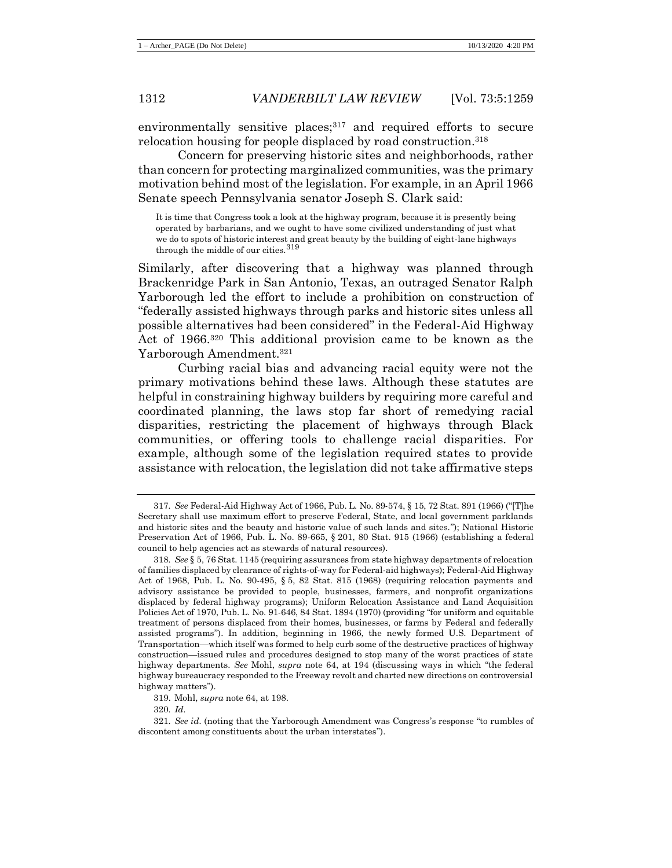environmentally sensitive places;<sup>317</sup> and required efforts to secure relocation housing for people displaced by road construction.<sup>318</sup>

Concern for preserving historic sites and neighborhoods, rather than concern for protecting marginalized communities, was the primary motivation behind most of the legislation. For example, in an April 1966 Senate speech Pennsylvania senator Joseph S. Clark said:

It is time that Congress took a look at the highway program, because it is presently being operated by barbarians, and we ought to have some civilized understanding of just what we do to spots of historic interest and great beauty by the building of eight-lane highways through the middle of our cities.<sup>319</sup>

Similarly, after discovering that a highway was planned through Brackenridge Park in San Antonio, Texas, an outraged Senator Ralph Yarborough led the effort to include a prohibition on construction of "federally assisted highways through parks and historic sites unless all possible alternatives had been considered" in the Federal-Aid Highway Act of 1966.<sup>320</sup> This additional provision came to be known as the Yarborough Amendment.<sup>321</sup>

Curbing racial bias and advancing racial equity were not the primary motivations behind these laws. Although these statutes are helpful in constraining highway builders by requiring more careful and coordinated planning, the laws stop far short of remedying racial disparities, restricting the placement of highways through Black communities, or offering tools to challenge racial disparities. For example, although some of the legislation required states to provide assistance with relocation, the legislation did not take affirmative steps

<sup>317</sup>*. See* Federal-Aid Highway Act of 1966, Pub. L. No. 89-574, § 15, 72 Stat. 891 (1966) ("[T]he Secretary shall use maximum effort to preserve Federal, State, and local government parklands and historic sites and the beauty and historic value of such lands and sites."); National Historic Preservation Act of 1966, Pub. L. No. 89-665, § 201, 80 Stat. 915 (1966) (establishing a federal council to help agencies act as stewards of natural resources).

<sup>318</sup>*. See* § 5, 76 Stat. 1145 (requiring assurances from state highway departments of relocation of families displaced by clearance of rights-of-way for Federal-aid highways); Federal-Aid Highway Act of 1968, Pub. L. No. 90-495, § 5, 82 Stat. 815 (1968) (requiring relocation payments and advisory assistance be provided to people, businesses, farmers, and nonprofit organizations displaced by federal highway programs); Uniform Relocation Assistance and Land Acquisition Policies Act of 1970, Pub. L. No. 91-646, 84 Stat. 1894 (1970) (providing "for uniform and equitable treatment of persons displaced from their homes, businesses, or farms by Federal and federally assisted programs"). In addition, beginning in 1966, the newly formed U.S. Department of Transportation—which itself was formed to help curb some of the destructive practices of highway construction—issued rules and procedures designed to stop many of the worst practices of state highway departments. *See* Mohl, *supra* note [64,](#page-15-0) at 194 (discussing ways in which "the federal highway bureaucracy responded to the Freeway revolt and charted new directions on controversial highway matters").

<sup>319.</sup> Mohl, *supra* note [64,](#page-15-0) at 198.

<sup>320</sup>*. Id.*

<sup>321</sup>*. See id.* (noting that the Yarborough Amendment was Congress's response "to rumbles of discontent among constituents about the urban interstates").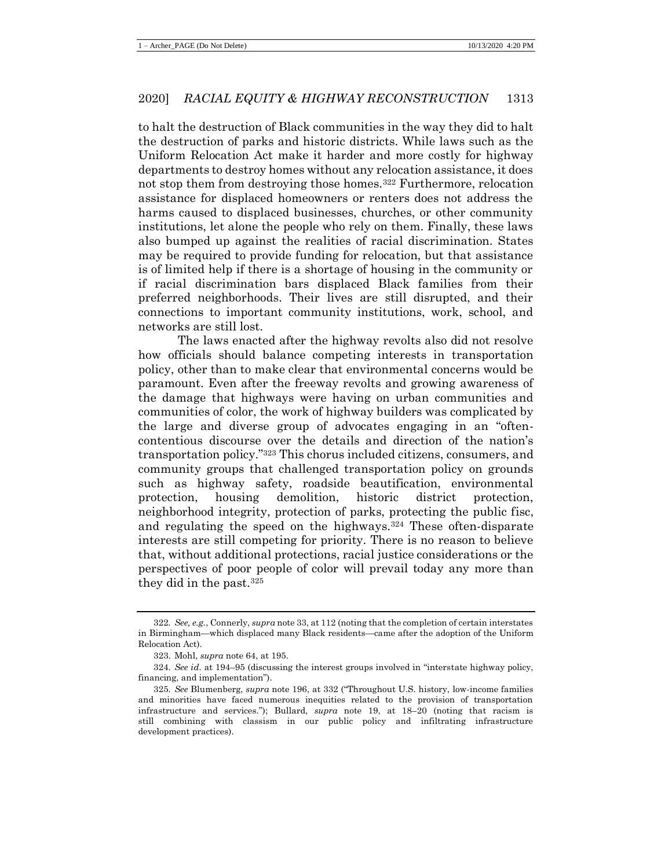to halt the destruction of Black communities in the way they did to halt the destruction of parks and historic districts. While laws such as the Uniform Relocation Act make it harder and more costly for highway departments to destroy homes without any relocation assistance, it does not stop them from destroying those homes.<sup>322</sup> Furthermore, relocation assistance for displaced homeowners or renters does not address the harms caused to displaced businesses, churches, or other community institutions, let alone the people who rely on them. Finally, these laws also bumped up against the realities of racial discrimination. States may be required to provide funding for relocation, but that assistance is of limited help if there is a shortage of housing in the community or if racial discrimination bars displaced Black families from their preferred neighborhoods. Their lives are still disrupted, and their connections to important community institutions, work, school, and networks are still lost.

The laws enacted after the highway revolts also did not resolve how officials should balance competing interests in transportation policy, other than to make clear that environmental concerns would be paramount. Even after the freeway revolts and growing awareness of the damage that highways were having on urban communities and communities of color, the work of highway builders was complicated by the large and diverse group of advocates engaging in an "oftencontentious discourse over the details and direction of the nation's transportation policy."<sup>323</sup> This chorus included citizens, consumers, and community groups that challenged transportation policy on grounds such as highway safety, roadside beautification, environmental protection, housing demolition, historic district protection, neighborhood integrity, protection of parks, protecting the public fisc, and regulating the speed on the highways.<sup>324</sup> These often-disparate interests are still competing for priority. There is no reason to believe that, without additional protections, racial justice considerations or the perspectives of poor people of color will prevail today any more than they did in the past.<sup>325</sup>

<sup>322</sup>*. See, e.g.*, Connerly, *supra* not[e 33,](#page-8-0) at 112 (noting that the completion of certain interstates in Birmingham—which displaced many Black residents—came after the adoption of the Uniform Relocation Act).

<sup>323.</sup> Mohl, *supra* note [64,](#page-15-0) at 195.

<sup>324</sup>*. See id.* at 194–95 (discussing the interest groups involved in "interstate highway policy, financing, and implementation").

<sup>325</sup>*. See* Blumenberg, *supra* note [196,](#page-33-0) at 332 ("Throughout U.S. history, low-income families and minorities have faced numerous inequities related to the provision of transportation infrastructure and services."); Bullard, *supra* note [19,](#page-7-0) at 18–20 (noting that racism is still combining with classism in our public policy and infiltrating infrastructure development practices).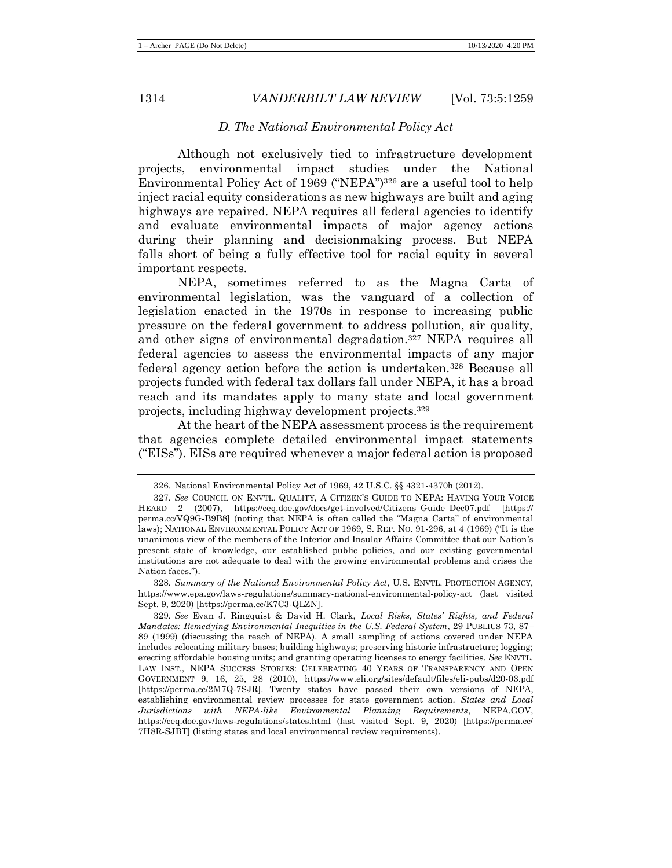## *D. The National Environmental Policy Act*

Although not exclusively tied to infrastructure development projects, environmental impact studies under the National Environmental Policy Act of 1969 ("NEPA")<sup>326</sup> are a useful tool to help inject racial equity considerations as new highways are built and aging highways are repaired. NEPA requires all federal agencies to identify and evaluate environmental impacts of major agency actions during their planning and decisionmaking process. But NEPA falls short of being a fully effective tool for racial equity in several important respects.

NEPA, sometimes referred to as the Magna Carta of environmental legislation, was the vanguard of a collection of legislation enacted in the 1970s in response to increasing public pressure on the federal government to address pollution, air quality, and other signs of environmental degradation.<sup>327</sup> NEPA requires all federal agencies to assess the environmental impacts of any major federal agency action before the action is undertaken.<sup>328</sup> Because all projects funded with federal tax dollars fall under NEPA, it has a broad reach and its mandates apply to many state and local government projects, including highway development projects.<sup>329</sup>

At the heart of the NEPA assessment process is the requirement that agencies complete detailed environmental impact statements ("EISs"). EISs are required whenever a major federal action is proposed

328*. Summary of the National Environmental Policy Act*, U.S. ENVTL. PROTECTION AGENCY, https://www.epa.gov/laws-regulations/summary-national-environmental-policy-act (last visited Sept. 9, 2020) [https://perma.cc/K7C3-QLZN].

<sup>326.</sup> National Environmental Policy Act of 1969, 42 U.S.C. §§ 4321-4370h (2012).

<sup>327</sup>*. See* COUNCIL ON ENVTL. QUALITY, A CITIZEN'S GUIDE TO NEPA: HAVING YOUR VOICE HEARD 2 (2007), https://ceq.doe.gov/docs/get-involved/Citizens\_Guide\_Dec07.pdf [https:// perma.cc/VQ9G-B9B8] (noting that NEPA is often called the "Magna Carta" of environmental laws); NATIONAL ENVIRONMENTAL POLICY ACT OF 1969, S. REP. NO. 91-296, at 4 (1969) ("It is the unanimous view of the members of the Interior and Insular Affairs Committee that our Nation's present state of knowledge, our established public policies, and our existing governmental institutions are not adequate to deal with the growing environmental problems and crises the Nation faces.").

<sup>329</sup>*. See* Evan J. Ringquist & David H. Clark, *Local Risks, States' Rights, and Federal Mandates: Remedying Environmental Inequities in the U.S. Federal System*, 29 PUBLIUS 73, 87– 89 (1999) (discussing the reach of NEPA). A small sampling of actions covered under NEPA includes relocating military bases; building highways; preserving historic infrastructure; logging; erecting affordable housing units; and granting operating licenses to energy facilities. *See* ENVTL. LAW INST., NEPA SUCCESS STORIES: CELEBRATING 40 YEARS OF TRANSPARENCY AND OPEN GOVERNMENT 9, 16, 25, 28 (2010), https://www.eli.org/sites/default/files/eli-pubs/d20-03.pdf [https://perma.cc/2M7Q-7SJR]. Twenty states have passed their own versions of NEPA, establishing environmental review processes for state government action. *States and Local Jurisdictions with NEPA-like Environmental Planning Requirements*, NEPA.GOV, https://ceq.doe.gov/laws-regulations/states.html (last visited Sept. 9, 2020) [https://perma.cc/ 7H8R-SJBT] (listing states and local environmental review requirements).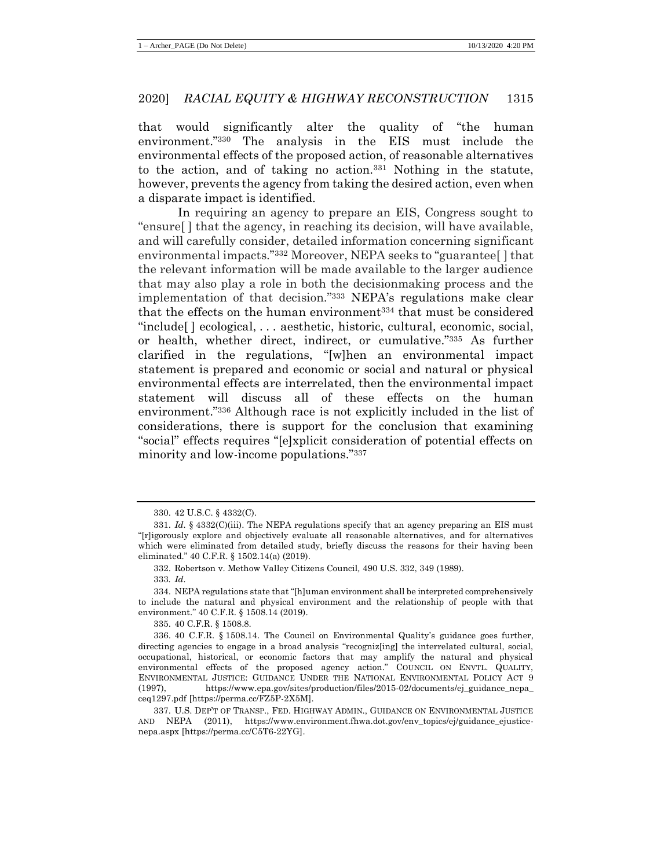that would significantly alter the quality of "the human environment."<sup>330</sup> The analysis in the EIS must include the environmental effects of the proposed action, of reasonable alternatives to the action, and of taking no action.<sup>331</sup> Nothing in the statute, however, prevents the agency from taking the desired action, even when a disparate impact is identified.

In requiring an agency to prepare an EIS, Congress sought to "ensure[ ] that the agency, in reaching its decision, will have available, and will carefully consider, detailed information concerning significant environmental impacts."<sup>332</sup> Moreover, NEPA seeks to "guarantee[ ] that the relevant information will be made available to the larger audience that may also play a role in both the decisionmaking process and the implementation of that decision."<sup>333</sup> NEPA's regulations make clear that the effects on the human environment<sup>334</sup> that must be considered "include[ ] ecological, . . . aesthetic, historic, cultural, economic, social, or health, whether direct, indirect, or cumulative."<sup>335</sup> As further clarified in the regulations, "[w]hen an environmental impact statement is prepared and economic or social and natural or physical environmental effects are interrelated, then the environmental impact statement will discuss all of these effects on the human environment."<sup>336</sup> Although race is not explicitly included in the list of considerations, there is support for the conclusion that examining "social" effects requires "[e]xplicit consideration of potential effects on minority and low-income populations."<sup>337</sup>

<sup>330.</sup> 42 U.S.C. § 4332(C).

<sup>331.</sup> *Id.* § 4332(C)(iii). The NEPA regulations specify that an agency preparing an EIS must "[r]igorously explore and objectively evaluate all reasonable alternatives, and for alternatives which were eliminated from detailed study, briefly discuss the reasons for their having been eliminated." 40 C.F.R. § 1502.14(a) (2019).

<sup>332.</sup> Robertson v. Methow Valley Citizens Council*,* 490 U.S. 332, 349 (1989)*.*

<sup>333</sup>*. Id.*

<sup>334.</sup> NEPA regulations state that "[h]uman environment shall be interpreted comprehensively to include the natural and physical environment and the relationship of people with that environment." 40 C.F.R. § 1508.14 (2019).

<sup>335.</sup> 40 C.F.R. § 1508.8.

<sup>336.</sup> 40 C.F.R. § 1508.14. The Council on Environmental Quality's guidance goes further, directing agencies to engage in a broad analysis "recogniz[ing] the interrelated cultural, social, occupational, historical, or economic factors that may amplify the natural and physical environmental effects of the proposed agency action." COUNCIL ON ENVTL. QUALITY, ENVIRONMENTAL JUSTICE: GUIDANCE UNDER THE NATIONAL ENVIRONMENTAL POLICY ACT 9 (1997), https://www.epa.gov/sites/production/files/2015-02/documents/ej\_guidance\_nepa\_ ceq1297.pdf [https://perma.cc/FZ5P-2X5M].

<sup>337.</sup> U.S. DEP'T OF TRANSP., FED. HIGHWAY ADMIN., GUIDANCE ON ENVIRONMENTAL JUSTICE AND NEPA (2011), https://www.environment.fhwa.dot.gov/env\_topics/ej/guidance\_ejusticenepa.aspx [https://perma.cc/C5T6-22YG].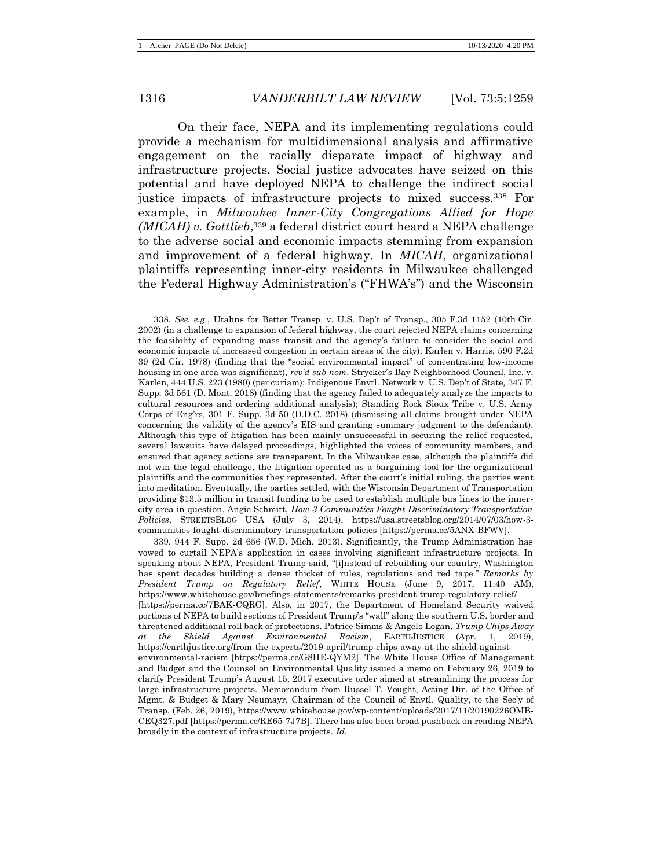On their face, NEPA and its implementing regulations could provide a mechanism for multidimensional analysis and affirmative engagement on the racially disparate impact of highway and infrastructure projects. Social justice advocates have seized on this potential and have deployed NEPA to challenge the indirect social justice impacts of infrastructure projects to mixed success.<sup>338</sup> For example, in *Milwaukee Inner-City Congregations Allied for Hope (MICAH) v. Gottlieb*, <sup>339</sup> a federal district court heard a NEPA challenge to the adverse social and economic impacts stemming from expansion and improvement of a federal highway. In *MICAH*, organizational plaintiffs representing inner-city residents in Milwaukee challenged the Federal Highway Administration's ("FHWA's") and the Wisconsin

<sup>338</sup>*. See, e.g.*, Utahns for Better Transp. v. U.S. Dep't of Transp., 305 F.3d 1152 (10th Cir. 2002) (in a challenge to expansion of federal highway, the court rejected NEPA claims concerning the feasibility of expanding mass transit and the agency's failure to consider the social and economic impacts of increased congestion in certain areas of the city); Karlen v. Harris, 590 F.2d 39 (2d Cir. 1978) (finding that the "social environmental impact" of concentrating low-income housing in one area was significant), *rev'd sub nom*. Strycker's Bay Neighborhood Council, Inc. v. Karlen, 444 U.S. 223 (1980) (per curiam); Indigenous Envtl. Network v. U.S. Dep't of State*,* 347 F. Supp. 3d 561 (D. Mont. 2018) (finding that the agency failed to adequately analyze the impacts to cultural resources and ordering additional analysis); Standing Rock Sioux Tribe v. U.S. Army Corps of Eng'rs, 301 F. Supp. 3d 50 (D.D.C. 2018) (dismissing all claims brought under NEPA concerning the validity of the agency's EIS and granting summary judgment to the defendant). Although this type of litigation has been mainly unsuccessful in securing the relief requested, several lawsuits have delayed proceedings, highlighted the voices of community members, and ensured that agency actions are transparent. In the Milwaukee case, although the plaintiffs did not win the legal challenge, the litigation operated as a bargaining tool for the organizational plaintiffs and the communities they represented. After the court's initial ruling, the parties went into meditation. Eventually, the parties settled, with the Wisconsin Department of Transportation providing \$13.5 million in transit funding to be used to establish multiple bus lines to the innercity area in question. Angie Schmitt, *How 3 Communities Fought Discriminatory Transportation Policies*, STREETSBLOG USA (July 3, 2014), https://usa.streetsblog.org/2014/07/03/how-3 communities-fought-discriminatory-transportation-policies [https://perma.cc/5ANX-BFWV].

<sup>339.</sup> 944 F. Supp. 2d 656 (W.D. Mich. 2013). Significantly, the Trump Administration has vowed to curtail NEPA's application in cases involving significant infrastructure projects. In speaking about NEPA, President Trump said, "[i]nstead of rebuilding our country, Washington has spent decades building a dense thicket of rules, regulations and red tape." *Remarks by President Trump on Regulatory Relief*, WHITE HOUSE (June 9, 2017, 11:40 AM), https://www.whitehouse.gov/briefings-statements/remarks-president-trump-regulatory-relief/ [https://perma.cc/7BAK-CQRG]. Also, in 2017, the Department of Homeland Security waived portions of NEPA to build sections of President Trump's "wall" along the southern U.S. border and threatened additional roll back of protections. Patrice Simms & Angelo Logan, *Trump Chips Away at the Shield Against Environmental Racism*, EARTHJUSTICE (Apr. 1, 2019), https://earthjustice.org/from-the-experts/2019-april/trump-chips-away-at-the-shield-againstenvironmental-racism [https://perma.cc/G8HE-QYM2]. The White House Office of Management and Budget and the Counsel on Environmental Quality issued a memo on February 26, 2019 to clarify President Trump's August 15, 2017 executive order aimed at streamlining the process for large infrastructure projects. Memorandum from Russel T. Vought, Acting Dir. of the Office of Mgmt. & Budget & Mary Neumayr, Chairman of the Council of Envtl. Quality, to the Sec'y of Transp. (Feb. 26, 2019), https://www.whitehouse.gov/wp-content/uploads/2017/11/20190226OMB-CEQ327.pdf [https://perma.cc/RE65-7J7B]. There has also been broad pushback on reading NEPA broadly in the context of infrastructure projects. *Id.*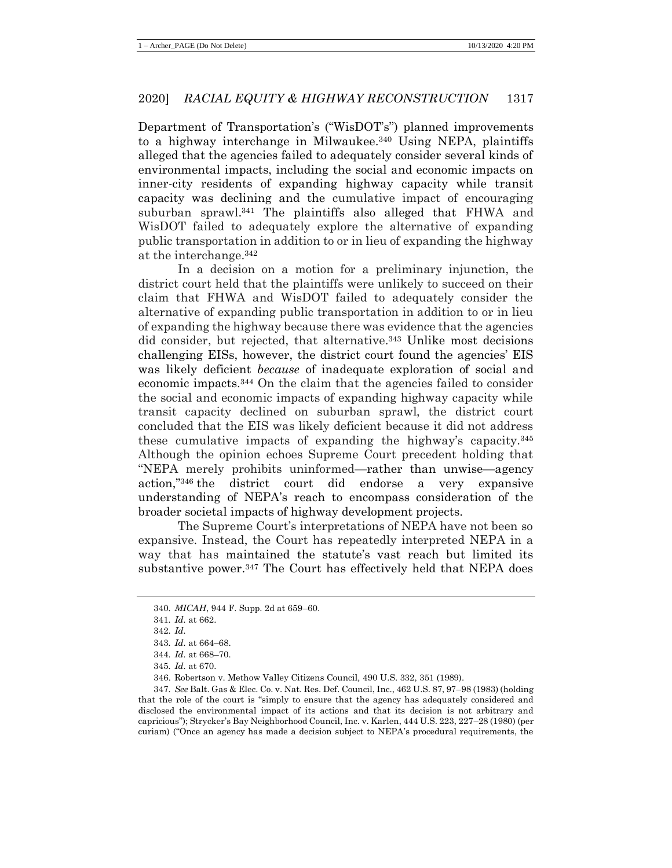Department of Transportation's ("WisDOT's") planned improvements to a highway interchange in Milwaukee.<sup>340</sup> Using NEPA, plaintiffs alleged that the agencies failed to adequately consider several kinds of environmental impacts, including the social and economic impacts on inner-city residents of expanding highway capacity while transit capacity was declining and the cumulative impact of encouraging suburban sprawl. <sup>341</sup> The plaintiffs also alleged that FHWA and WisDOT failed to adequately explore the alternative of expanding public transportation in addition to or in lieu of expanding the highway at the interchange.<sup>342</sup>

In a decision on a motion for a preliminary injunction, the district court held that the plaintiffs were unlikely to succeed on their claim that FHWA and WisDOT failed to adequately consider the alternative of expanding public transportation in addition to or in lieu of expanding the highway because there was evidence that the agencies did consider, but rejected, that alternative.<sup>343</sup> Unlike most decisions challenging EISs, however, the district court found the agencies' EIS was likely deficient *because* of inadequate exploration of social and economic impacts.<sup>344</sup> On the claim that the agencies failed to consider the social and economic impacts of expanding highway capacity while transit capacity declined on suburban sprawl, the district court concluded that the EIS was likely deficient because it did not address these cumulative impacts of expanding the highway's capacity.<sup>345</sup> Although the opinion echoes Supreme Court precedent holding that "NEPA merely prohibits uninformed—rather than unwise—agency action,"<sup>346</sup> the district court did endorse a very expansive understanding of NEPA's reach to encompass consideration of the broader societal impacts of highway development projects.

The Supreme Court's interpretations of NEPA have not been so expansive. Instead, the Court has repeatedly interpreted NEPA in a way that has maintained the statute's vast reach but limited its substantive power.<sup>347</sup> The Court has effectively held that NEPA does

<sup>340</sup>*. MICAH*, 944 F. Supp. 2d at 659–60.

<sup>341</sup>*. Id.* at 662.

<sup>342</sup>*. Id.*

<sup>343</sup>*. Id.* at 664–68.

<sup>344</sup>*. Id.* at 668–70.

<sup>345</sup>*. Id.* at 670.

<sup>346.</sup> Robertson v. Methow Valley Citizens Council*,* 490 U.S. 332, 351 (1989).

<sup>347</sup>*. See* Balt. Gas & Elec. Co. v. Nat. Res. Def. Council, Inc., 462 U.S. 87, 97–98 (1983) (holding that the role of the court is "simply to ensure that the agency has adequately considered and disclosed the environmental impact of its actions and that its decision is not arbitrary and capricious"); Strycker's Bay Neighborhood Council, Inc. v. Karlen, 444 U.S. 223, 227–28 (1980) (per curiam) ("Once an agency has made a decision subject to NEPA's procedural requirements, the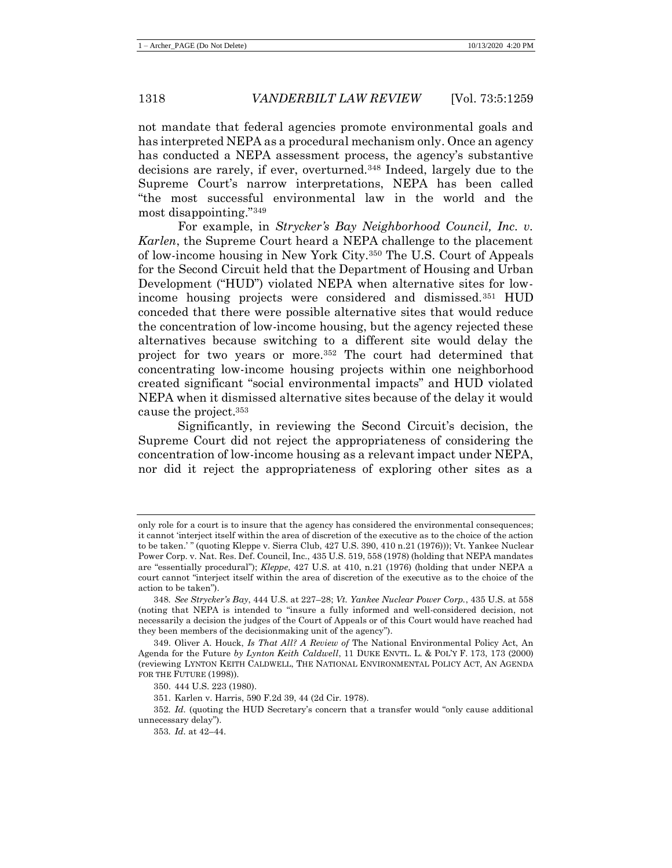not mandate that federal agencies promote environmental goals and has interpreted NEPA as a procedural mechanism only. Once an agency has conducted a NEPA assessment process, the agency's substantive decisions are rarely, if ever, overturned.<sup>348</sup> Indeed, largely due to the Supreme Court's narrow interpretations, NEPA has been called "the most successful environmental law in the world and the most disappointing."<sup>349</sup>

For example, in *Strycker's Bay Neighborhood Council, Inc. v. Karlen*, the Supreme Court heard a NEPA challenge to the placement of low-income housing in New York City.<sup>350</sup> The U.S. Court of Appeals for the Second Circuit held that the Department of Housing and Urban Development ("HUD") violated NEPA when alternative sites for lowincome housing projects were considered and dismissed.<sup>351</sup> HUD conceded that there were possible alternative sites that would reduce the concentration of low-income housing, but the agency rejected these alternatives because switching to a different site would delay the project for two years or more.<sup>352</sup> The court had determined that concentrating low-income housing projects within one neighborhood created significant "social environmental impacts" and HUD violated NEPA when it dismissed alternative sites because of the delay it would cause the project.<sup>353</sup>

Significantly, in reviewing the Second Circuit's decision, the Supreme Court did not reject the appropriateness of considering the concentration of low-income housing as a relevant impact under NEPA, nor did it reject the appropriateness of exploring other sites as a

only role for a court is to insure that the agency has considered the environmental consequences; it cannot 'interject itself within the area of discretion of the executive as to the choice of the action to be taken.' " (quoting Kleppe v. Sierra Club, 427 U.S. 390, 410 n.21 (1976))); Vt. Yankee Nuclear Power Corp. v. Nat. Res. Def. Council, Inc., 435 U.S. 519, 558 (1978) (holding that NEPA mandates are "essentially procedural"); *Kleppe*, 427 U.S. at 410, n.21 (1976) (holding that under NEPA a court cannot "interject itself within the area of discretion of the executive as to the choice of the action to be taken").

<sup>348</sup>*. See Strycker's Bay*, 444 U.S. at 227–28; *Vt. Yankee Nuclear Power Corp.*, 435 U.S. at 558 (noting that NEPA is intended to "insure a fully informed and well-considered decision, not necessarily a decision the judges of the Court of Appeals or of this Court would have reached had they been members of the decisionmaking unit of the agency").

<sup>349.</sup> Oliver A. Houck, *Is That All? A Review of* The National Environmental Policy Act, An Agenda for the Future *by Lynton Keith Caldwell*, 11 DUKE ENVTL. L. & POL'Y F. 173, 173 (2000) (reviewing LYNTON KEITH CALDWELL, THE NATIONAL ENVIRONMENTAL POLICY ACT, AN AGENDA FOR THE FUTURE (1998)).

<sup>350.</sup> 444 U.S. 223 (1980).

<sup>351.</sup> Karlen v. Harris, 590 F.2d 39, 44 (2d Cir. 1978).

<sup>352</sup>*. Id.* (quoting the HUD Secretary's concern that a transfer would "only cause additional unnecessary delay").

<sup>353</sup>*. Id.* at 42–44.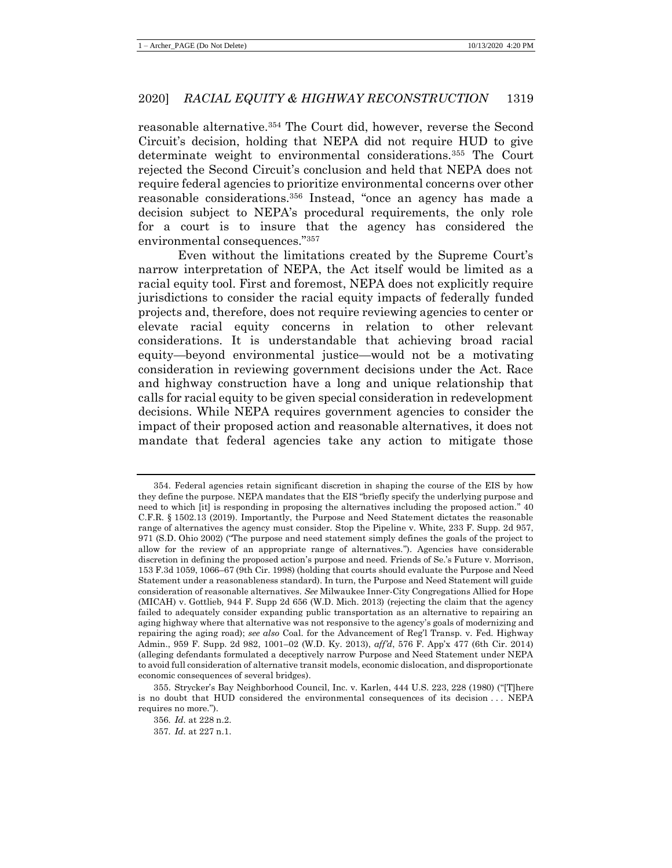reasonable alternative.<sup>354</sup> The Court did, however, reverse the Second Circuit's decision, holding that NEPA did not require HUD to give determinate weight to environmental considerations.<sup>355</sup> The Court rejected the Second Circuit's conclusion and held that NEPA does not require federal agencies to prioritize environmental concerns over other reasonable considerations.<sup>356</sup> Instead, "once an agency has made a decision subject to NEPA's procedural requirements, the only role for a court is to insure that the agency has considered the environmental consequences."<sup>357</sup>

Even without the limitations created by the Supreme Court's narrow interpretation of NEPA, the Act itself would be limited as a racial equity tool. First and foremost, NEPA does not explicitly require jurisdictions to consider the racial equity impacts of federally funded projects and, therefore, does not require reviewing agencies to center or elevate racial equity concerns in relation to other relevant considerations. It is understandable that achieving broad racial equity—beyond environmental justice—would not be a motivating consideration in reviewing government decisions under the Act. Race and highway construction have a long and unique relationship that calls for racial equity to be given special consideration in redevelopment decisions. While NEPA requires government agencies to consider the impact of their proposed action and reasonable alternatives, it does not mandate that federal agencies take any action to mitigate those

<sup>354.</sup> Federal agencies retain significant discretion in shaping the course of the EIS by how they define the purpose. NEPA mandates that the EIS "briefly specify the underlying purpose and need to which [it] is responding in proposing the alternatives including the proposed action." 40 C.F.R. § 1502.13 (2019). Importantly, the Purpose and Need Statement dictates the reasonable range of alternatives the agency must consider. Stop the Pipeline v. White*,* 233 F. Supp. 2d 957, 971 (S.D. Ohio 2002) ("The purpose and need statement simply defines the goals of the project to allow for the review of an appropriate range of alternatives."). Agencies have considerable discretion in defining the proposed action's purpose and need. Friends of Se.'s Future v. Morrison, 153 F.3d 1059, 1066–67 (9th Cir. 1998) (holding that courts should evaluate the Purpose and Need Statement under a reasonableness standard). In turn, the Purpose and Need Statement will guide consideration of reasonable alternatives. *See* Milwaukee Inner-City Congregations Allied for Hope (MICAH) v. Gottlieb*,* 944 F. Supp 2d 656 (W.D. Mich. 2013) (rejecting the claim that the agency failed to adequately consider expanding public transportation as an alternative to repairing an aging highway where that alternative was not responsive to the agency's goals of modernizing and repairing the aging road); *see also* Coal. for the Advancement of Reg'l Transp. v. Fed. Highway Admin., 959 F. Supp. 2d 982, 1001–02 (W.D. Ky. 2013), *aff'd*, 576 F. App'x 477 (6th Cir. 2014) (alleging defendants formulated a deceptively narrow Purpose and Need Statement under NEPA to avoid full consideration of alternative transit models, economic dislocation, and disproportionate economic consequences of several bridges).

<sup>355.</sup> Strycker's Bay Neighborhood Council, Inc. v. Karlen, 444 U.S. 223, 228 (1980) ("[T]here is no doubt that HUD considered the environmental consequences of its decision . . . NEPA requires no more.").

<sup>356</sup>*. Id.* at 228 n.2.

<sup>357</sup>*. Id.* at 227 n.1.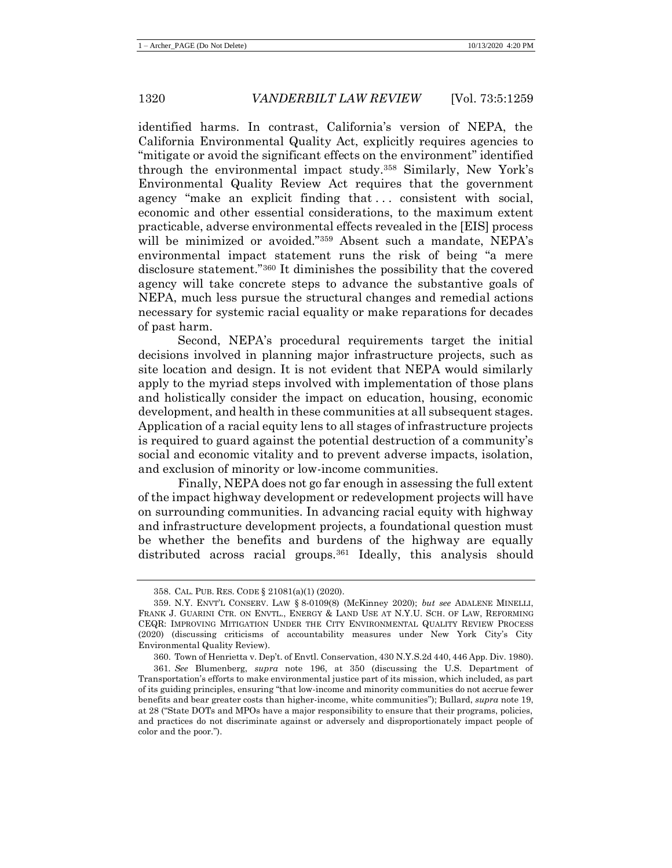identified harms. In contrast, California's version of NEPA, the California Environmental Quality Act, explicitly requires agencies to "mitigate or avoid the significant effects on the environment" identified through the environmental impact study.<sup>358</sup> Similarly, New York's Environmental Quality Review Act requires that the government agency "make an explicit finding that ... consistent with social, economic and other essential considerations, to the maximum extent practicable, adverse environmental effects revealed in the [EIS] process will be minimized or avoided."<sup>359</sup> Absent such a mandate, NEPA's environmental impact statement runs the risk of being "a mere disclosure statement."<sup>360</sup> It diminishes the possibility that the covered agency will take concrete steps to advance the substantive goals of NEPA, much less pursue the structural changes and remedial actions necessary for systemic racial equality or make reparations for decades of past harm.

Second, NEPA's procedural requirements target the initial decisions involved in planning major infrastructure projects, such as site location and design. It is not evident that NEPA would similarly apply to the myriad steps involved with implementation of those plans and holistically consider the impact on education, housing, economic development, and health in these communities at all subsequent stages. Application of a racial equity lens to all stages of infrastructure projects is required to guard against the potential destruction of a community's social and economic vitality and to prevent adverse impacts, isolation, and exclusion of minority or low-income communities.

Finally, NEPA does not go far enough in assessing the full extent of the impact highway development or redevelopment projects will have on surrounding communities. In advancing racial equity with highway and infrastructure development projects, a foundational question must be whether the benefits and burdens of the highway are equally distributed across racial groups.<sup>361</sup> Ideally, this analysis should

<sup>358.</sup> CAL. PUB. RES. CODE § 21081(a)(1) (2020).

<sup>359.</sup> N.Y. ENVT'L CONSERV. LAW § 8-0109(8) (McKinney 2020); *but see* ADALENE MINELLI, FRANK J. GUARINI CTR. ON ENVTL., ENERGY & LAND USE AT N.Y.U. SCH. OF LAW, REFORMING CEQR: IMPROVING MITIGATION UNDER THE CITY ENVIRONMENTAL QUALITY REVIEW PROCESS (2020) (discussing criticisms of accountability measures under New York City's City Environmental Quality Review).

<sup>360.</sup> Town of Henrietta v. Dep't. of Envtl. Conservation, 430 N.Y.S.2d 440, 446 App. Div. 1980).

<sup>361</sup>*. See* Blumenberg, *supra* note [196,](#page-33-0) at 350 (discussing the U.S. Department of Transportation's efforts to make environmental justice part of its mission, which included, as part of its guiding principles, ensuring "that low-income and minority communities do not accrue fewer benefits and bear greater costs than higher-income, white communities"); Bullard, *supra* note [19,](#page-7-0) at 28 ("State DOTs and MPOs have a major responsibility to ensure that their programs, policies, and practices do not discriminate against or adversely and disproportionately impact people of color and the poor.").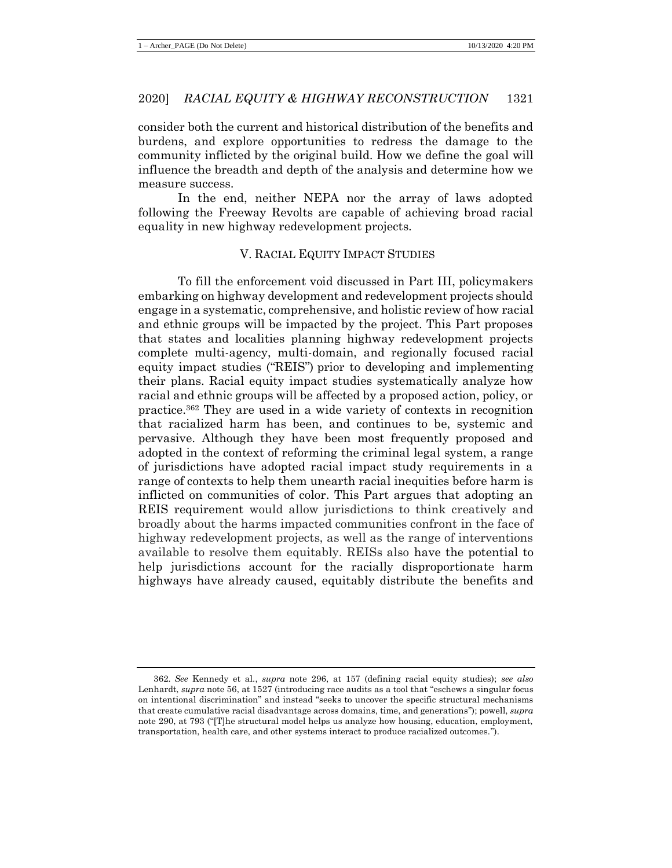consider both the current and historical distribution of the benefits and burdens, and explore opportunities to redress the damage to the community inflicted by the original build. How we define the goal will influence the breadth and depth of the analysis and determine how we measure success.

In the end, neither NEPA nor the array of laws adopted following the Freeway Revolts are capable of achieving broad racial equality in new highway redevelopment projects.

## V. RACIAL EQUITY IMPACT STUDIES

To fill the enforcement void discussed in Part III, policymakers embarking on highway development and redevelopment projects should engage in a systematic, comprehensive, and holistic review of how racial and ethnic groups will be impacted by the project. This Part proposes that states and localities planning highway redevelopment projects complete multi-agency, multi-domain, and regionally focused racial equity impact studies ("REIS") prior to developing and implementing their plans. Racial equity impact studies systematically analyze how racial and ethnic groups will be affected by a proposed action, policy, or practice.<sup>362</sup> They are used in a wide variety of contexts in recognition that racialized harm has been, and continues to be, systemic and pervasive. Although they have been most frequently proposed and adopted in the context of reforming the criminal legal system, a range of jurisdictions have adopted racial impact study requirements in a range of contexts to help them unearth racial inequities before harm is inflicted on communities of color. This Part argues that adopting an REIS requirement would allow jurisdictions to think creatively and broadly about the harms impacted communities confront in the face of highway redevelopment projects, as well as the range of interventions available to resolve them equitably. REISs also have the potential to help jurisdictions account for the racially disproportionate harm highways have already caused, equitably distribute the benefits and

<sup>362</sup>*. See* Kennedy et al., *supra* note [296,](#page-50-2) at 157 (defining racial equity studies); *see also*  Lenhardt, *supra* note [56,](#page-13-1) at 1527 (introducing race audits as a tool that "eschews a singular focus on intentional discrimination" and instead "seeks to uncover the specific structural mechanisms that create cumulative racial disadvantage across domains, time, and generations"); powell, *supra*  not[e 290,](#page-49-0) at 793 ("[T]he structural model helps us analyze how housing, education, employment, transportation, health care, and other systems interact to produce racialized outcomes.").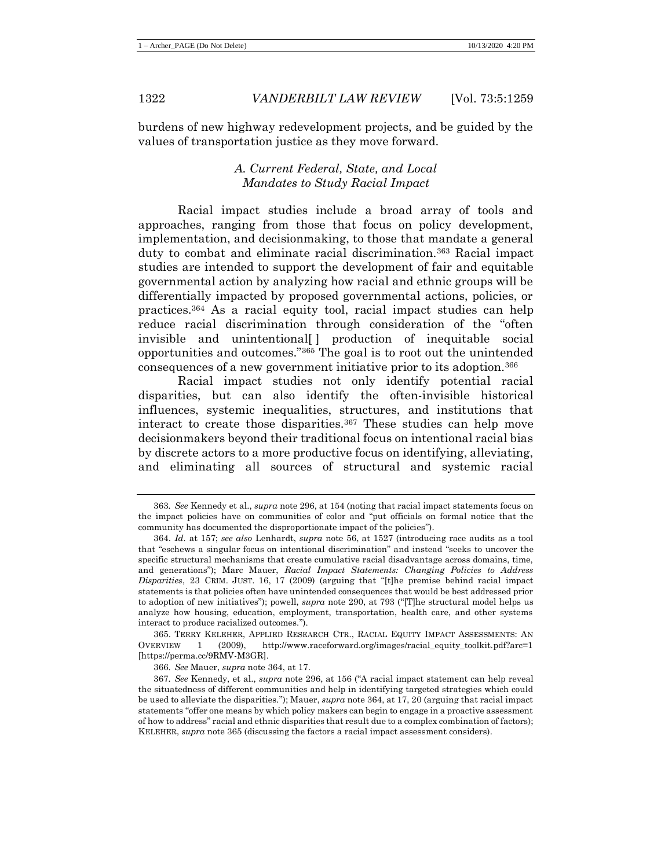burdens of new highway redevelopment projects, and be guided by the values of transportation justice as they move forward.

# *A. Current Federal, State, and Local Mandates to Study Racial Impact*

Racial impact studies include a broad array of tools and approaches, ranging from those that focus on policy development, implementation, and decisionmaking, to those that mandate a general duty to combat and eliminate racial discrimination.<sup>363</sup> Racial impact studies are intended to support the development of fair and equitable governmental action by analyzing how racial and ethnic groups will be differentially impacted by proposed governmental actions, policies, or practices.<sup>364</sup> As a racial equity tool, racial impact studies can help reduce racial discrimination through consideration of the "often invisible and unintentional[ ] production of inequitable social opportunities and outcomes."<sup>365</sup> The goal is to root out the unintended consequences of a new government initiative prior to its adoption.<sup>366</sup>

<span id="page-64-1"></span><span id="page-64-0"></span>Racial impact studies not only identify potential racial disparities, but can also identify the often-invisible historical influences, systemic inequalities, structures, and institutions that interact to create those disparities.<sup>367</sup> These studies can help move decisionmakers beyond their traditional focus on intentional racial bias by discrete actors to a more productive focus on identifying, alleviating, and eliminating all sources of structural and systemic racial

365. TERRY KELEHER, APPLIED RESEARCH CTR., RACIAL EQUITY IMPACT ASSESSMENTS: AN OVERVIEW 1 (2009), http://www.raceforward.org/images/racial\_equity\_toolkit.pdf?arc=1 [https://perma.cc/9RMV-M3GR].

366*. See* Mauer, *supra* note [364,](#page-64-0) at 17.

<sup>363</sup>*. See* Kennedy et al., *supra* not[e 296,](#page-50-2) at 154 (noting that racial impact statements focus on the impact policies have on communities of color and "put officials on formal notice that the community has documented the disproportionate impact of the policies").

<sup>364.</sup> *Id.* at 157; *see also* Lenhardt, *supra* note [56,](#page-13-1) at 1527 (introducing race audits as a tool that "eschews a singular focus on intentional discrimination" and instead "seeks to uncover the specific structural mechanisms that create cumulative racial disadvantage across domains, time, and generations"); Marc Mauer, *Racial Impact Statements: Changing Policies to Address Disparities*, 23 CRIM. JUST. 16, 17 (2009) (arguing that "[t]he premise behind racial impact statements is that policies often have unintended consequences that would be best addressed prior to adoption of new initiatives"); powell, *supra* note [290,](#page-49-0) at 793 ("[T]he structural model helps us analyze how housing, education, employment, transportation, health care, and other systems interact to produce racialized outcomes.").

<sup>367</sup>*. See* Kennedy, et al., *supra* note [296,](#page-50-2) at 156 ("A racial impact statement can help reveal the situatedness of different communities and help in identifying targeted strategies which could be used to alleviate the disparities."); Mauer, *supra* not[e 364,](#page-64-0) at 17, 20 (arguing that racial impact statements "offer one means by which policy makers can begin to engage in a proactive assessment of how to address" racial and ethnic disparities that result due to a complex combination of factors); KELEHER, *supra* note [365](#page-64-1) (discussing the factors a racial impact assessment considers).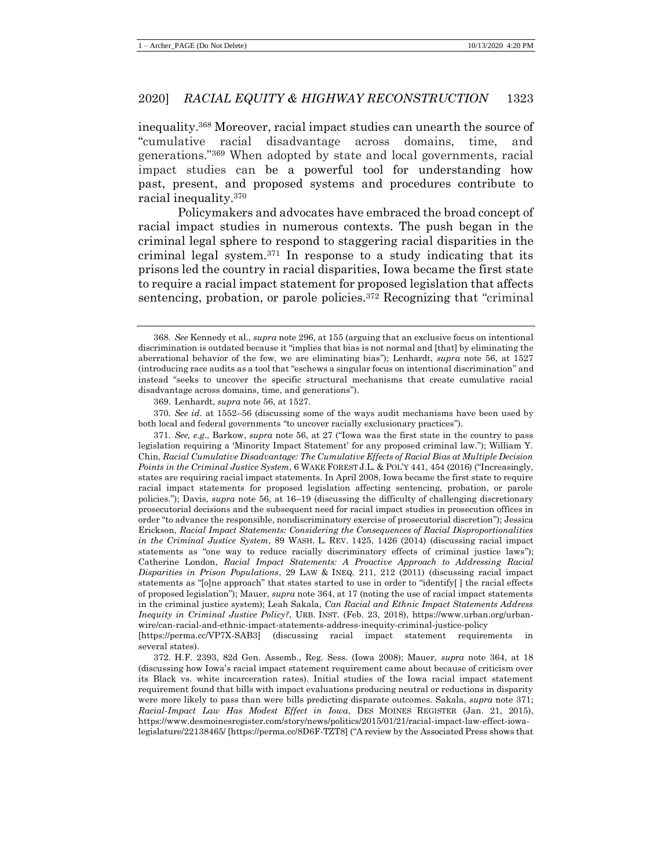inequality.<sup>368</sup> Moreover, racial impact studies can unearth the source of "cumulative racial disadvantage across domains, time, and generations."<sup>369</sup> When adopted by state and local governments, racial impact studies can be a powerful tool for understanding how past, present, and proposed systems and procedures contribute to racial inequality.<sup>370</sup>

<span id="page-65-0"></span>Policymakers and advocates have embraced the broad concept of racial impact studies in numerous contexts. The push began in the criminal legal sphere to respond to staggering racial disparities in the criminal legal system.<sup>371</sup> In response to a study indicating that its prisons led the country in racial disparities, Iowa became the first state to require a racial impact statement for proposed legislation that affects sentencing, probation, or parole policies.<sup>372</sup> Recognizing that "criminal

369. Lenhardt, *supra* note [56,](#page-13-1) at 1527.

370*. See id.* at 1552–56 (discussing some of the ways audit mechanisms have been used by both local and federal governments "to uncover racially exclusionary practices").

371*. See, e.g*., Barkow, *supra* note [56,](#page-13-1) at 27 ("Iowa was the first state in the country to pass legislation requiring a 'Minority Impact Statement' for any proposed criminal law."); William Y. Chin, *Racial Cumulative Disadvantage: The Cumulative Effects of Racial Bias at Multiple Decision Points in the Criminal Justice System*, 6 WAKE FOREST J.L. & POL'Y 441, 454 (2016) ("Increasingly, states are requiring racial impact statements. In April 2008, Iowa became the first state to require racial impact statements for proposed legislation affecting sentencing, probation, or parole policies."); Davis, *supra* note [56,](#page-13-1) at 16–19 (discussing the difficulty of challenging discretionary prosecutorial decisions and the subsequent need for racial impact studies in prosecution offices in order "to advance the responsible, nondiscriminatory exercise of prosecutorial discretion"); Jessica Erickson, *Racial Impact Statements: Considering the Consequences of Racial Disproportionalities in the Criminal Justice System*, 89 WASH. L. REV. 1425, 1426 (2014) (discussing racial impact statements as "one way to reduce racially discriminatory effects of criminal justice laws"); Catherine London, *Racial Impact Statements: A Proactive Approach to Addressing Racial Disparities in Prison Populations*, 29 LAW & INEQ. 211, 212 (2011) (discussing racial impact statements as "[o]ne approach" that states started to use in order to "identify[ ] the racial effects of proposed legislation"); Mauer, *supra* not[e 364,](#page-64-0) at 17 (noting the use of racial impact statements in the criminal justice system); Leah Sakala, *Can Racial and Ethnic Impact Statements Address Inequity in Criminal Justice Policy?*, URB. INST. (Feb. 23, 2018), https://www.urban.org/urbanwire/can-racial-and-ethnic-impact-statements-address-inequity-criminal-justice-policy

[https://perma.cc/VP7X-SAB3] (discussing racial impact statement requirements several states).

372. H.F. 2393, 82d Gen. Assemb., Reg. Sess. (Iowa 2008); Mauer, *supra* note [364,](#page-64-0) at 18 (discussing how Iowa's racial impact statement requirement came about because of criticism over its Black vs. white incarceration rates). Initial studies of the Iowa racial impact statement requirement found that bills with impact evaluations producing neutral or reductions in disparity were more likely to pass than were bills predicting disparate outcomes. Sakala, *supra* note [371;](#page-65-0) *Racial-Impact Law Has Modest Effect in Iowa*, DES MOINES REGISTER (Jan. 21, 2015), https://www.desmoinesregister.com/story/news/politics/2015/01/21/racial-impact-law-effect-iowalegislature/22138465/ [https://perma.cc/8D6F-TZT8] ("A review by the Associated Press shows that

<sup>368</sup>*. See* Kennedy et al., *supra* not[e 296,](#page-50-2) at 155 (arguing that an exclusive focus on intentional discrimination is outdated because it "implies that bias is not normal and [that] by eliminating the aberrational behavior of the few, we are eliminating bias"); Lenhardt, *supra* note [56,](#page-13-1) at 1527 (introducing race audits as a tool that "eschews a singular focus on intentional discrimination" and instead "seeks to uncover the specific structural mechanisms that create cumulative racial disadvantage across domains, time, and generations").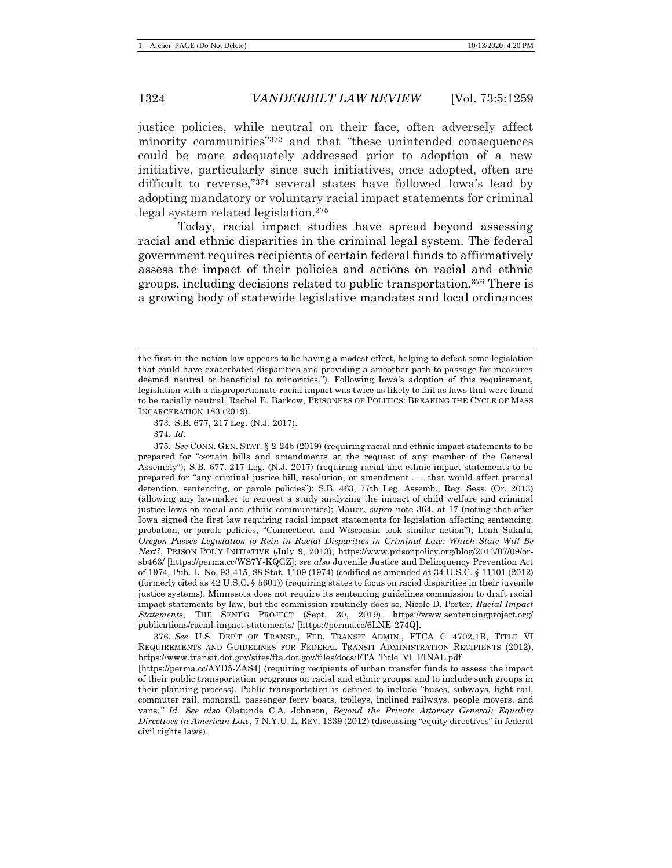justice policies, while neutral on their face, often adversely affect minority communities"<sup>373</sup> and that "these unintended consequences could be more adequately addressed prior to adoption of a new initiative, particularly since such initiatives, once adopted, often are difficult to reverse,"<sup>374</sup> several states have followed Iowa's lead by adopting mandatory or voluntary racial impact statements for criminal legal system related legislation.<sup>375</sup>

<span id="page-66-0"></span>Today, racial impact studies have spread beyond assessing racial and ethnic disparities in the criminal legal system. The federal government requires recipients of certain federal funds to affirmatively assess the impact of their policies and actions on racial and ethnic groups, including decisions related to public transportation.<sup>376</sup> There is a growing body of statewide legislative mandates and local ordinances

375*. See* CONN. GEN. STAT. § 2-24b (2019) (requiring racial and ethnic impact statements to be prepared for "certain bills and amendments at the request of any member of the General Assembly"); S.B. 677, 217 Leg. (N.J. 2017) (requiring racial and ethnic impact statements to be prepared for "any criminal justice bill, resolution, or amendment . . . that would affect pretrial detention, sentencing, or parole policies"); S.B. 463, 77th Leg. Assemb., Reg. Sess. (Or. 2013) (allowing any lawmaker to request a study analyzing the impact of child welfare and criminal justice laws on racial and ethnic communities); Mauer, *supra* note [364,](#page-64-0) at 17 (noting that after Iowa signed the first law requiring racial impact statements for legislation affecting sentencing, probation, or parole policies, "Connecticut and Wisconsin took similar action"); Leah Sakala, *Oregon Passes Legislation to Rein in Racial Disparities in Criminal Law; Which State Will Be Next?*, PRISON POL'Y INITIATIVE (July 9, 2013), https://www.prisonpolicy.org/blog/2013/07/09/orsb463/ [https://perma.cc/WS7Y-KQGZ]; *see also* Juvenile Justice and Delinquency Prevention Act of 1974, Pub. L. No. 93-415, 88 Stat. 1109 (1974) (codified as amended at 34 U.S.C. § 11101 (2012) (formerly cited as 42 U.S.C. § 5601)) (requiring states to focus on racial disparities in their juvenile justice systems). Minnesota does not require its sentencing guidelines commission to draft racial impact statements by law, but the commission routinely does so. Nicole D. Porter, *Racial Impact Statements*, THE SENT'G PROJECT (Sept. 30, 2019), https://www.sentencingproject.org/ publications/racial-impact-statements/ [https://perma.cc/6LNE-274Q].

376*. See* U.S. DEP'T OF TRANSP., FED. TRANSIT ADMIN., FTCA C 4702.1B, TITLE VI REQUIREMENTS AND GUIDELINES FOR FEDERAL TRANSIT ADMINISTRATION RECIPIENTS (2012), https://www.transit.dot.gov/sites/fta.dot.gov/files/docs/FTA\_Title\_VI\_FINAL.pdf

[https://perma.cc/AYD5-ZAS4] (requiring recipients of urban transfer funds to assess the impact of their public transportation programs on racial and ethnic groups, and to include such groups in their planning process). Public transportation is defined to include "buses, subways, light rail, commuter rail, monorail, passenger ferry boats, trolleys, inclined railways, people movers, and vans*." Id. See also* Olatunde C.A. Johnson, *Beyond the Private Attorney General: Equality Directives in American Law*, 7 N.Y.U. L. REV. 1339 (2012) (discussing "equity directives" in federal civil rights laws).

the first-in-the-nation law appears to be having a modest effect, helping to defeat some legislation that could have exacerbated disparities and providing a smoother path to passage for measures deemed neutral or beneficial to minorities."). Following Iowa's adoption of this requirement, legislation with a disproportionate racial impact was twice as likely to fail as laws that were found to be racially neutral. Rachel E. Barkow, PRISONERS OF POLITICS: BREAKING THE CYCLE OF MASS INCARCERATION 183 (2019).

<sup>373.</sup> S.B. 677, 217 Leg. (N.J. 2017).

<sup>374</sup>*. Id.*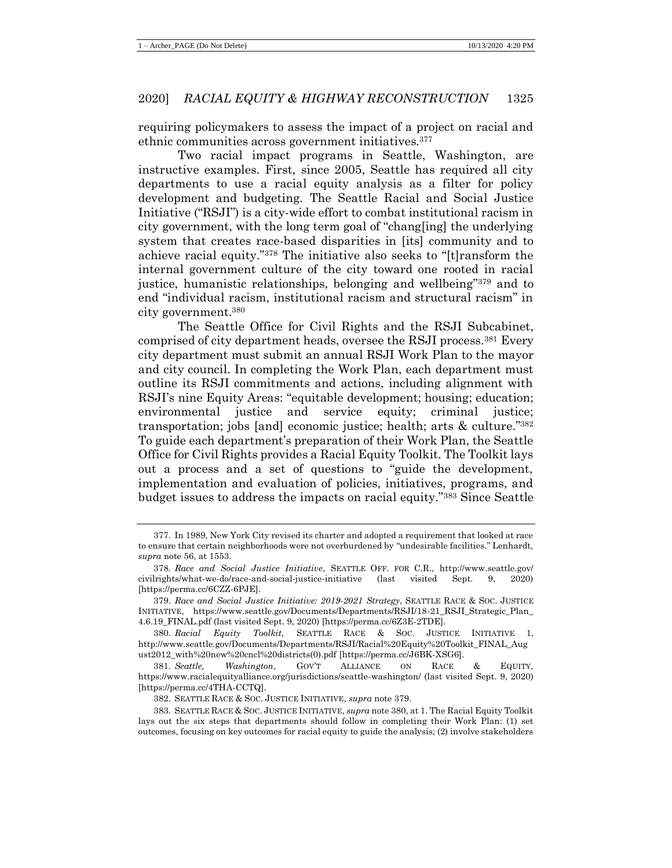requiring policymakers to assess the impact of a project on racial and ethnic communities across government initiatives.<sup>377</sup>

Two racial impact programs in Seattle, Washington, are instructive examples. First, since 2005, Seattle has required all city departments to use a racial equity analysis as a filter for policy development and budgeting. The Seattle Racial and Social Justice Initiative ("RSJI") is a city-wide effort to combat institutional racism in city government, with the long term goal of "chang[ing] the underlying system that creates race-based disparities in [its] community and to achieve racial equity."<sup>378</sup> The initiative also seeks to "[t]ransform the internal government culture of the city toward one rooted in racial justice, humanistic relationships, belonging and wellbeing"<sup>379</sup> and to end "individual racism, institutional racism and structural racism" in city government.<sup>380</sup>

<span id="page-67-1"></span><span id="page-67-0"></span>The Seattle Office for Civil Rights and the RSJI Subcabinet, comprised of city department heads, oversee the RSJI process.<sup>381</sup> Every city department must submit an annual RSJI Work Plan to the mayor and city council. In completing the Work Plan, each department must outline its RSJI commitments and actions, including alignment with RSJI's nine Equity Areas: "equitable development; housing; education; environmental justice and service equity; criminal justice; transportation; jobs [and] economic justice; health; arts & culture." 382 To guide each department's preparation of their Work Plan, the Seattle Office for Civil Rights provides a Racial Equity Toolkit. The Toolkit lays out a process and a set of questions to "guide the development, implementation and evaluation of policies, initiatives, programs, and budget issues to address the impacts on racial equity."<sup>383</sup> Since Seattle

<sup>377.</sup> In 1989, New York City revised its charter and adopted a requirement that looked at race to ensure that certain neighborhoods were not overburdened by "undesirable facilities." Lenhardt, *supra* not[e 56,](#page-13-1) at 1553.

<sup>378</sup>*. Race and Social Justice Initiative*, SEATTLE OFF. FOR C.R., http://www.seattle.gov/ civilrights/what-we-do/race-and-social-justice-initiative (last visited Sept. 9, 2020) [https://perma.cc/6CZZ-6PJE].

<sup>379.</sup> *Race and Social Justice Initiative: 2019-2021 Strategy*, SEATTLE RACE & SOC. JUSTICE INITIATIVE, https://www.seattle.gov/Documents/Departments/RSJI/18-21\_RSJI\_Strategic\_Plan\_ 4.6.19\_FINAL.pdf (last visited Sept. 9, 2020) [https://perma.cc/6Z3E-2TDE].

<sup>380.</sup> *Racial Equity Toolkit*, SEATTLE RACE & SOC. JUSTICE INITIATIVE 1, http://www.seattle.gov/Documents/Departments/RSJI/Racial%20Equity%20Toolkit\_FINAL\_Aug ust2012\_with%20new%20cncl%20districts(0).pdf [https://perma.cc/J6BK-XSG6].

<sup>381</sup>*. Seattle, Washington*, GOV'T ALLIANCE ON RACE & EQUITY, https://www.racialequityalliance.org/jurisdictions/seattle-washington/ (last visited Sept. 9, 2020) [https://perma.cc/4THA-CCTQ].

<sup>382.</sup> SEATTLE RACE & SOC. JUSTICE INITIATIVE, *supra* not[e 379.](#page-67-0)

<sup>383.</sup> SEATTLE RACE & SOC. JUSTICE INITIATIVE, *supra* not[e 380,](#page-67-1) at 1. The Racial Equity Toolkit lays out the six steps that departments should follow in completing their Work Plan: (1) set outcomes, focusing on key outcomes for racial equity to guide the analysis; (2) involve stakeholders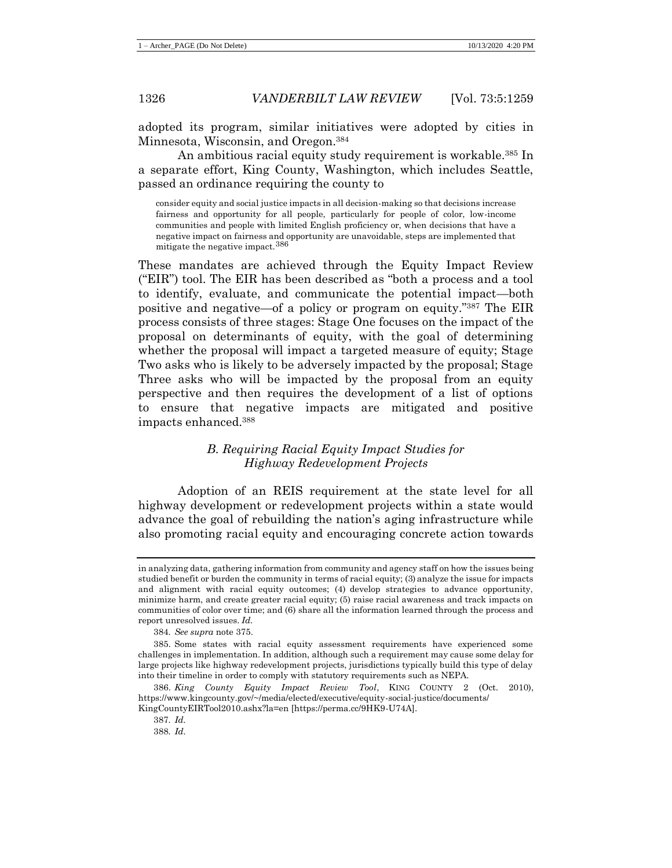adopted its program, similar initiatives were adopted by cities in Minnesota, Wisconsin, and Oregon.<sup>384</sup>

An ambitious racial equity study requirement is workable.<sup>385</sup> In a separate effort, King County, Washington, which includes Seattle, passed an ordinance requiring the county to

consider equity and social justice impacts in all decision-making so that decisions increase fairness and opportunity for all people, particularly for people of color, low-income communities and people with limited English proficiency or, when decisions that have a negative impact on fairness and opportunity are unavoidable, steps are implemented that mitigate the negative impact.<sup>386</sup>

These mandates are achieved through the Equity Impact Review ("EIR") tool. The EIR has been described as "both a process and a tool to identify, evaluate, and communicate the potential impact—both positive and negative—of a policy or program on equity."<sup>387</sup> The EIR process consists of three stages: Stage One focuses on the impact of the proposal on determinants of equity, with the goal of determining whether the proposal will impact a targeted measure of equity; Stage Two asks who is likely to be adversely impacted by the proposal; Stage Three asks who will be impacted by the proposal from an equity perspective and then requires the development of a list of options to ensure that negative impacts are mitigated and positive impacts enhanced.<sup>388</sup>

# *B. Requiring Racial Equity Impact Studies for Highway Redevelopment Projects*

Adoption of an REIS requirement at the state level for all highway development or redevelopment projects within a state would advance the goal of rebuilding the nation's aging infrastructure while also promoting racial equity and encouraging concrete action towards

in analyzing data, gathering information from community and agency staff on how the issues being studied benefit or burden the community in terms of racial equity; (3) analyze the issue for impacts and alignment with racial equity outcomes; (4) develop strategies to advance opportunity, minimize harm, and create greater racial equity; (5) raise racial awareness and track impacts on communities of color over time; and (6) share all the information learned through the process and report unresolved issues. *Id.*

<sup>384</sup>*. See supra* note [375.](#page-66-0)

<sup>385.</sup> Some states with racial equity assessment requirements have experienced some challenges in implementation. In addition, although such a requirement may cause some delay for large projects like highway redevelopment projects, jurisdictions typically build this type of delay into their timeline in order to comply with statutory requirements such as NEPA.

<sup>386.</sup> *King County Equity Impact Review Tool*, KING COUNTY 2 (Oct. 2010), https://www.kingcounty.gov/~/media/elected/executive/equity-social-justice/documents/ KingCountyEIRTool2010.ashx?la=en [https://perma.cc/9HK9-U74A].

<sup>387</sup>*. Id.*

<sup>388</sup>*. Id.*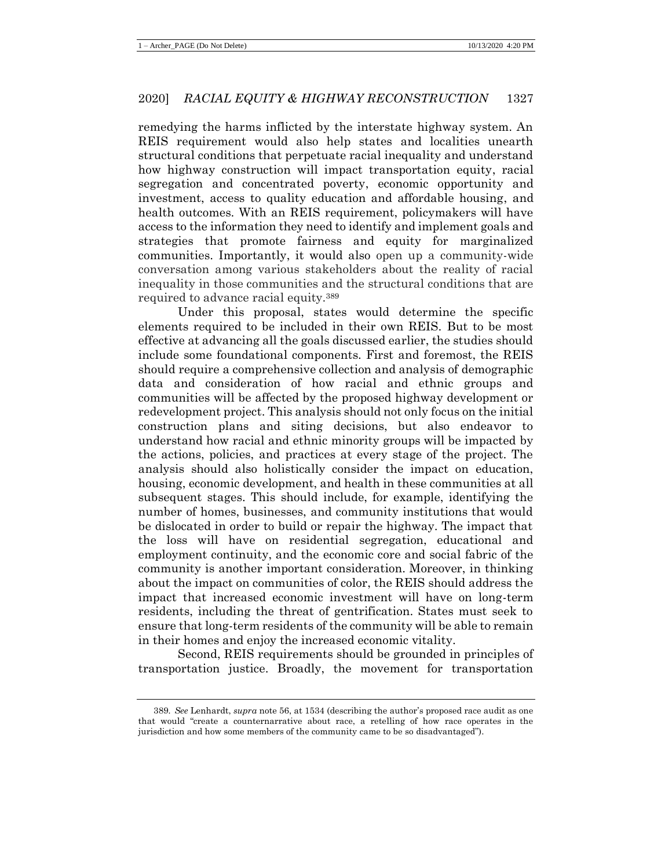remedying the harms inflicted by the interstate highway system. An REIS requirement would also help states and localities unearth structural conditions that perpetuate racial inequality and understand how highway construction will impact transportation equity, racial segregation and concentrated poverty, economic opportunity and investment, access to quality education and affordable housing, and health outcomes. With an REIS requirement, policymakers will have access to the information they need to identify and implement goals and strategies that promote fairness and equity for marginalized communities. Importantly, it would also open up a community-wide conversation among various stakeholders about the reality of racial inequality in those communities and the structural conditions that are required to advance racial equity.<sup>389</sup>

Under this proposal, states would determine the specific elements required to be included in their own REIS. But to be most effective at advancing all the goals discussed earlier, the studies should include some foundational components. First and foremost, the REIS should require a comprehensive collection and analysis of demographic data and consideration of how racial and ethnic groups and communities will be affected by the proposed highway development or redevelopment project. This analysis should not only focus on the initial construction plans and siting decisions, but also endeavor to understand how racial and ethnic minority groups will be impacted by the actions, policies, and practices at every stage of the project. The analysis should also holistically consider the impact on education, housing, economic development, and health in these communities at all subsequent stages. This should include, for example, identifying the number of homes, businesses, and community institutions that would be dislocated in order to build or repair the highway. The impact that the loss will have on residential segregation, educational and employment continuity, and the economic core and social fabric of the community is another important consideration. Moreover, in thinking about the impact on communities of color, the REIS should address the impact that increased economic investment will have on long-term residents, including the threat of gentrification. States must seek to ensure that long-term residents of the community will be able to remain in their homes and enjoy the increased economic vitality.

Second, REIS requirements should be grounded in principles of transportation justice. Broadly, the movement for transportation

<sup>389</sup>*. See* Lenhardt, *supra* not[e 56,](#page-13-1) at 1534 (describing the author's proposed race audit as one that would "create a counternarrative about race, a retelling of how race operates in the jurisdiction and how some members of the community came to be so disadvantaged").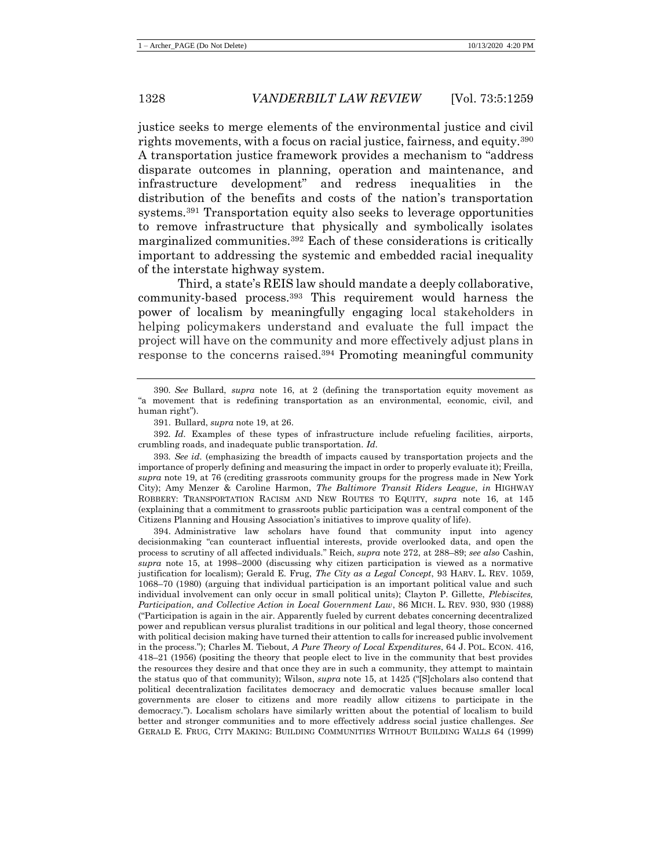justice seeks to merge elements of the environmental justice and civil rights movements, with a focus on racial justice, fairness, and equity.<sup>390</sup> A transportation justice framework provides a mechanism to "address disparate outcomes in planning, operation and maintenance, and infrastructure development" and redress inequalities in the distribution of the benefits and costs of the nation's transportation systems.<sup>391</sup> Transportation equity also seeks to leverage opportunities to remove infrastructure that physically and symbolically isolates marginalized communities.<sup>392</sup> Each of these considerations is critically important to addressing the systemic and embedded racial inequality of the interstate highway system.

Third, a state's REIS law should mandate a deeply collaborative, community-based process.<sup>393</sup> This requirement would harness the power of localism by meaningfully engaging local stakeholders in helping policymakers understand and evaluate the full impact the project will have on the community and more effectively adjust plans in response to the concerns raised.<sup>394</sup> Promoting meaningful community

394. Administrative law scholars have found that community input into agency decisionmaking "can counteract influential interests, provide overlooked data, and open the process to scrutiny of all affected individuals." Reich, *supra* not[e 272,](#page-46-0) at 288–89; *see also* Cashin, *supra* note [15,](#page-6-0) at 1998–2000 (discussing why citizen participation is viewed as a normative justification for localism); Gerald E. Frug, *The City as a Legal Concept*, 93 HARV. L. REV. 1059, 1068–70 (1980) (arguing that individual participation is an important political value and such individual involvement can only occur in small political units); Clayton P. Gillette, *Plebiscites, Participation, and Collective Action in Local Government Law*, 86 MICH. L. REV. 930, 930 (1988) ("Participation is again in the air. Apparently fueled by current debates concerning decentralized power and republican versus pluralist traditions in our political and legal theory, those concerned with political decision making have turned their attention to calls for increased public involvement in the process."); Charles M. Tiebout, *A Pure Theory of Local Expenditures*, 64 J. POL. ECON. 416, 418–21 (1956) (positing the theory that people elect to live in the community that best provides the resources they desire and that once they are in such a community, they attempt to maintain the status quo of that community); Wilson, *supra* not[e 15,](#page-6-0) at 1425 ("[S]cholars also contend that political decentralization facilitates democracy and democratic values because smaller local governments are closer to citizens and more readily allow citizens to participate in the democracy."). Localism scholars have similarly written about the potential of localism to build better and stronger communities and to more effectively address social justice challenges. *See*  GERALD E. FRUG, CITY MAKING: BUILDING COMMUNITIES WITHOUT BUILDING WALLS 64 (1999)

<sup>390</sup>*. See* Bullard, *supra* note [16,](#page-6-1) at 2 (defining the transportation equity movement as "a movement that is redefining transportation as an environmental, economic, civil, and human right").

<sup>391.</sup> Bullard, *supra* not[e 19,](#page-7-0) at 26.

<sup>392</sup>*. Id.* Examples of these types of infrastructure include refueling facilities, airports, crumbling roads, and inadequate public transportation. *Id.*

<sup>393</sup>*. See id.* (emphasizing the breadth of impacts caused by transportation projects and the importance of properly defining and measuring the impact in order to properly evaluate it); Freilla, *supra* note [19,](#page-7-0) at 76 (crediting grassroots community groups for the progress made in New York City); Amy Menzer & Caroline Harmon, *The Baltimore Transit Riders League*, *in* HIGHWAY ROBBERY: TRANSPORTATION RACISM AND NEW ROUTES TO EQUITY, *supra* note [16,](#page-6-1) at 145 (explaining that a commitment to grassroots public participation was a central component of the Citizens Planning and Housing Association's initiatives to improve quality of life).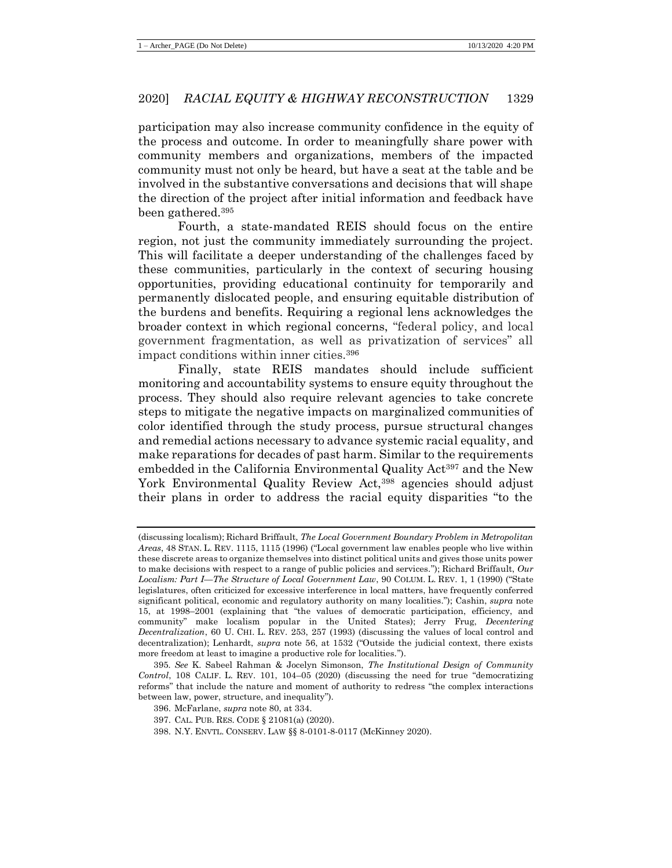participation may also increase community confidence in the equity of the process and outcome. In order to meaningfully share power with community members and organizations, members of the impacted community must not only be heard, but have a seat at the table and be involved in the substantive conversations and decisions that will shape the direction of the project after initial information and feedback have been gathered.<sup>395</sup>

Fourth, a state-mandated REIS should focus on the entire region, not just the community immediately surrounding the project. This will facilitate a deeper understanding of the challenges faced by these communities, particularly in the context of securing housing opportunities, providing educational continuity for temporarily and permanently dislocated people, and ensuring equitable distribution of the burdens and benefits. Requiring a regional lens acknowledges the broader context in which regional concerns, "federal policy, and local government fragmentation, as well as privatization of services" all impact conditions within inner cities.<sup>396</sup>

Finally, state REIS mandates should include sufficient monitoring and accountability systems to ensure equity throughout the process. They should also require relevant agencies to take concrete steps to mitigate the negative impacts on marginalized communities of color identified through the study process, pursue structural changes and remedial actions necessary to advance systemic racial equality, and make reparations for decades of past harm. Similar to the requirements embedded in the California Environmental Quality Act<sup>397</sup> and the New York Environmental Quality Review Act,<sup>398</sup> agencies should adjust their plans in order to address the racial equity disparities "to the

<sup>(</sup>discussing localism); Richard Briffault, *The Local Government Boundary Problem in Metropolitan Areas*, 48 STAN. L. REV. 1115, 1115 (1996) ("Local government law enables people who live within these discrete areas to organize themselves into distinct political units and gives those units power to make decisions with respect to a range of public policies and services."); Richard Briffault, *Our Localism: Part I—The Structure of Local Government Law*, 90 COLUM. L. REV. 1, 1 (1990) ("State legislatures, often criticized for excessive interference in local matters, have frequently conferred significant political, economic and regulatory authority on many localities."); Cashin, *supra* note [15,](#page-6-0) at 1998–2001 (explaining that "the values of democratic participation, efficiency, and community" make localism popular in the United States); Jerry Frug, *Decentering Decentralization*, 60 U. CHI. L. REV. 253, 257 (1993) (discussing the values of local control and decentralization); Lenhardt, *supra* note [56,](#page-13-1) at 1532 ("Outside the judicial context, there exists more freedom at least to imagine a productive role for localities.").

<sup>395</sup>*. See* K. Sabeel Rahman & Jocelyn Simonson, *The Institutional Design of Community Control*, 108 CALIF. L. REV. 101, 104–05 (2020) (discussing the need for true "democratizing reforms" that include the nature and moment of authority to redress "the complex interactions between law, power, structure, and inequality").

<sup>396.</sup> McFarlane, *supra* not[e 80,](#page-18-1) at 334.

<sup>397.</sup> CAL. PUB. RES. CODE § 21081(a) (2020).

<sup>398.</sup> N.Y. ENVTL. CONSERV. LAW §§ 8-0101-8-0117 (McKinney 2020).